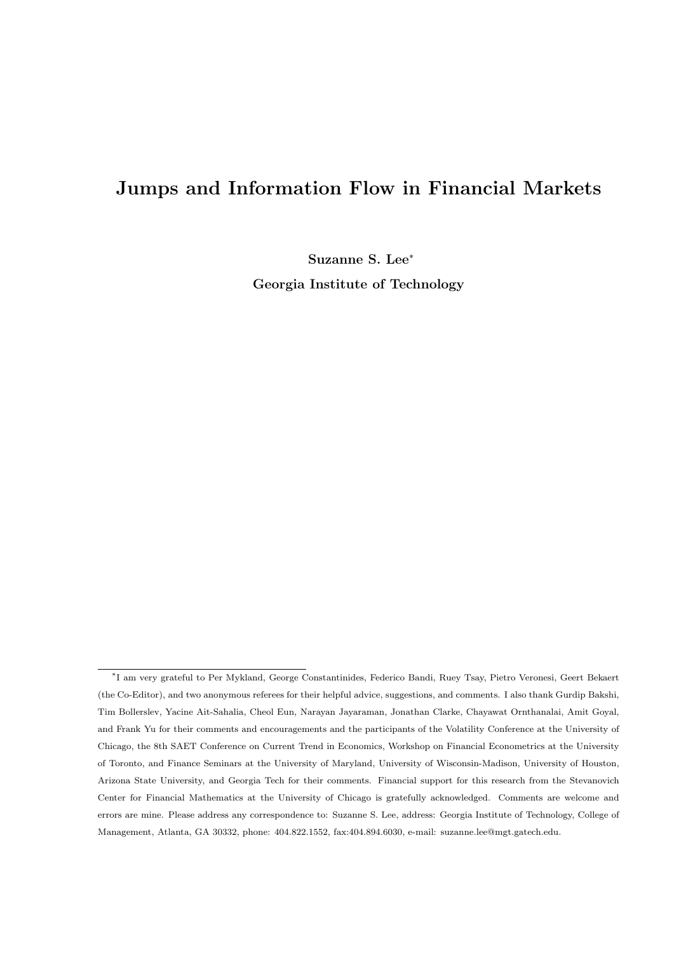# **Jumps and Information Flow in Financial Markets**

**Suzanne S. Lee***<sup>∗</sup>*

**Georgia Institute of Technology**

*<sup>∗</sup>* I am very grateful to Per Mykland, George Constantinides, Federico Bandi, Ruey Tsay, Pietro Veronesi, Geert Bekaert (the Co-Editor), and two anonymous referees for their helpful advice, suggestions, and comments. I also thank Gurdip Bakshi, Tim Bollerslev, Yacine Ait-Sahalia, Cheol Eun, Narayan Jayaraman, Jonathan Clarke, Chayawat Ornthanalai, Amit Goyal, and Frank Yu for their comments and encouragements and the participants of the Volatility Conference at the University of Chicago, the 8th SAET Conference on Current Trend in Economics, Workshop on Financial Econometrics at the University of Toronto, and Finance Seminars at the University of Maryland, University of Wisconsin-Madison, University of Houston, Arizona State University, and Georgia Tech for their comments. Financial support for this research from the Stevanovich Center for Financial Mathematics at the University of Chicago is gratefully acknowledged. Comments are welcome and errors are mine. Please address any correspondence to: Suzanne S. Lee, address: Georgia Institute of Technology, College of Management, Atlanta, GA 30332, phone: 404.822.1552, fax:404.894.6030, e-mail: suzanne.lee@mgt.gatech.edu.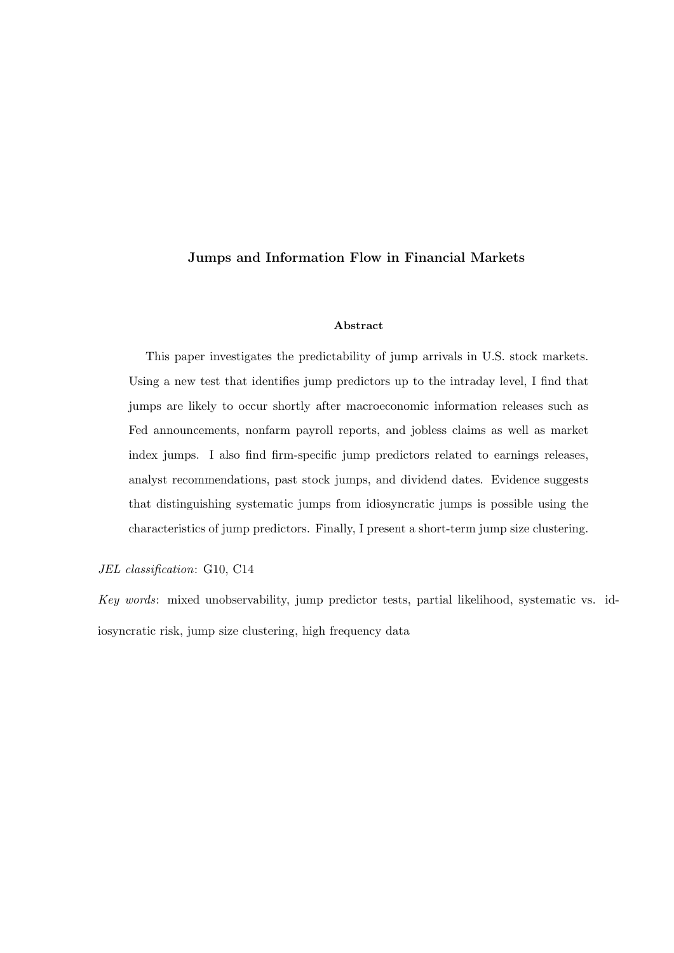### **Jumps and Information Flow in Financial Markets**

#### **Abstract**

This paper investigates the predictability of jump arrivals in U.S. stock markets. Using a new test that identifies jump predictors up to the intraday level, I find that jumps are likely to occur shortly after macroeconomic information releases such as Fed announcements, nonfarm payroll reports, and jobless claims as well as market index jumps. I also find firm-specific jump predictors related to earnings releases, analyst recommendations, past stock jumps, and dividend dates. Evidence suggests that distinguishing systematic jumps from idiosyncratic jumps is possible using the characteristics of jump predictors. Finally, I present a short-term jump size clustering.

*JEL classification*: G10, C14

*Key words*: mixed unobservability, jump predictor tests, partial likelihood, systematic vs. idiosyncratic risk, jump size clustering, high frequency data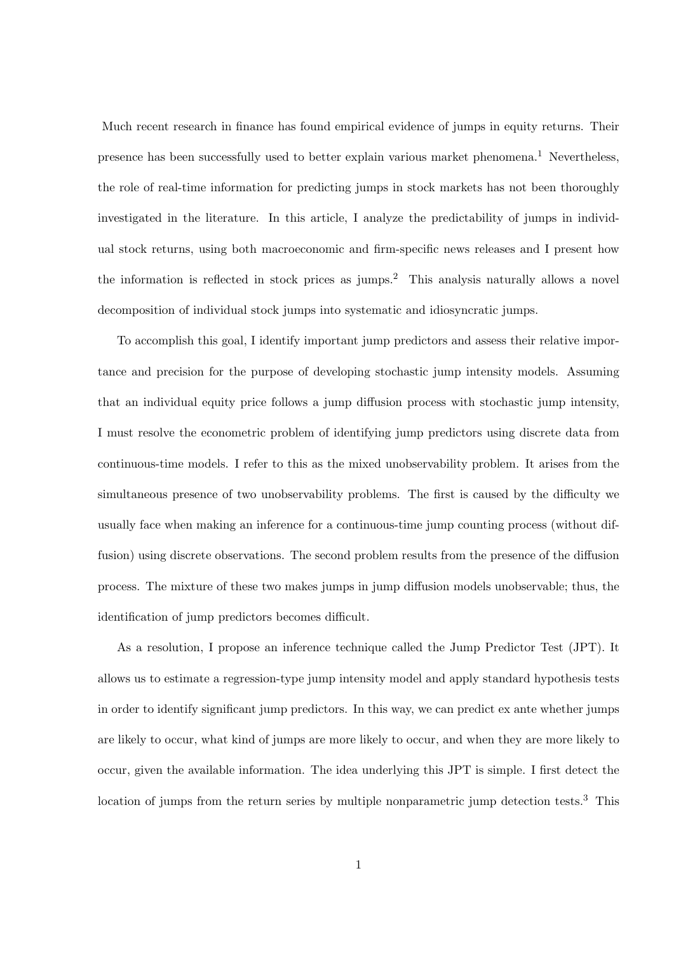Much recent research in finance has found empirical evidence of jumps in equity returns. Their presence has been successfully used to better explain various market phenomena.<sup>1</sup> Nevertheless, the role of real-time information for predicting jumps in stock markets has not been thoroughly investigated in the literature. In this article, I analyze the predictability of jumps in individual stock returns, using both macroeconomic and firm-specific news releases and I present how the information is reflected in stock prices as jumps.<sup>2</sup> This analysis naturally allows a novel decomposition of individual stock jumps into systematic and idiosyncratic jumps.

To accomplish this goal, I identify important jump predictors and assess their relative importance and precision for the purpose of developing stochastic jump intensity models. Assuming that an individual equity price follows a jump diffusion process with stochastic jump intensity, I must resolve the econometric problem of identifying jump predictors using discrete data from continuous-time models. I refer to this as the mixed unobservability problem. It arises from the simultaneous presence of two unobservability problems. The first is caused by the difficulty we usually face when making an inference for a continuous-time jump counting process (without diffusion) using discrete observations. The second problem results from the presence of the diffusion process. The mixture of these two makes jumps in jump diffusion models unobservable; thus, the identification of jump predictors becomes difficult.

As a resolution, I propose an inference technique called the Jump Predictor Test (JPT). It allows us to estimate a regression-type jump intensity model and apply standard hypothesis tests in order to identify significant jump predictors. In this way, we can predict ex ante whether jumps are likely to occur, what kind of jumps are more likely to occur, and when they are more likely to occur, given the available information. The idea underlying this JPT is simple. I first detect the location of jumps from the return series by multiple nonparametric jump detection tests.<sup>3</sup> This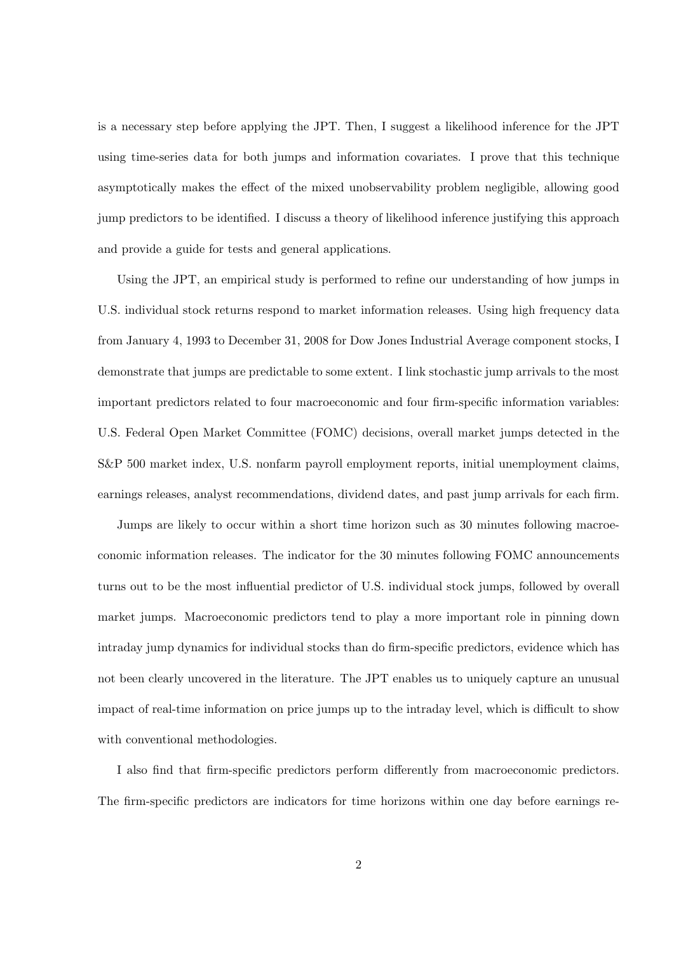is a necessary step before applying the JPT. Then, I suggest a likelihood inference for the JPT using time-series data for both jumps and information covariates. I prove that this technique asymptotically makes the effect of the mixed unobservability problem negligible, allowing good jump predictors to be identified. I discuss a theory of likelihood inference justifying this approach and provide a guide for tests and general applications.

Using the JPT, an empirical study is performed to refine our understanding of how jumps in U.S. individual stock returns respond to market information releases. Using high frequency data from January 4, 1993 to December 31, 2008 for Dow Jones Industrial Average component stocks, I demonstrate that jumps are predictable to some extent. I link stochastic jump arrivals to the most important predictors related to four macroeconomic and four firm-specific information variables: U.S. Federal Open Market Committee (FOMC) decisions, overall market jumps detected in the S&P 500 market index, U.S. nonfarm payroll employment reports, initial unemployment claims, earnings releases, analyst recommendations, dividend dates, and past jump arrivals for each firm.

Jumps are likely to occur within a short time horizon such as 30 minutes following macroeconomic information releases. The indicator for the 30 minutes following FOMC announcements turns out to be the most influential predictor of U.S. individual stock jumps, followed by overall market jumps. Macroeconomic predictors tend to play a more important role in pinning down intraday jump dynamics for individual stocks than do firm-specific predictors, evidence which has not been clearly uncovered in the literature. The JPT enables us to uniquely capture an unusual impact of real-time information on price jumps up to the intraday level, which is difficult to show with conventional methodologies.

I also find that firm-specific predictors perform differently from macroeconomic predictors. The firm-specific predictors are indicators for time horizons within one day before earnings re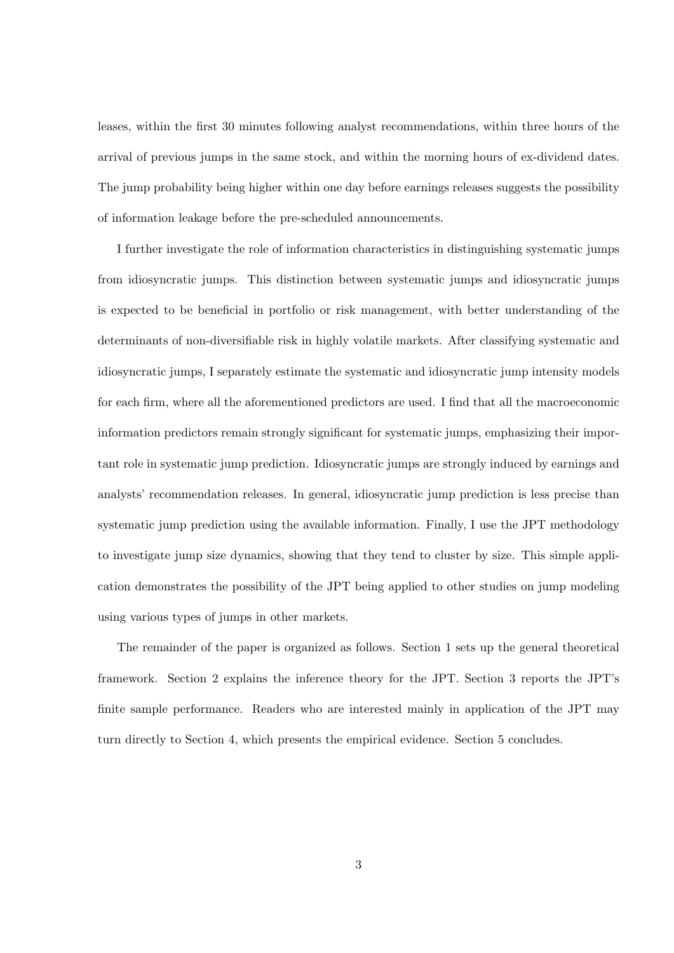leases, within the first 30 minutes following analyst recommendations, within three hours of the arrival of previous jumps in the same stock, and within the morning hours of ex-dividend dates. The jump probability being higher within one day before earnings releases suggests the possibility of information leakage before the pre-scheduled announcements.

I further investigate the role of information characteristics in distinguishing systematic jumps from idiosyncratic jumps. This distinction between systematic jumps and idiosyncratic jumps is expected to be beneficial in portfolio or risk management, with better understanding of the determinants of non-diversifiable risk in highly volatile markets. After classifying systematic and idiosyncratic jumps, I separately estimate the systematic and idiosyncratic jump intensity models for each firm, where all the aforementioned predictors are used. I find that all the macroeconomic information predictors remain strongly significant for systematic jumps, emphasizing their important role in systematic jump prediction. Idiosyncratic jumps are strongly induced by earnings and analysts' recommendation releases. In general, idiosyncratic jump prediction is less precise than systematic jump prediction using the available information. Finally, I use the JPT methodology to investigate jump size dynamics, showing that they tend to cluster by size. This simple application demonstrates the possibility of the JPT being applied to other studies on jump modeling using various types of jumps in other markets.

The remainder of the paper is organized as follows. Section 1 sets up the general theoretical framework. Section 2 explains the inference theory for the JPT. Section 3 reports the JPT's finite sample performance. Readers who are interested mainly in application of the JPT may turn directly to Section 4, which presents the empirical evidence. Section 5 concludes.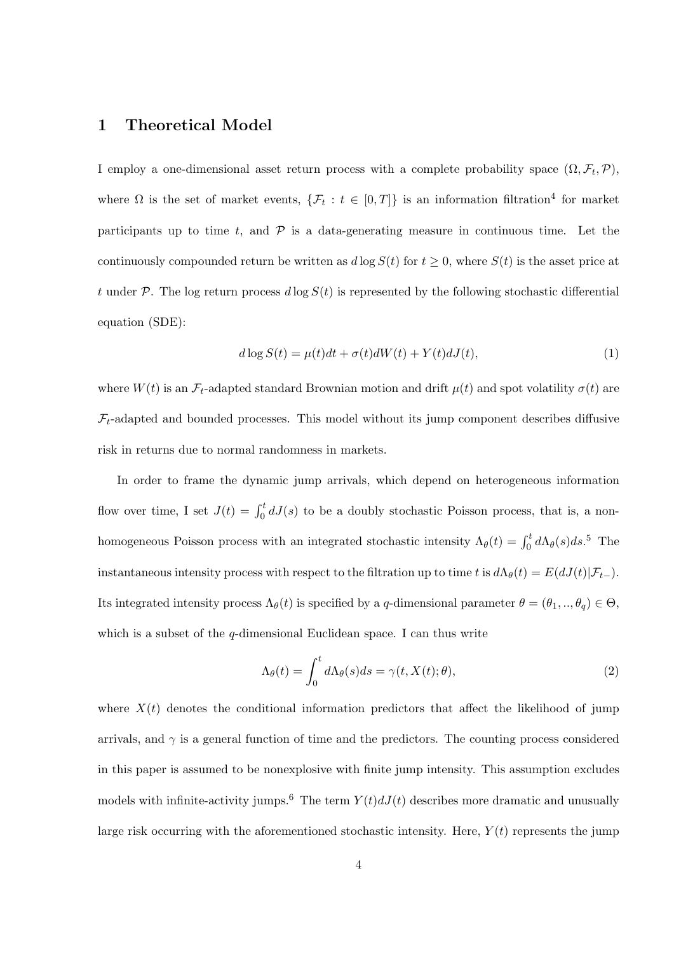# **1 Theoretical Model**

I employ a one-dimensional asset return process with a complete probability space  $(\Omega, \mathcal{F}_t, \mathcal{P})$ , where  $\Omega$  is the set of market events,  $\{\mathcal{F}_t : t \in [0,T]\}$  is an information filtration<sup>4</sup> for market participants up to time  $t$ , and  $\mathcal P$  is a data-generating measure in continuous time. Let the continuously compounded return be written as  $d \log S(t)$  for  $t \geq 0$ , where  $S(t)$  is the asset price at *t* under  $P$ . The log return process  $d \log S(t)$  is represented by the following stochastic differential equation (SDE):

$$
d \log S(t) = \mu(t)dt + \sigma(t)dW(t) + Y(t)dJ(t),
$$
\n(1)

where  $W(t)$  is an  $\mathcal{F}_t$ -adapted standard Brownian motion and drift  $\mu(t)$  and spot volatility  $\sigma(t)$  are  $\mathcal{F}_t$ -adapted and bounded processes. This model without its jump component describes diffusive risk in returns due to normal randomness in markets.

In order to frame the dynamic jump arrivals, which depend on heterogeneous information flow over time, I set  $J(t) = \int_0^t dJ(s)$  to be a doubly stochastic Poisson process, that is, a nonhomogeneous Poisson process with an integrated stochastic intensity  $\Lambda_{\theta}(t) = \int_0^t d\Lambda_{\theta}(s)ds$ .<sup>5</sup> The instantaneous intensity process with respect to the filtration up to time *t* is  $d\Lambda_{\theta}(t) = E(dJ(t)|\mathcal{F}_{t-})$ . Its integrated intensity process  $\Lambda_{\theta}(t)$  is specified by a *q*-dimensional parameter  $\theta = (\theta_1, ..., \theta_q) \in \Theta$ , which is a subset of the *q*-dimensional Euclidean space. I can thus write

$$
\Lambda_{\theta}(t) = \int_0^t d\Lambda_{\theta}(s)ds = \gamma(t, X(t); \theta), \qquad (2)
$$

where  $X(t)$  denotes the conditional information predictors that affect the likelihood of jump arrivals, and  $\gamma$  is a general function of time and the predictors. The counting process considered in this paper is assumed to be nonexplosive with finite jump intensity. This assumption excludes models with infinite-activity jumps.<sup>6</sup> The term  $Y(t)dJ(t)$  describes more dramatic and unusually large risk occurring with the aforementioned stochastic intensity. Here,  $Y(t)$  represents the jump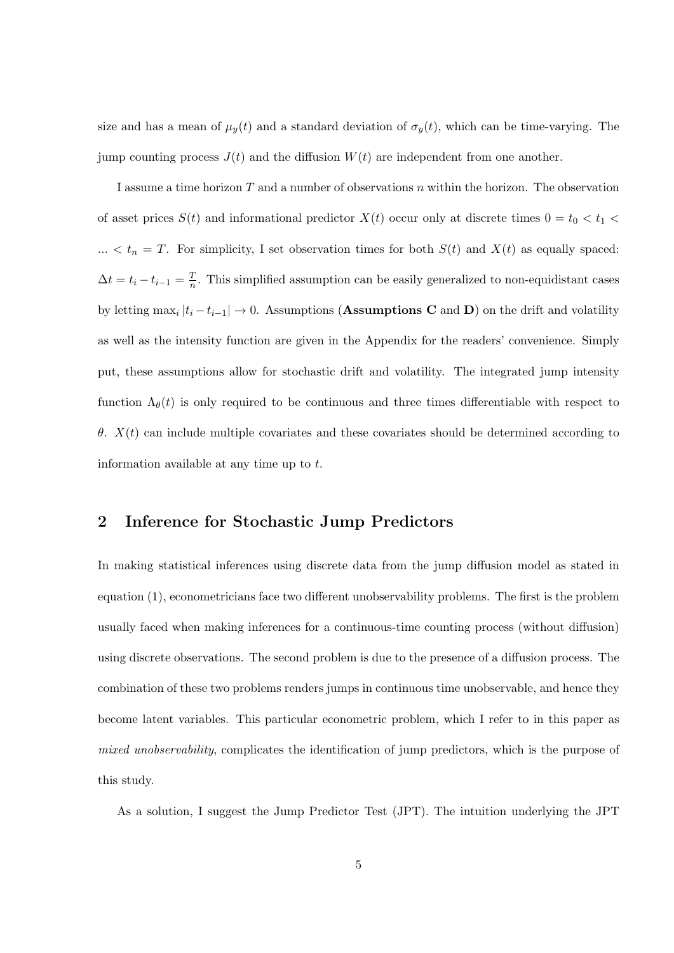size and has a mean of  $\mu_y(t)$  and a standard deviation of  $\sigma_y(t)$ , which can be time-varying. The jump counting process  $J(t)$  and the diffusion  $W(t)$  are independent from one another.

I assume a time horizon *T* and a number of observations *n* within the horizon. The observation of asset prices  $S(t)$  and informational predictor  $X(t)$  occur only at discrete times  $0 = t_0 < t_1$  $\ldots$  <  $t_n = T$ . For simplicity, I set observation times for both  $S(t)$  and  $X(t)$  as equally spaced:  $\Delta t = t_i - t_{i-1} = \frac{T}{n}$  $\frac{T}{n}$ . This simplified assumption can be easily generalized to non-equidistant cases by letting  $\max_i |t_i - t_{i-1}| \to 0$ . Assumptions (Assumptions C and D) on the drift and volatility as well as the intensity function are given in the Appendix for the readers' convenience. Simply put, these assumptions allow for stochastic drift and volatility. The integrated jump intensity function  $\Lambda_{\theta}(t)$  is only required to be continuous and three times differentiable with respect to *θ*. *X*(*t*) can include multiple covariates and these covariates should be determined according to information available at any time up to *t*.

# **2 Inference for Stochastic Jump Predictors**

In making statistical inferences using discrete data from the jump diffusion model as stated in equation (1), econometricians face two different unobservability problems. The first is the problem usually faced when making inferences for a continuous-time counting process (without diffusion) using discrete observations. The second problem is due to the presence of a diffusion process. The combination of these two problems renders jumps in continuous time unobservable, and hence they become latent variables. This particular econometric problem, which I refer to in this paper as *mixed unobservability*, complicates the identification of jump predictors, which is the purpose of this study.

As a solution, I suggest the Jump Predictor Test (JPT). The intuition underlying the JPT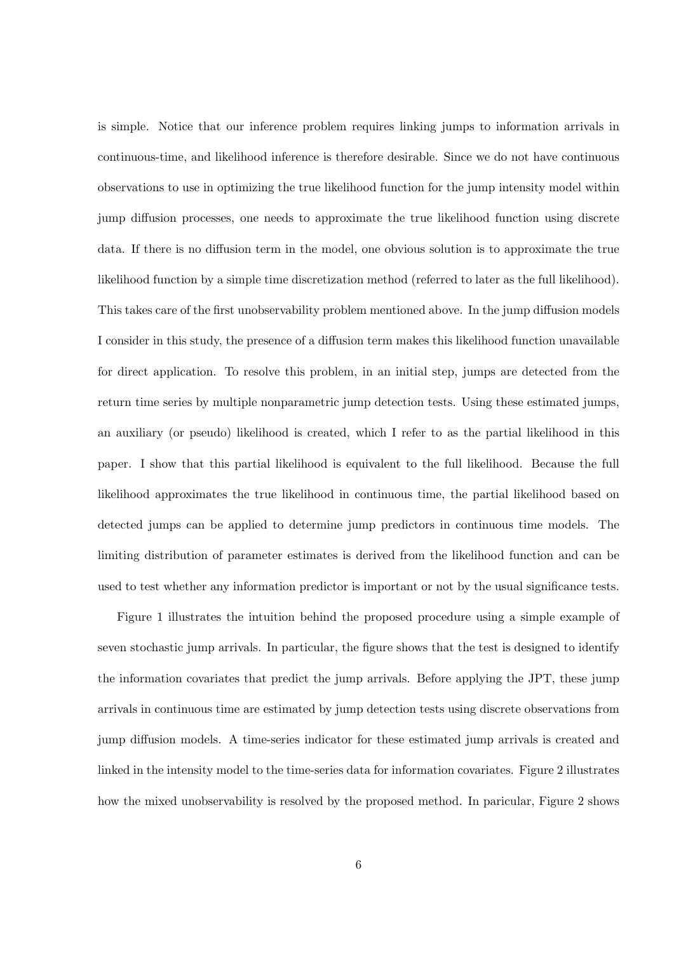is simple. Notice that our inference problem requires linking jumps to information arrivals in continuous-time, and likelihood inference is therefore desirable. Since we do not have continuous observations to use in optimizing the true likelihood function for the jump intensity model within jump diffusion processes, one needs to approximate the true likelihood function using discrete data. If there is no diffusion term in the model, one obvious solution is to approximate the true likelihood function by a simple time discretization method (referred to later as the full likelihood). This takes care of the first unobservability problem mentioned above. In the jump diffusion models I consider in this study, the presence of a diffusion term makes this likelihood function unavailable for direct application. To resolve this problem, in an initial step, jumps are detected from the return time series by multiple nonparametric jump detection tests. Using these estimated jumps, an auxiliary (or pseudo) likelihood is created, which I refer to as the partial likelihood in this paper. I show that this partial likelihood is equivalent to the full likelihood. Because the full likelihood approximates the true likelihood in continuous time, the partial likelihood based on detected jumps can be applied to determine jump predictors in continuous time models. The limiting distribution of parameter estimates is derived from the likelihood function and can be used to test whether any information predictor is important or not by the usual significance tests.

Figure 1 illustrates the intuition behind the proposed procedure using a simple example of seven stochastic jump arrivals. In particular, the figure shows that the test is designed to identify the information covariates that predict the jump arrivals. Before applying the JPT, these jump arrivals in continuous time are estimated by jump detection tests using discrete observations from jump diffusion models. A time-series indicator for these estimated jump arrivals is created and linked in the intensity model to the time-series data for information covariates. Figure 2 illustrates how the mixed unobservability is resolved by the proposed method. In paricular, Figure 2 shows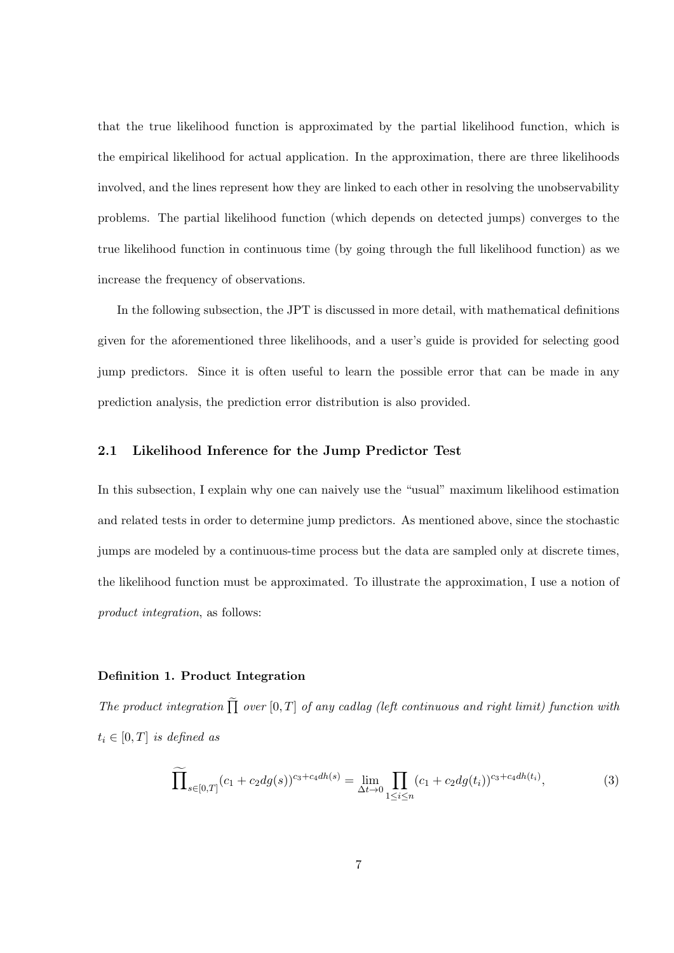that the true likelihood function is approximated by the partial likelihood function, which is the empirical likelihood for actual application. In the approximation, there are three likelihoods involved, and the lines represent how they are linked to each other in resolving the unobservability problems. The partial likelihood function (which depends on detected jumps) converges to the true likelihood function in continuous time (by going through the full likelihood function) as we increase the frequency of observations.

In the following subsection, the JPT is discussed in more detail, with mathematical definitions given for the aforementioned three likelihoods, and a user's guide is provided for selecting good jump predictors. Since it is often useful to learn the possible error that can be made in any prediction analysis, the prediction error distribution is also provided.

#### **2.1 Likelihood Inference for the Jump Predictor Test**

In this subsection, I explain why one can naively use the "usual" maximum likelihood estimation and related tests in order to determine jump predictors. As mentioned above, since the stochastic jumps are modeled by a continuous-time process but the data are sampled only at discrete times, the likelihood function must be approximated. To illustrate the approximation, I use a notion of *product integration*, as follows:

#### **Definition 1. Product Integration**

*The product integration*  $\prod$  *over*  $[0, T]$  *of any cadlag (left continuous and right limit) function with*  $t_i \in [0, T]$  *is defined as* 

$$
\widetilde{\prod}_{s \in [0,T]} (c_1 + c_2 dg(s))^{c_3 + c_4 dh(s)} = \lim_{\Delta t \to 0} \prod_{1 \le i \le n} (c_1 + c_2 dg(t_i))^{c_3 + c_4 dh(t_i)},\tag{3}
$$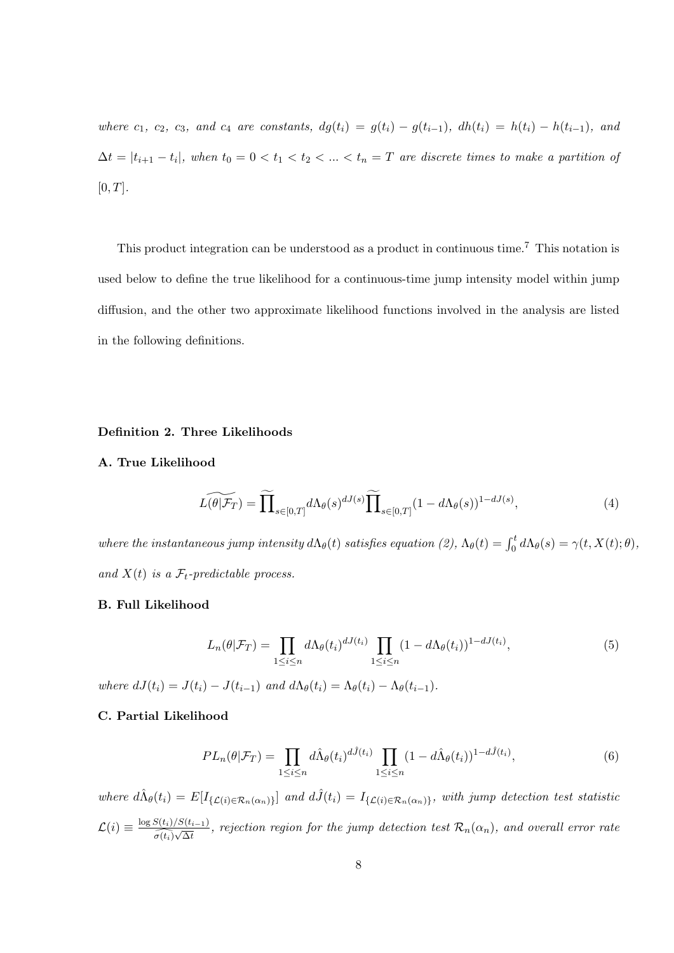where  $c_1$ ,  $c_2$ ,  $c_3$ , and  $c_4$  are constants,  $dg(t_i) = g(t_i) - g(t_{i-1})$ ,  $dh(t_i) = h(t_i) - h(t_{i-1})$ , and  $\Delta t = |t_{i+1} - t_i|$ , when  $t_0 = 0 < t_1 < t_2 < ... < t_n = T$  are discrete times to make a partition of [0*, T*]*.*

This product integration can be understood as a product in continuous time.<sup>7</sup> This notation is used below to define the true likelihood for a continuous-time jump intensity model within jump diffusion, and the other two approximate likelihood functions involved in the analysis are listed in the following definitions.

#### **Definition 2. Three Likelihoods**

#### **A. True Likelihood**

$$
\widetilde{L(\theta|\mathcal{F}_T)} = \widetilde{\prod}_{s \in [0,T]} d\Lambda_{\theta}(s)^{dJ(s)} \widetilde{\prod}_{s \in [0,T]} (1 - d\Lambda_{\theta}(s))^{1 - dJ(s)},\tag{4}
$$

*where the instantaneous jump intensity*  $d\Lambda_{\theta}(t)$  *satisfies equation* (2),  $\Lambda_{\theta}(t) = \int_0^t d\Lambda_{\theta}(s) = \gamma(t, X(t); \theta)$ , and  $X(t)$  *is a*  $\mathcal{F}_t$ -predictable process.

#### **B. Full Likelihood**

$$
L_n(\theta|\mathcal{F}_T) = \prod_{1 \le i \le n} d\Lambda_{\theta}(t_i)^{dJ(t_i)} \prod_{1 \le i \le n} (1 - d\Lambda_{\theta}(t_i))^{1 - dJ(t_i)}, \tag{5}
$$

where  $dJ(t_i) = J(t_i) - J(t_{i-1})$  and  $d\Lambda_{\theta}(t_i) = \Lambda_{\theta}(t_i) - \Lambda_{\theta}(t_{i-1}).$ 

### **C. Partial Likelihood**

$$
PL_n(\theta|\mathcal{F}_T) = \prod_{1 \le i \le n} d\hat{\Lambda}_{\theta}(t_i)^{d\hat{J}(t_i)} \prod_{1 \le i \le n} (1 - d\hat{\Lambda}_{\theta}(t_i))^{1 - d\hat{J}(t_i)},\tag{6}
$$

where  $d\hat{\Lambda}_{\theta}(t_i) = E[I_{\{\mathcal{L}(i) \in \mathcal{R}_n(\alpha_n)\}}]$  and  $d\hat{J}(t_i) = I_{\{\mathcal{L}(i) \in \mathcal{R}_n(\alpha_n)\}}$ , with jump detection test statistic  $\mathcal{L}(i) \equiv \frac{\log S(t_i)/S(t_{i-1})}{\sqrt{N_i}}$  $\frac{\partial (t_i)/\partial (t_{i-1})}{\partial (t_i)\sqrt{\Delta t}}$ , rejection region for the jump detection test  $\mathcal{R}_n(\alpha_n)$ , and overall error rate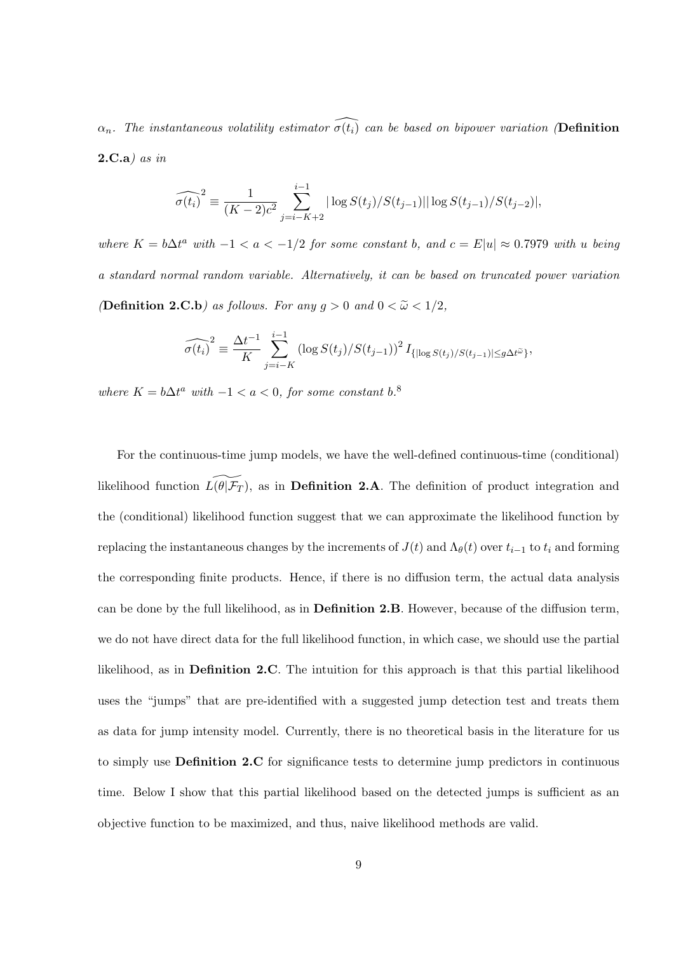$\alpha_n$ *. The instantaneous volatility estimator*  $\widehat{\sigma(t_i)}$  *can be based on bipower variation* (**Definition 2.C.a***) as in*

$$
\widehat{\sigma(t_i)}^2 \equiv \frac{1}{(K-2)c^2} \sum_{j=i-K+2}^{i-1} |\log S(t_j)/S(t_{j-1})| |\log S(t_{j-1})/S(t_{j-2})|,
$$

where  $K = b\Delta t^a$  with  $-1 < a < -1/2$  for some constant b, and  $c = E|u| \approx 0.7979$  with u being *a standard normal random variable. Alternatively, it can be based on truncated power variation (***Definition 2.C.b***) as follows. For any*  $g > 0$  *and*  $0 < \tilde{\omega} < 1/2$ *,* 

$$
\widehat{\sigma(t_i)}^2 \equiv \frac{\Delta t^{-1}}{K} \sum_{j=i-K}^{i-1} \left( \log S(t_j) / S(t_{j-1}) \right)^2 I_{\{ \vert \log S(t_j) / S(t_{j-1}) \vert \le g \Delta t^{\tilde{\omega}} \}},
$$

*where*  $K = b\Delta t^a$  *with*  $-1 < a < 0$ *, for some constant*  $b^a$ .

For the continuous-time jump models, we have the well-defined continuous-time (conditional) likelihood function  $L(\theta | \mathcal{F}_T)$ , as in **Definition 2.A**. The definition of product integration and the (conditional) likelihood function suggest that we can approximate the likelihood function by replacing the instantaneous changes by the increments of  $J(t)$  and  $\Lambda_{\theta}(t)$  over  $t_{i-1}$  to  $t_i$  and forming the corresponding finite products. Hence, if there is no diffusion term, the actual data analysis can be done by the full likelihood, as in **Definition 2.B**. However, because of the diffusion term, we do not have direct data for the full likelihood function, in which case, we should use the partial likelihood, as in **Definition 2.C**. The intuition for this approach is that this partial likelihood uses the "jumps" that are pre-identified with a suggested jump detection test and treats them as data for jump intensity model. Currently, there is no theoretical basis in the literature for us to simply use **Definition 2.C** for significance tests to determine jump predictors in continuous time. Below I show that this partial likelihood based on the detected jumps is sufficient as an objective function to be maximized, and thus, naive likelihood methods are valid.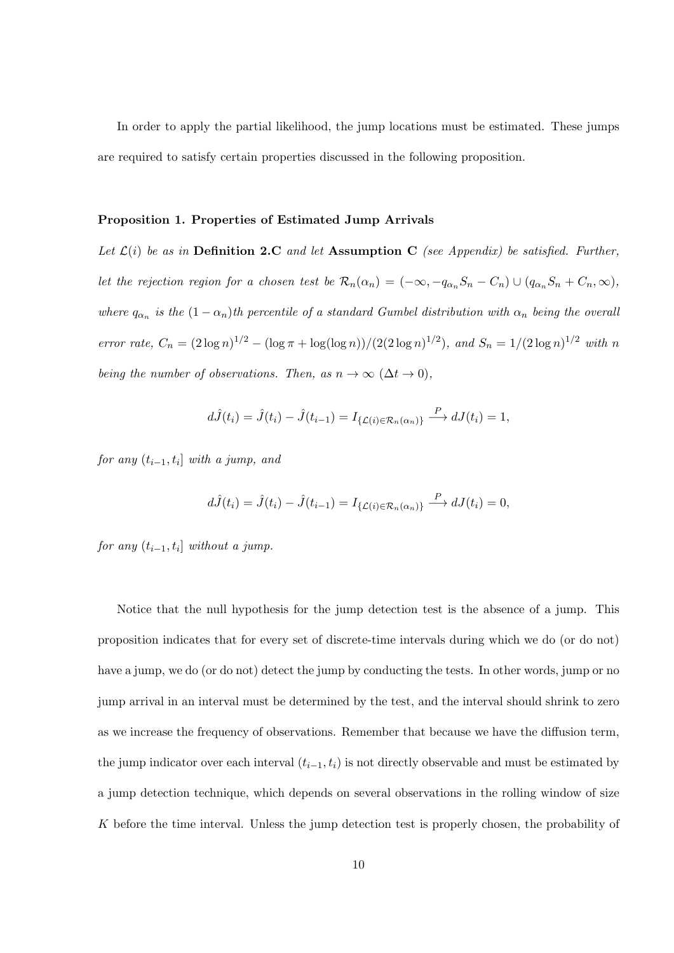In order to apply the partial likelihood, the jump locations must be estimated. These jumps are required to satisfy certain properties discussed in the following proposition.

#### **Proposition 1. Properties of Estimated Jump Arrivals**

Let  $\mathcal{L}(i)$  be as in **Definition 2.C** and let **Assumption C** (see Appendix) be satisfied. Further, let the rejection region for a chosen test be  $\mathcal{R}_n(\alpha_n) = (-\infty, -q_{\alpha_n}S_n - C_n) \cup (q_{\alpha_n}S_n + C_n, \infty)$ , *where*  $q_{\alpha_n}$  *is the*  $(1 - \alpha_n)$ *th percentile of a standard Gumbel distribution with*  $\alpha_n$  *being the overall* error rate,  $C_n = (2 \log n)^{1/2} - (\log \pi + \log(\log n))/(2(2 \log n)^{1/2})$ , and  $S_n = 1/(2 \log n)^{1/2}$  with n *being the number of observations. Then, as*  $n \to \infty$  ( $\Delta t \to 0$ ),

$$
d\hat{J}(t_i) = \hat{J}(t_i) - \hat{J}(t_{i-1}) = I_{\{\mathcal{L}(i) \in \mathcal{R}_n(\alpha_n)\}} \xrightarrow{P} dJ(t_i) = 1,
$$

*for any* (*ti−*1*, t<sup>i</sup>* ] *with a jump, and*

$$
d\hat{J}(t_i) = \hat{J}(t_i) - \hat{J}(t_{i-1}) = I_{\{\mathcal{L}(i) \in \mathcal{R}_n(\alpha_n)\}} \xrightarrow{P} dJ(t_i) = 0,
$$

 $for any (t_{i-1}, t_i] with out a jump.$ 

Notice that the null hypothesis for the jump detection test is the absence of a jump. This proposition indicates that for every set of discrete-time intervals during which we do (or do not) have a jump, we do (or do not) detect the jump by conducting the tests. In other words, jump or no jump arrival in an interval must be determined by the test, and the interval should shrink to zero as we increase the frequency of observations. Remember that because we have the diffusion term, the jump indicator over each interval  $(t_{i-1}, t_i)$  is not directly observable and must be estimated by a jump detection technique, which depends on several observations in the rolling window of size *K* before the time interval. Unless the jump detection test is properly chosen, the probability of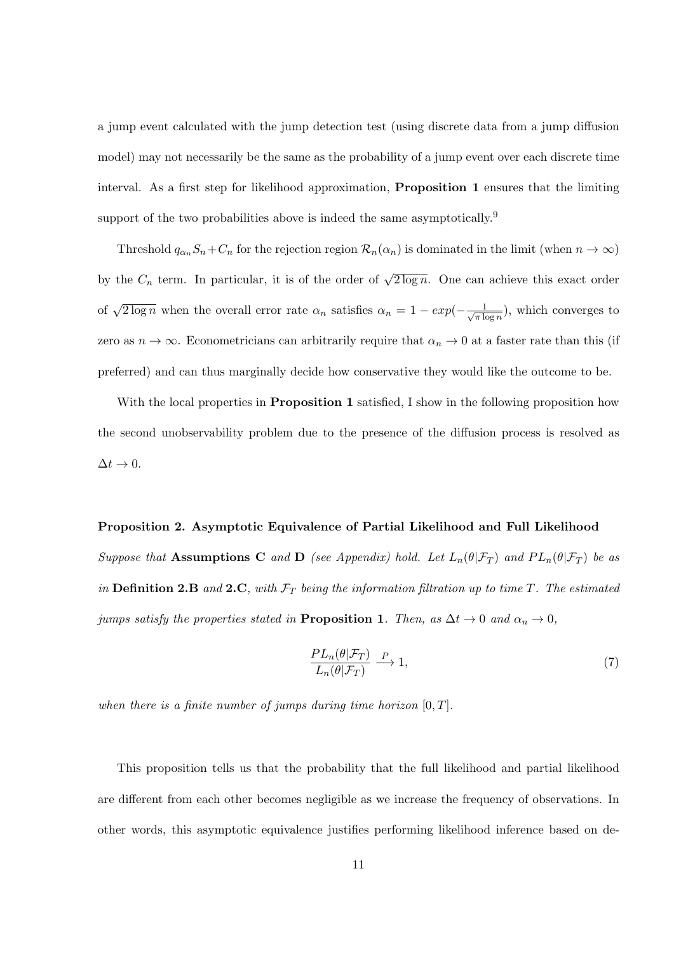a jump event calculated with the jump detection test (using discrete data from a jump diffusion model) may not necessarily be the same as the probability of a jump event over each discrete time interval. As a first step for likelihood approximation, **Proposition 1** ensures that the limiting support of the two probabilities above is indeed the same asymptotically.<sup>9</sup>

Threshold  $q_{\alpha_n} S_n + C_n$  for the rejection region  $\mathcal{R}_n(\alpha_n)$  is dominated in the limit (when  $n \to \infty$ ) by the  $C_n$  term. In particular, it is of the order of  $\sqrt{2 \log n}$ . One can achieve this exact order of  $\sqrt{2 \log n}$  when the overall error rate  $\alpha_n$  satisfies  $\alpha_n = 1 - exp(-\frac{1}{\sqrt{\pi k}})$  $\frac{1}{\pi \log n}$ , which converges to zero as  $n \to \infty$ . Econometricians can arbitrarily require that  $\alpha_n \to 0$  at a faster rate than this (if preferred) and can thus marginally decide how conservative they would like the outcome to be.

With the local properties in **Proposition 1** satisfied, I show in the following proposition how the second unobservability problem due to the presence of the diffusion process is resolved as  $\Delta t \rightarrow 0.$ 

#### **Proposition 2. Asymptotic Equivalence of Partial Likelihood and Full Likelihood**

*Suppose that* **Assumptions C** *and* **D** *(see Appendix) hold. Let*  $L_n(\theta | \mathcal{F}_T)$  *and*  $PL_n(\theta | \mathcal{F}_T)$  *be as in* **Definition 2.B** *and* **2.C***, with F<sup>T</sup> being the information filtration up to time T. The estimated jumps satisfy the properties stated in* **Proposition 1***. Then, as*  $\Delta t \rightarrow 0$  *and*  $\alpha_n \rightarrow 0$ *,* 

$$
\frac{PL_n(\theta|\mathcal{F}_T)}{L_n(\theta|\mathcal{F}_T)} \xrightarrow{P} 1,\tag{7}
$$

*when there is a finite number of jumps during time horizon* [0*, T*]*.*

This proposition tells us that the probability that the full likelihood and partial likelihood are different from each other becomes negligible as we increase the frequency of observations. In other words, this asymptotic equivalence justifies performing likelihood inference based on de-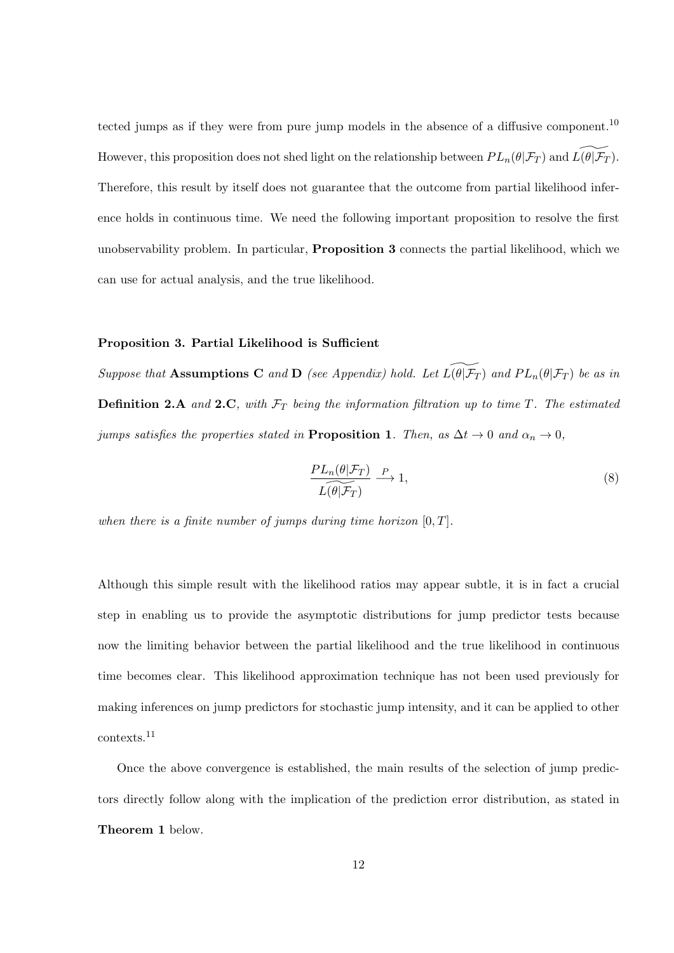tected jumps as if they were from pure jump models in the absence of a diffusive component.<sup>10</sup> However, this proposition does not shed light on the relationship between  $PL_n(\theta|\mathcal{F}_T)$  and  $L(\theta|\mathcal{F}_T)$ . Therefore, this result by itself does not guarantee that the outcome from partial likelihood inference holds in continuous time. We need the following important proposition to resolve the first unobservability problem. In particular, **Proposition 3** connects the partial likelihood, which we can use for actual analysis, and the true likelihood.

#### **Proposition 3. Partial Likelihood is Sufficient**

*Suppose that* **Assumptions C** *and* **D** *(see Appendix) hold. Let*  $L(\widetilde{\theta|F_T})$  *and*  $PL_n(\theta|F_T)$  *be as in* **Definition 2.A** and 2.C, with  $\mathcal{F}_T$  being the information filtration up to time *T*. The estimated *jumps satisfies the properties stated in* **Proposition 1***. Then, as*  $\Delta t \rightarrow 0$  *and*  $\alpha_n \rightarrow 0$ *,* 

$$
\frac{PL_n(\theta|\mathcal{F}_T)}{L(\theta|\mathcal{F}_T)} \xrightarrow{P} 1,\tag{8}
$$

*when there is a finite number of jumps during time horizon* [0*, T*]*.*

Although this simple result with the likelihood ratios may appear subtle, it is in fact a crucial step in enabling us to provide the asymptotic distributions for jump predictor tests because now the limiting behavior between the partial likelihood and the true likelihood in continuous time becomes clear. This likelihood approximation technique has not been used previously for making inferences on jump predictors for stochastic jump intensity, and it can be applied to other contexts.<sup>11</sup>

Once the above convergence is established, the main results of the selection of jump predictors directly follow along with the implication of the prediction error distribution, as stated in **Theorem 1** below.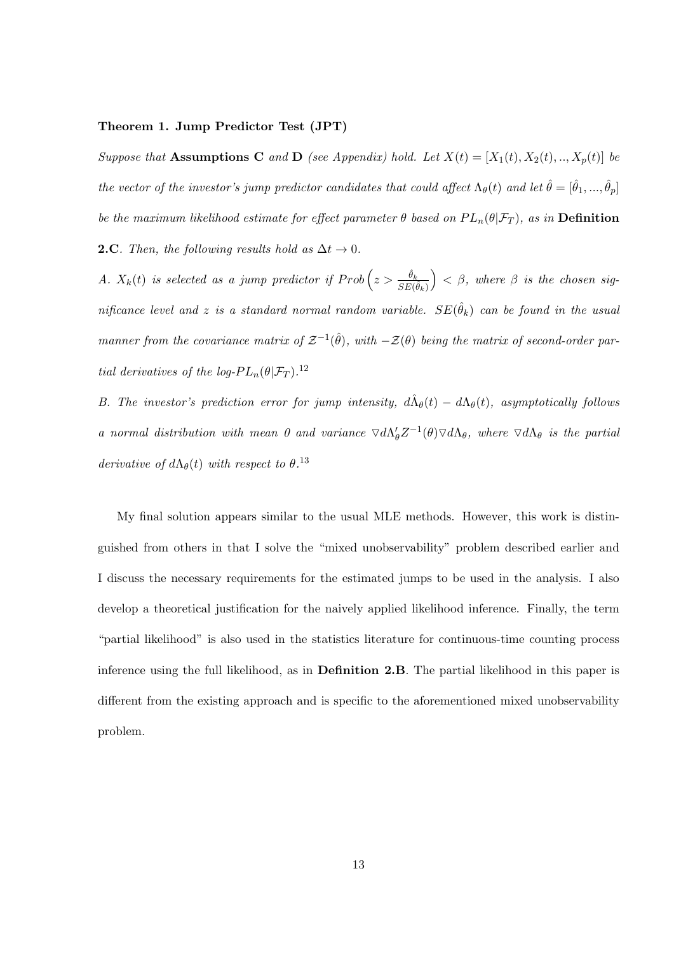#### **Theorem 1. Jump Predictor Test (JPT)**

*Suppose that* **Assumptions C** *and* **D** (see Appendix) hold. Let  $X(t) = [X_1(t), X_2(t), ..., X_p(t)]$  be *the vector of the investor's jump predictor candidates that could affect*  $\Lambda_{\theta}(t)$  and let  $\hat{\theta} = [\hat{\theta}_1, ..., \hat{\theta}_p]$ *be the maximum likelihood estimate for effect parameter*  $\theta$  *based on*  $PL_n(\theta|\mathcal{F}_T)$ *, as in* **Definition 2.C***. Then, the following results hold as*  $\Delta t \rightarrow 0$ *.* 

*A.*  $X_k(t)$  *is selected as a jump predictor if*  $Prob\left(z > \frac{\hat{\theta}_k}{SE(\hat{\theta}_k)}\right)$  $\Big)$  <  $\beta$ *, where*  $\beta$  *is the chosen significance level and z is a standard normal random variable.*  $SE(\hat{\theta}_k)$  *can be found in the usual manner from the covariance matrix of*  $\mathcal{Z}^{-1}(\hat{\theta})$ , with  $-\mathcal{Z}(\theta)$  being the matrix of second-order par*tial derivatives of the log-* $PL_n(\theta | \mathcal{F}_T)$ *.*<sup>12</sup>

*B. The investor's prediction error for jump intensity,*  $d\hat{\Lambda}_{\theta}(t) - d\Lambda_{\theta}(t)$ , asymptotically follows *a* normal distribution with mean 0 and variance  $\nabla d\Lambda'_{\theta}Z^{-1}(\theta)\nabla d\Lambda_{\theta}$ , where  $\nabla d\Lambda_{\theta}$  is the partial *derivative of*  $d\Lambda_{\theta}(t)$  *with respect to*  $\theta$ <sup>13</sup>

My final solution appears similar to the usual MLE methods. However, this work is distinguished from others in that I solve the "mixed unobservability" problem described earlier and I discuss the necessary requirements for the estimated jumps to be used in the analysis. I also develop a theoretical justification for the naively applied likelihood inference. Finally, the term "partial likelihood" is also used in the statistics literature for continuous-time counting process inference using the full likelihood, as in **Definition 2.B**. The partial likelihood in this paper is different from the existing approach and is specific to the aforementioned mixed unobservability problem.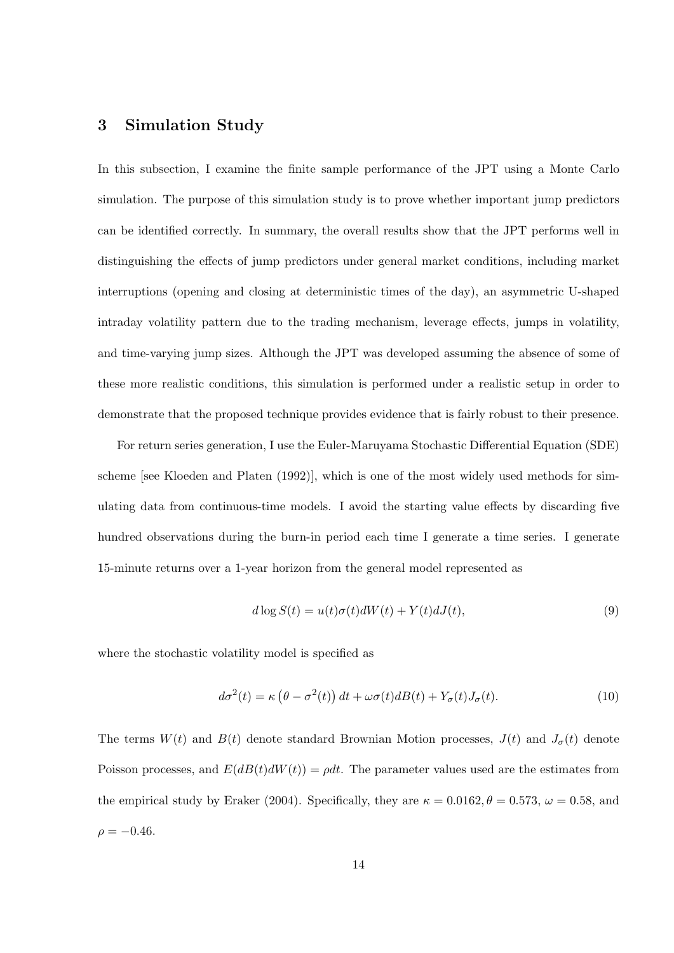# **3 Simulation Study**

In this subsection, I examine the finite sample performance of the JPT using a Monte Carlo simulation. The purpose of this simulation study is to prove whether important jump predictors can be identified correctly. In summary, the overall results show that the JPT performs well in distinguishing the effects of jump predictors under general market conditions, including market interruptions (opening and closing at deterministic times of the day), an asymmetric U-shaped intraday volatility pattern due to the trading mechanism, leverage effects, jumps in volatility, and time-varying jump sizes. Although the JPT was developed assuming the absence of some of these more realistic conditions, this simulation is performed under a realistic setup in order to demonstrate that the proposed technique provides evidence that is fairly robust to their presence.

For return series generation, I use the Euler-Maruyama Stochastic Differential Equation (SDE) scheme [see Kloeden and Platen (1992)], which is one of the most widely used methods for simulating data from continuous-time models. I avoid the starting value effects by discarding five hundred observations during the burn-in period each time I generate a time series. I generate 15-minute returns over a 1-year horizon from the general model represented as

$$
d \log S(t) = u(t)\sigma(t)dW(t) + Y(t)dJ(t),\tag{9}
$$

where the stochastic volatility model is specified as

$$
d\sigma^{2}(t) = \kappa \left(\theta - \sigma^{2}(t)\right)dt + \omega\sigma(t)dB(t) + Y_{\sigma}(t)J_{\sigma}(t). \tag{10}
$$

The terms  $W(t)$  and  $B(t)$  denote standard Brownian Motion processes,  $J(t)$  and  $J_{\sigma}(t)$  denote Poisson processes, and  $E(dB(t)dW(t)) = \rho dt$ . The parameter values used are the estimates from the empirical study by Eraker (2004). Specifically, they are  $\kappa = 0.0162$ ,  $\theta = 0.573$ ,  $\omega = 0.58$ , and  $\rho = -0.46$ .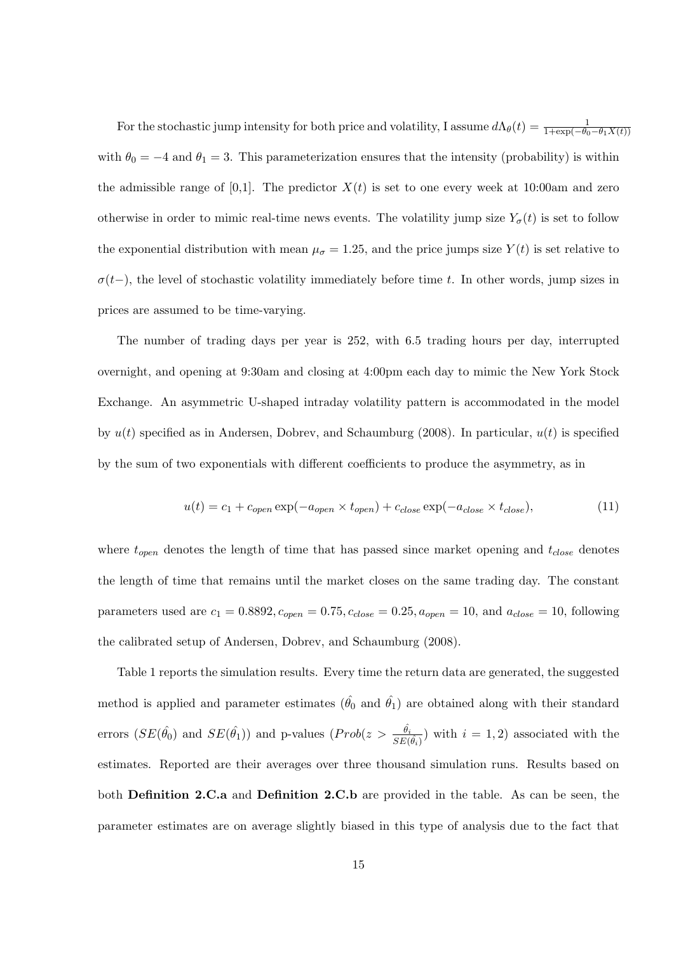For the stochastic jump intensity for both price and volatility, I assume  $d\Lambda_{\theta}(t) = \frac{1}{1+\exp(-\theta_0-\theta_1X(t))}$ with  $\theta_0 = -4$  and  $\theta_1 = 3$ . This parameterization ensures that the intensity (probability) is within the admissible range of  $[0,1]$ . The predictor  $X(t)$  is set to one every week at 10:00am and zero otherwise in order to mimic real-time news events. The volatility jump size  $Y_{\sigma}(t)$  is set to follow the exponential distribution with mean  $\mu_{\sigma} = 1.25$ , and the price jumps size  $Y(t)$  is set relative to  $\sigma(t-)$ , the level of stochastic volatility immediately before time *t*. In other words, jump sizes in prices are assumed to be time-varying.

The number of trading days per year is 252, with 6.5 trading hours per day, interrupted overnight, and opening at 9:30am and closing at 4:00pm each day to mimic the New York Stock Exchange. An asymmetric U-shaped intraday volatility pattern is accommodated in the model by  $u(t)$  specified as in Andersen, Dobrev, and Schaumburg (2008). In particular,  $u(t)$  is specified by the sum of two exponentials with different coefficients to produce the asymmetry, as in

$$
u(t) = c_1 + c_{open} \exp(-a_{open} \times t_{open}) + c_{close} \exp(-a_{close} \times t_{close}),
$$
\n(11)

where *topen* denotes the length of time that has passed since market opening and *tclose* denotes the length of time that remains until the market closes on the same trading day. The constant parameters used are  $c_1 = 0.8892$ ,  $c_{open} = 0.75$ ,  $c_{close} = 0.25$ ,  $a_{open} = 10$ , and  $a_{close} = 10$ , following the calibrated setup of Andersen, Dobrev, and Schaumburg (2008).

Table 1 reports the simulation results. Every time the return data are generated, the suggested method is applied and parameter estimates  $(\hat{\theta_0}$  and  $\hat{\theta_1})$  are obtained along with their standard errors  $(SE(\hat{\theta_0})$  and  $SE(\hat{\theta_1})$  and p-values  $(Prob(z > \frac{\hat{\theta_i}}{SE(\hat{\theta_i})})$  with  $i = 1, 2)$  associated with the estimates. Reported are their averages over three thousand simulation runs. Results based on both **Definition 2.C.a** and **Definition 2.C.b** are provided in the table. As can be seen, the parameter estimates are on average slightly biased in this type of analysis due to the fact that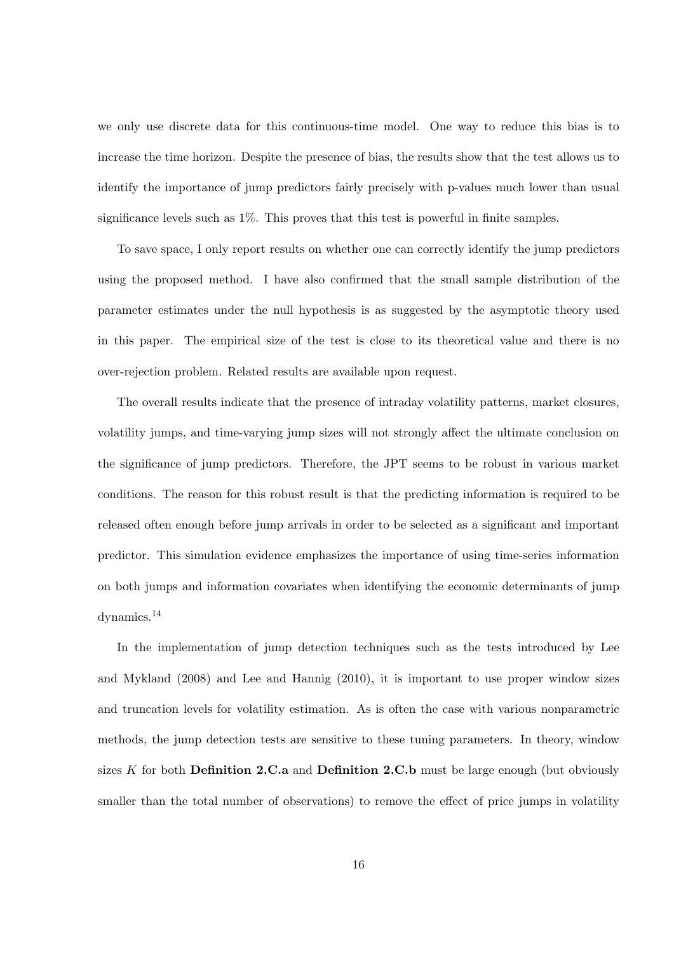we only use discrete data for this continuous-time model. One way to reduce this bias is to increase the time horizon. Despite the presence of bias, the results show that the test allows us to identify the importance of jump predictors fairly precisely with p-values much lower than usual significance levels such as 1%. This proves that this test is powerful in finite samples.

To save space, I only report results on whether one can correctly identify the jump predictors using the proposed method. I have also confirmed that the small sample distribution of the parameter estimates under the null hypothesis is as suggested by the asymptotic theory used in this paper. The empirical size of the test is close to its theoretical value and there is no over-rejection problem. Related results are available upon request.

The overall results indicate that the presence of intraday volatility patterns, market closures, volatility jumps, and time-varying jump sizes will not strongly affect the ultimate conclusion on the significance of jump predictors. Therefore, the JPT seems to be robust in various market conditions. The reason for this robust result is that the predicting information is required to be released often enough before jump arrivals in order to be selected as a significant and important predictor. This simulation evidence emphasizes the importance of using time-series information on both jumps and information covariates when identifying the economic determinants of jump dynamics.<sup>14</sup>

In the implementation of jump detection techniques such as the tests introduced by Lee and Mykland (2008) and Lee and Hannig (2010), it is important to use proper window sizes and truncation levels for volatility estimation. As is often the case with various nonparametric methods, the jump detection tests are sensitive to these tuning parameters. In theory, window sizes *K* for both **Definition 2.C.a** and **Definition 2.C.b** must be large enough (but obviously smaller than the total number of observations) to remove the effect of price jumps in volatility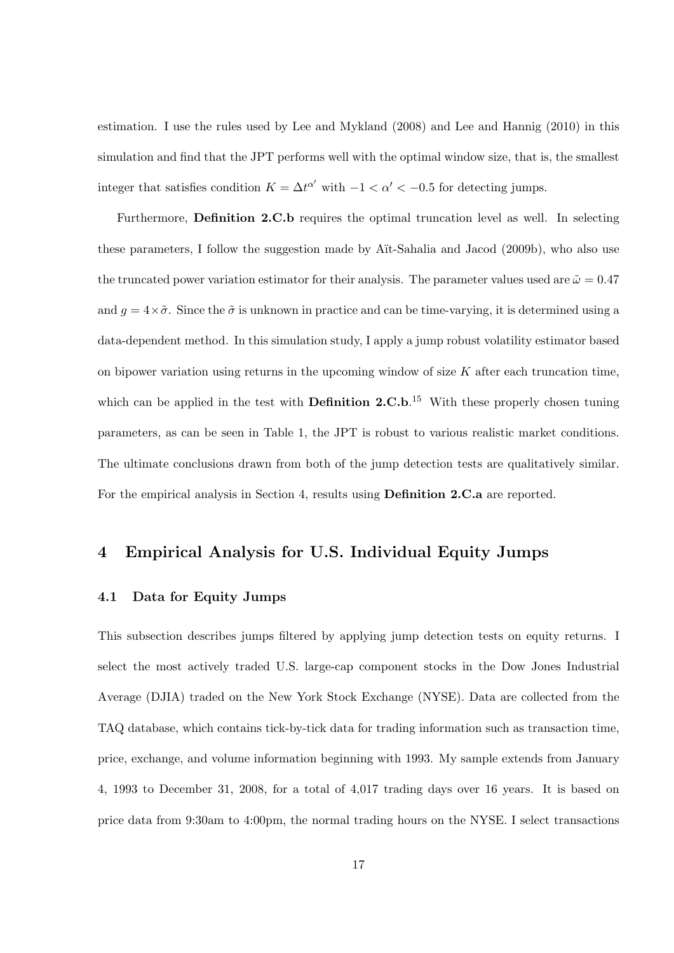estimation. I use the rules used by Lee and Mykland (2008) and Lee and Hannig (2010) in this simulation and find that the JPT performs well with the optimal window size, that is, the smallest integer that satisfies condition  $K = \Delta t^{\alpha'}$  with  $-1 < \alpha' < -0.5$  for detecting jumps.

Furthermore, **Definition 2.C.b** requires the optimal truncation level as well. In selecting these parameters, I follow the suggestion made by A¨ıt-Sahalia and Jacod (2009b), who also use the truncated power variation estimator for their analysis. The parameter values used are  $\tilde{\omega} = 0.47$ and  $g = 4 \times \tilde{\sigma}$ . Since the  $\tilde{\sigma}$  is unknown in practice and can be time-varying, it is determined using a data-dependent method. In this simulation study, I apply a jump robust volatility estimator based on bipower variation using returns in the upcoming window of size *K* after each truncation time, which can be applied in the test with **Definition 2.C.b**.<sup>15</sup> With these properly chosen tuning parameters, as can be seen in Table 1, the JPT is robust to various realistic market conditions. The ultimate conclusions drawn from both of the jump detection tests are qualitatively similar. For the empirical analysis in Section 4, results using **Definition 2.C.a** are reported.

### **4 Empirical Analysis for U.S. Individual Equity Jumps**

#### **4.1 Data for Equity Jumps**

This subsection describes jumps filtered by applying jump detection tests on equity returns. I select the most actively traded U.S. large-cap component stocks in the Dow Jones Industrial Average (DJIA) traded on the New York Stock Exchange (NYSE). Data are collected from the TAQ database, which contains tick-by-tick data for trading information such as transaction time, price, exchange, and volume information beginning with 1993. My sample extends from January 4, 1993 to December 31, 2008, for a total of 4,017 trading days over 16 years. It is based on price data from 9:30am to 4:00pm, the normal trading hours on the NYSE. I select transactions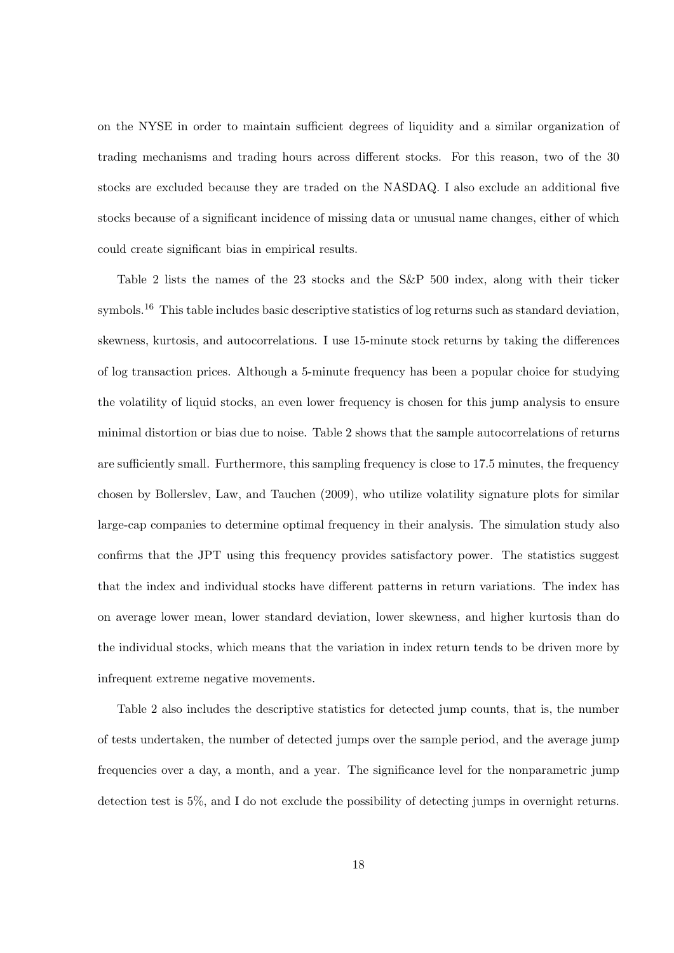on the NYSE in order to maintain sufficient degrees of liquidity and a similar organization of trading mechanisms and trading hours across different stocks. For this reason, two of the 30 stocks are excluded because they are traded on the NASDAQ. I also exclude an additional five stocks because of a significant incidence of missing data or unusual name changes, either of which could create significant bias in empirical results.

Table 2 lists the names of the 23 stocks and the S&P 500 index, along with their ticker symbols.<sup>16</sup> This table includes basic descriptive statistics of log returns such as standard deviation, skewness, kurtosis, and autocorrelations. I use 15-minute stock returns by taking the differences of log transaction prices. Although a 5-minute frequency has been a popular choice for studying the volatility of liquid stocks, an even lower frequency is chosen for this jump analysis to ensure minimal distortion or bias due to noise. Table 2 shows that the sample autocorrelations of returns are sufficiently small. Furthermore, this sampling frequency is close to 17.5 minutes, the frequency chosen by Bollerslev, Law, and Tauchen (2009), who utilize volatility signature plots for similar large-cap companies to determine optimal frequency in their analysis. The simulation study also confirms that the JPT using this frequency provides satisfactory power. The statistics suggest that the index and individual stocks have different patterns in return variations. The index has on average lower mean, lower standard deviation, lower skewness, and higher kurtosis than do the individual stocks, which means that the variation in index return tends to be driven more by infrequent extreme negative movements.

Table 2 also includes the descriptive statistics for detected jump counts, that is, the number of tests undertaken, the number of detected jumps over the sample period, and the average jump frequencies over a day, a month, and a year. The significance level for the nonparametric jump detection test is 5%, and I do not exclude the possibility of detecting jumps in overnight returns.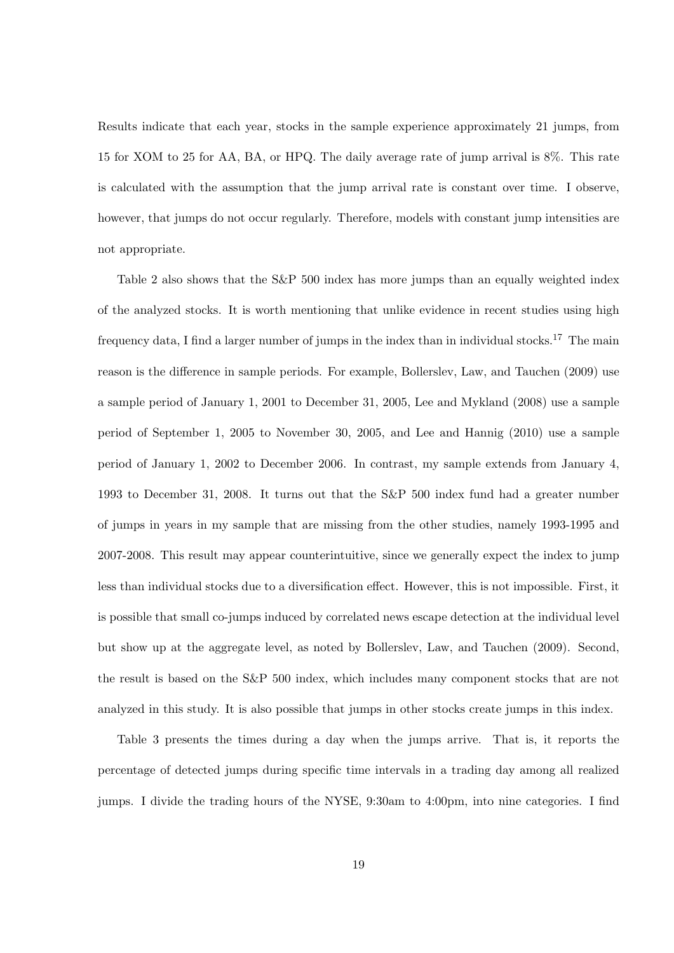Results indicate that each year, stocks in the sample experience approximately 21 jumps, from 15 for XOM to 25 for AA, BA, or HPQ. The daily average rate of jump arrival is 8%. This rate is calculated with the assumption that the jump arrival rate is constant over time. I observe, however, that jumps do not occur regularly. Therefore, models with constant jump intensities are not appropriate.

Table 2 also shows that the S&P 500 index has more jumps than an equally weighted index of the analyzed stocks. It is worth mentioning that unlike evidence in recent studies using high frequency data, I find a larger number of jumps in the index than in individual stocks.<sup>17</sup> The main reason is the difference in sample periods. For example, Bollerslev, Law, and Tauchen (2009) use a sample period of January 1, 2001 to December 31, 2005, Lee and Mykland (2008) use a sample period of September 1, 2005 to November 30, 2005, and Lee and Hannig (2010) use a sample period of January 1, 2002 to December 2006. In contrast, my sample extends from January 4, 1993 to December 31, 2008. It turns out that the S&P 500 index fund had a greater number of jumps in years in my sample that are missing from the other studies, namely 1993-1995 and 2007-2008. This result may appear counterintuitive, since we generally expect the index to jump less than individual stocks due to a diversification effect. However, this is not impossible. First, it is possible that small co-jumps induced by correlated news escape detection at the individual level but show up at the aggregate level, as noted by Bollerslev, Law, and Tauchen (2009). Second, the result is based on the S&P 500 index, which includes many component stocks that are not analyzed in this study. It is also possible that jumps in other stocks create jumps in this index.

Table 3 presents the times during a day when the jumps arrive. That is, it reports the percentage of detected jumps during specific time intervals in a trading day among all realized jumps. I divide the trading hours of the NYSE, 9:30am to 4:00pm, into nine categories. I find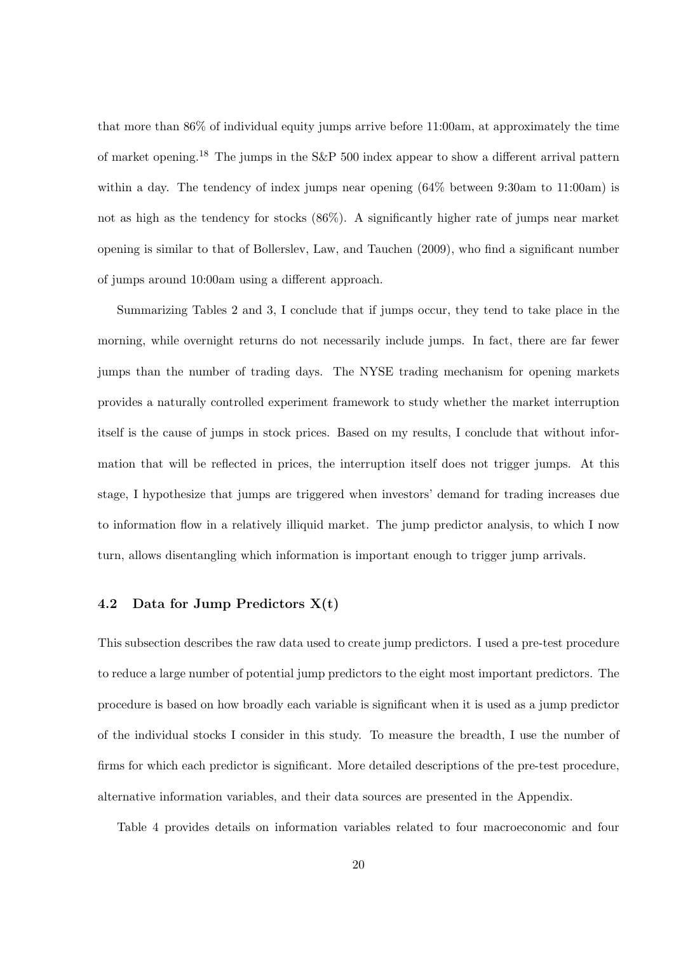that more than 86% of individual equity jumps arrive before 11:00am, at approximately the time of market opening.<sup>18</sup> The jumps in the S&P 500 index appear to show a different arrival pattern within a day. The tendency of index jumps near opening  $(64\%$  between 9:30am to 11:00am) is not as high as the tendency for stocks (86%). A significantly higher rate of jumps near market opening is similar to that of Bollerslev, Law, and Tauchen (2009), who find a significant number of jumps around 10:00am using a different approach.

Summarizing Tables 2 and 3, I conclude that if jumps occur, they tend to take place in the morning, while overnight returns do not necessarily include jumps. In fact, there are far fewer jumps than the number of trading days. The NYSE trading mechanism for opening markets provides a naturally controlled experiment framework to study whether the market interruption itself is the cause of jumps in stock prices. Based on my results, I conclude that without information that will be reflected in prices, the interruption itself does not trigger jumps. At this stage, I hypothesize that jumps are triggered when investors' demand for trading increases due to information flow in a relatively illiquid market. The jump predictor analysis, to which I now turn, allows disentangling which information is important enough to trigger jump arrivals.

### **4.2 Data for Jump Predictors X(t)**

This subsection describes the raw data used to create jump predictors. I used a pre-test procedure to reduce a large number of potential jump predictors to the eight most important predictors. The procedure is based on how broadly each variable is significant when it is used as a jump predictor of the individual stocks I consider in this study. To measure the breadth, I use the number of firms for which each predictor is significant. More detailed descriptions of the pre-test procedure, alternative information variables, and their data sources are presented in the Appendix.

Table 4 provides details on information variables related to four macroeconomic and four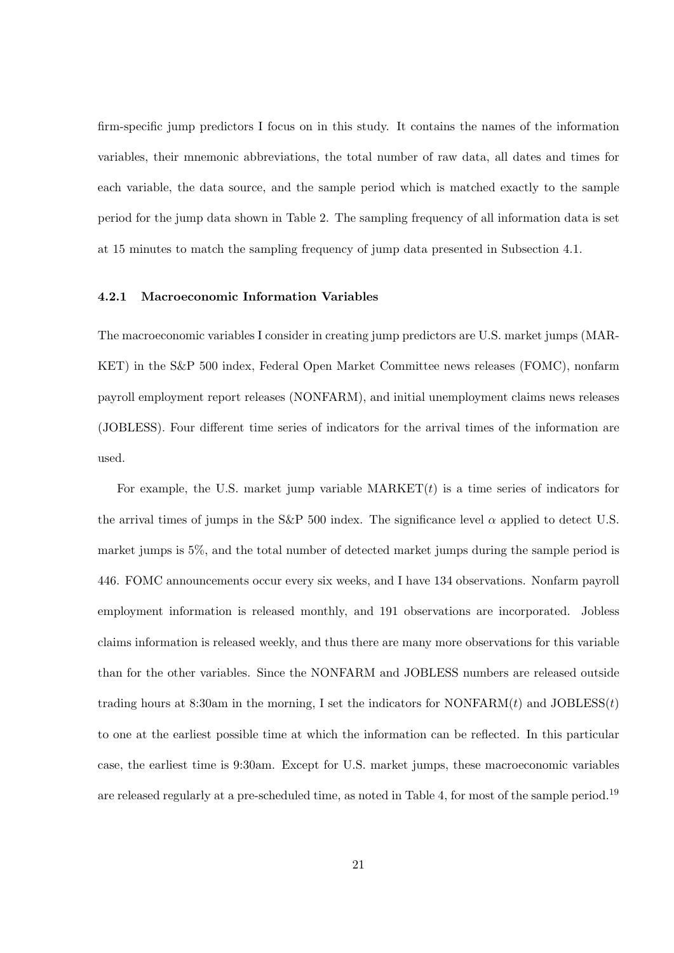firm-specific jump predictors I focus on in this study. It contains the names of the information variables, their mnemonic abbreviations, the total number of raw data, all dates and times for each variable, the data source, and the sample period which is matched exactly to the sample period for the jump data shown in Table 2. The sampling frequency of all information data is set at 15 minutes to match the sampling frequency of jump data presented in Subsection 4.1.

#### **4.2.1 Macroeconomic Information Variables**

The macroeconomic variables I consider in creating jump predictors are U.S. market jumps (MAR-KET) in the S&P 500 index, Federal Open Market Committee news releases (FOMC), nonfarm payroll employment report releases (NONFARM), and initial unemployment claims news releases (JOBLESS). Four different time series of indicators for the arrival times of the information are used.

For example, the U.S. market jump variable  $MARKET(t)$  is a time series of indicators for the arrival times of jumps in the S&P 500 index. The significance level  $\alpha$  applied to detect U.S. market jumps is 5%, and the total number of detected market jumps during the sample period is 446. FOMC announcements occur every six weeks, and I have 134 observations. Nonfarm payroll employment information is released monthly, and 191 observations are incorporated. Jobless claims information is released weekly, and thus there are many more observations for this variable than for the other variables. Since the NONFARM and JOBLESS numbers are released outside trading hours at 8:30am in the morning, I set the indicators for NONFARM(*t*) and JOBLESS(*t*) to one at the earliest possible time at which the information can be reflected. In this particular case, the earliest time is 9:30am. Except for U.S. market jumps, these macroeconomic variables are released regularly at a pre-scheduled time, as noted in Table 4, for most of the sample period.<sup>19</sup>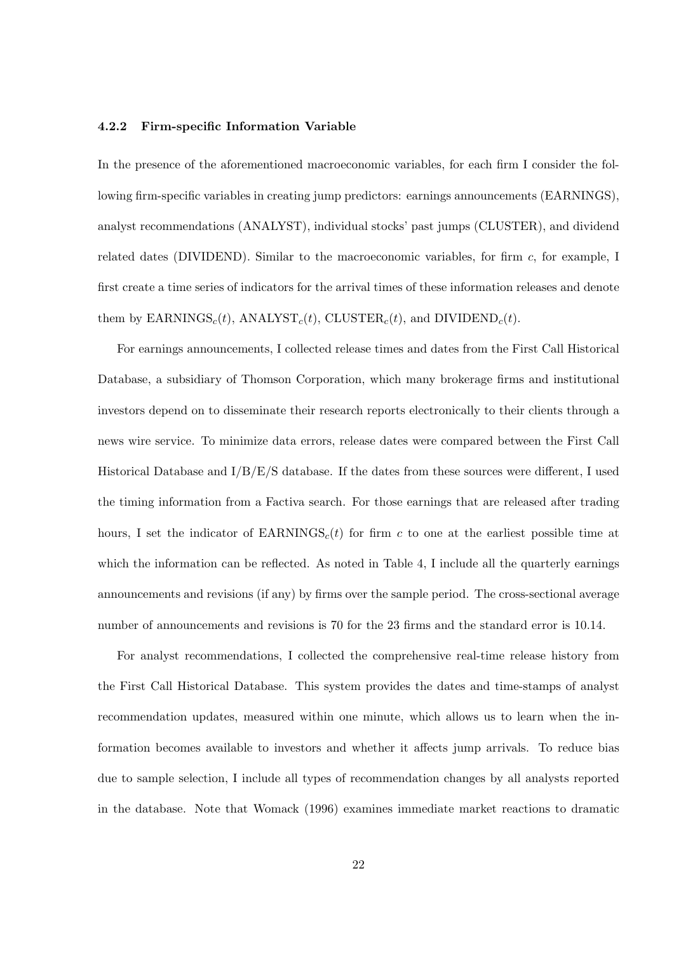#### **4.2.2 Firm-specific Information Variable**

In the presence of the aforementioned macroeconomic variables, for each firm I consider the following firm-specific variables in creating jump predictors: earnings announcements (EARNINGS), analyst recommendations (ANALYST), individual stocks' past jumps (CLUSTER), and dividend related dates (DIVIDEND). Similar to the macroeconomic variables, for firm *c*, for example, I first create a time series of indicators for the arrival times of these information releases and denote them by  $\text{EARNINGS}_c(t)$ ,  $\text{ANALVST}_c(t)$ ,  $\text{CLUSTER}_c(t)$ , and  $\text{DIVIDEND}_c(t)$ .

For earnings announcements, I collected release times and dates from the First Call Historical Database, a subsidiary of Thomson Corporation, which many brokerage firms and institutional investors depend on to disseminate their research reports electronically to their clients through a news wire service. To minimize data errors, release dates were compared between the First Call Historical Database and I/B/E/S database. If the dates from these sources were different, I used the timing information from a Factiva search. For those earnings that are released after trading hours, I set the indicator of  $EARNINGS<sub>c</sub>(t)$  for firm c to one at the earliest possible time at which the information can be reflected. As noted in Table 4, I include all the quarterly earnings announcements and revisions (if any) by firms over the sample period. The cross-sectional average number of announcements and revisions is 70 for the 23 firms and the standard error is 10.14.

For analyst recommendations, I collected the comprehensive real-time release history from the First Call Historical Database. This system provides the dates and time-stamps of analyst recommendation updates, measured within one minute, which allows us to learn when the information becomes available to investors and whether it affects jump arrivals. To reduce bias due to sample selection, I include all types of recommendation changes by all analysts reported in the database. Note that Womack (1996) examines immediate market reactions to dramatic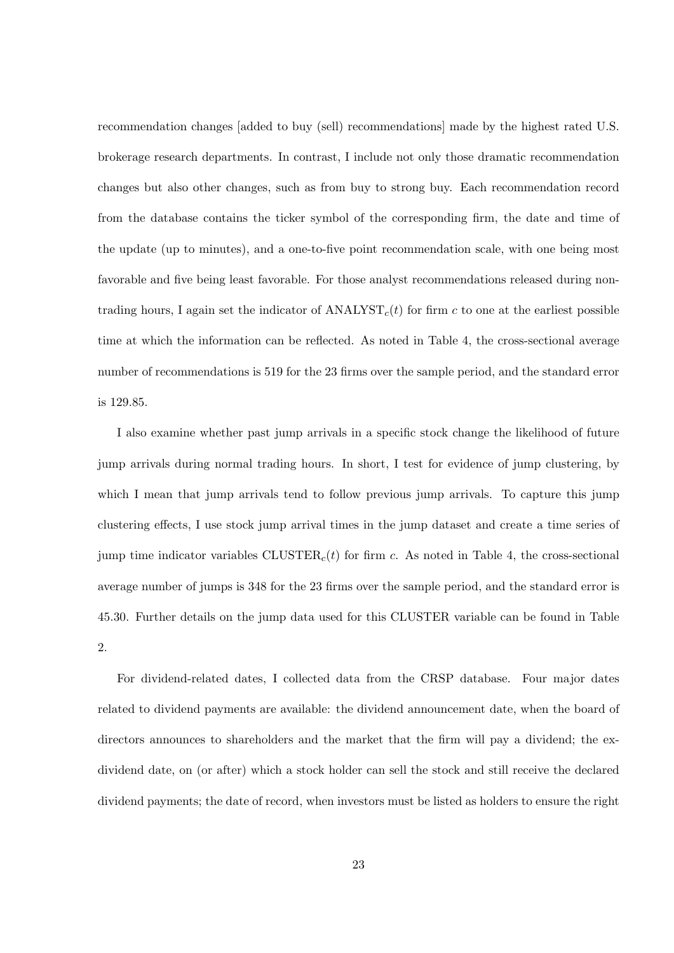recommendation changes [added to buy (sell) recommendations] made by the highest rated U.S. brokerage research departments. In contrast, I include not only those dramatic recommendation changes but also other changes, such as from buy to strong buy. Each recommendation record from the database contains the ticker symbol of the corresponding firm, the date and time of the update (up to minutes), and a one-to-five point recommendation scale, with one being most favorable and five being least favorable. For those analyst recommendations released during nontrading hours, I again set the indicator of  $\text{ANALVST}_c(t)$  for firm c to one at the earliest possible time at which the information can be reflected. As noted in Table 4, the cross-sectional average number of recommendations is 519 for the 23 firms over the sample period, and the standard error is 129.85.

I also examine whether past jump arrivals in a specific stock change the likelihood of future jump arrivals during normal trading hours. In short, I test for evidence of jump clustering, by which I mean that jump arrivals tend to follow previous jump arrivals. To capture this jump clustering effects, I use stock jump arrival times in the jump dataset and create a time series of jump time indicator variables  $CLUSTER<sub>c</sub>(t)$  for firm *c*. As noted in Table 4, the cross-sectional average number of jumps is 348 for the 23 firms over the sample period, and the standard error is 45.30. Further details on the jump data used for this CLUSTER variable can be found in Table 2.

For dividend-related dates, I collected data from the CRSP database. Four major dates related to dividend payments are available: the dividend announcement date, when the board of directors announces to shareholders and the market that the firm will pay a dividend; the exdividend date, on (or after) which a stock holder can sell the stock and still receive the declared dividend payments; the date of record, when investors must be listed as holders to ensure the right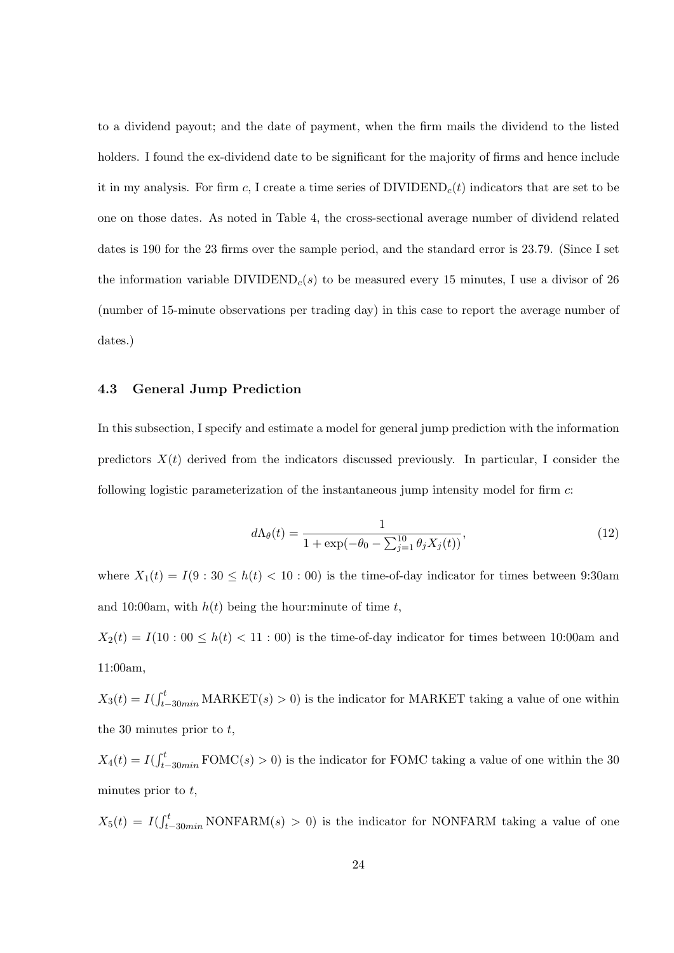to a dividend payout; and the date of payment, when the firm mails the dividend to the listed holders. I found the ex-dividend date to be significant for the majority of firms and hence include it in my analysis. For firm  $c$ , I create a time series of  $\text{DIVIDEND}_c(t)$  indicators that are set to be one on those dates. As noted in Table 4, the cross-sectional average number of dividend related dates is 190 for the 23 firms over the sample period, and the standard error is 23.79. (Since I set the information variable  $\text{DIVIDEND}_c(s)$  to be measured every 15 minutes, I use a divisor of 26 (number of 15-minute observations per trading day) in this case to report the average number of dates.)

### **4.3 General Jump Prediction**

In this subsection, I specify and estimate a model for general jump prediction with the information predictors  $X(t)$  derived from the indicators discussed previously. In particular, I consider the following logistic parameterization of the instantaneous jump intensity model for firm *c*:

$$
d\Lambda_{\theta}(t) = \frac{1}{1 + \exp(-\theta_0 - \sum_{j=1}^{10} \theta_j X_j(t))},\tag{12}
$$

where  $X_1(t) = I(9:30 \le h(t) < 10:00)$  is the time-of-day indicator for times between 9:30am and 10:00am, with  $h(t)$  being the hour:minute of time  $t$ ,

 $X_2(t) = I(10:00 \le h(t) < 11:00)$  is the time-of-day indicator for times between 10:00am and 11:00am,

 $X_3(t) = I(f_{t-30min}^t \text{MARKET}(s) > 0)$  is the indicator for MARKET taking a value of one within the 30 minutes prior to *t*,

 $X_4(t) = I(f_{t-30min}^t \text{FOMC}(s) > 0)$  is the indicator for FOMC taking a value of one within the 30 minutes prior to *t*,

 $X_5(t) = I(\int_{t-30min}^t \text{NONFARM}(s) > 0)$  is the indicator for NONFARM taking a value of one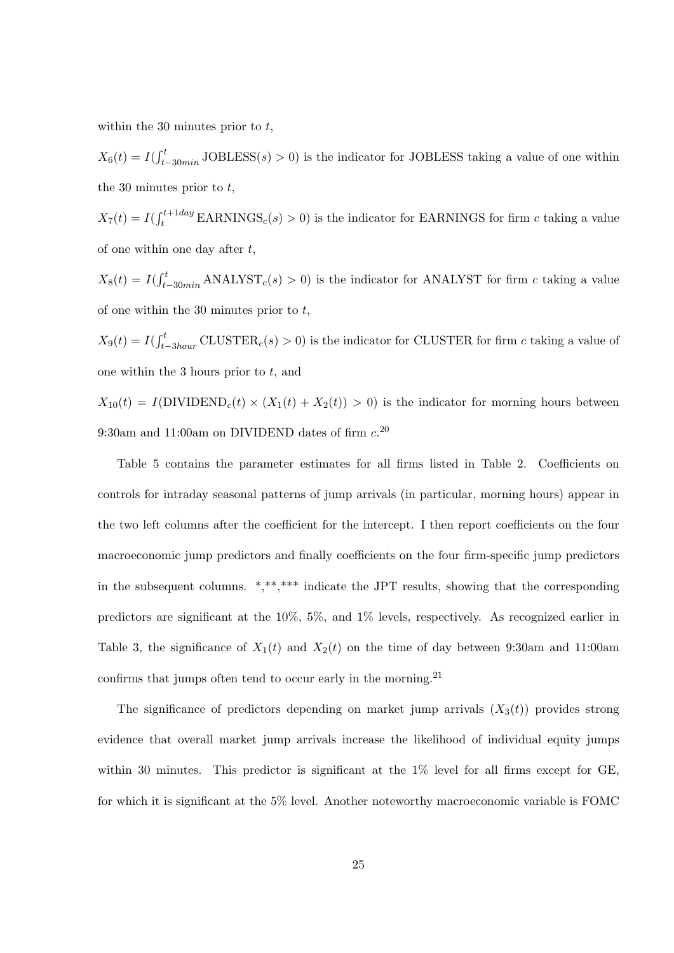within the 30 minutes prior to *t*,

 $X_6(t) = I(f_{t-30min}^t \text{JOBLESS}(s) > 0)$  is the indicator for JOBLESS taking a value of one within the 30 minutes prior to *t*,

 $X_7(t) = I(f_t^{t+1day} \text{EARNINGS}_c(s) > 0)$  is the indicator for EARNINGS for firm *c* taking a value of one within one day after *t*,

 $X_8(t) = I(f_{t-30min}^t \text{ANALYST}_c(s) > 0)$  is the indicator for ANALYST for firm *c* taking a value of one within the 30 minutes prior to *t*,

 $X_9(t) = I(f_{t-3hour}^t \text{CLUSTER}_c(s) > 0)$  is the indicator for CLUSTER for firm *c* taking a value of one within the 3 hours prior to *t*, and

 $X_{10}(t) = I(DIVIDEND<sub>c</sub>(t) \times (X_1(t) + X_2(t)) > 0)$  is the indicator for morning hours between 9:30am and 11:00am on DIVIDEND dates of firm *c*. 20

Table 5 contains the parameter estimates for all firms listed in Table 2. Coefficients on controls for intraday seasonal patterns of jump arrivals (in particular, morning hours) appear in the two left columns after the coefficient for the intercept. I then report coefficients on the four macroeconomic jump predictors and finally coefficients on the four firm-specific jump predictors in the subsequent columns. \*,\*\*,\*\*\* indicate the JPT results, showing that the corresponding predictors are significant at the 10%, 5%, and 1% levels, respectively. As recognized earlier in Table 3, the significance of  $X_1(t)$  and  $X_2(t)$  on the time of day between 9:30am and 11:00am confirms that jumps often tend to occur early in the morning.<sup>21</sup>

The significance of predictors depending on market jump arrivals  $(X_3(t))$  provides strong evidence that overall market jump arrivals increase the likelihood of individual equity jumps within 30 minutes. This predictor is significant at the  $1\%$  level for all firms except for GE, for which it is significant at the 5% level. Another noteworthy macroeconomic variable is FOMC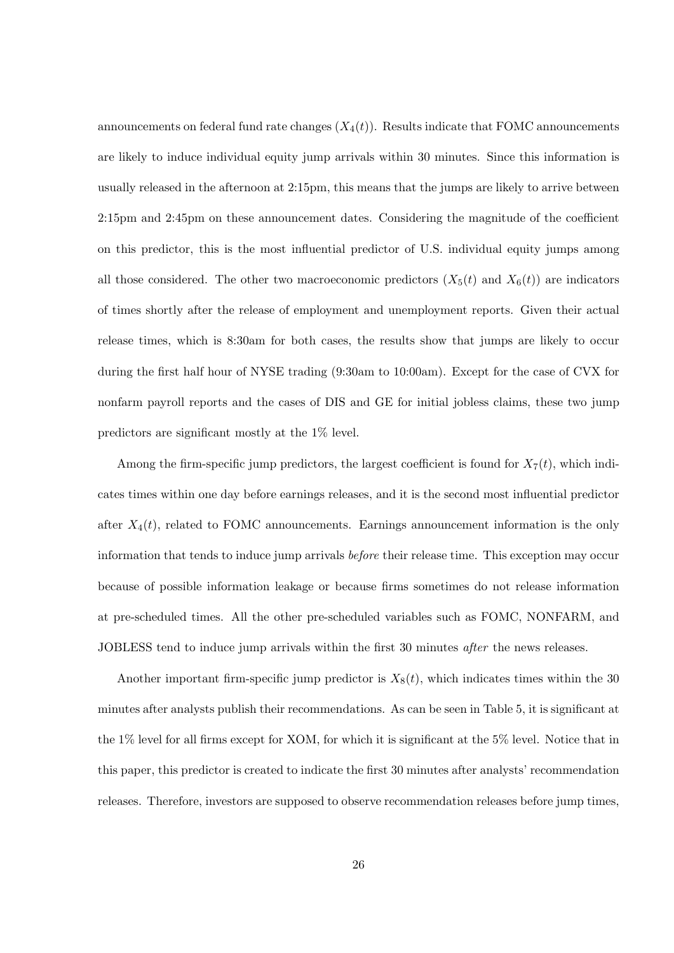announcements on federal fund rate changes  $(X_4(t))$ . Results indicate that FOMC announcements are likely to induce individual equity jump arrivals within 30 minutes. Since this information is usually released in the afternoon at 2:15pm, this means that the jumps are likely to arrive between 2:15pm and 2:45pm on these announcement dates. Considering the magnitude of the coefficient on this predictor, this is the most influential predictor of U.S. individual equity jumps among all those considered. The other two macroeconomic predictors  $(X_5(t)$  and  $X_6(t)$ ) are indicators of times shortly after the release of employment and unemployment reports. Given their actual release times, which is 8:30am for both cases, the results show that jumps are likely to occur during the first half hour of NYSE trading (9:30am to 10:00am). Except for the case of CVX for nonfarm payroll reports and the cases of DIS and GE for initial jobless claims, these two jump predictors are significant mostly at the 1% level.

Among the firm-specific jump predictors, the largest coefficient is found for  $X_7(t)$ , which indicates times within one day before earnings releases, and it is the second most influential predictor after  $X_4(t)$ , related to FOMC announcements. Earnings announcement information is the only information that tends to induce jump arrivals *before* their release time. This exception may occur because of possible information leakage or because firms sometimes do not release information at pre-scheduled times. All the other pre-scheduled variables such as FOMC, NONFARM, and JOBLESS tend to induce jump arrivals within the first 30 minutes *after* the news releases.

Another important firm-specific jump predictor is  $X_8(t)$ , which indicates times within the 30 minutes after analysts publish their recommendations. As can be seen in Table 5, it is significant at the 1% level for all firms except for XOM, for which it is significant at the 5% level. Notice that in this paper, this predictor is created to indicate the first 30 minutes after analysts' recommendation releases. Therefore, investors are supposed to observe recommendation releases before jump times,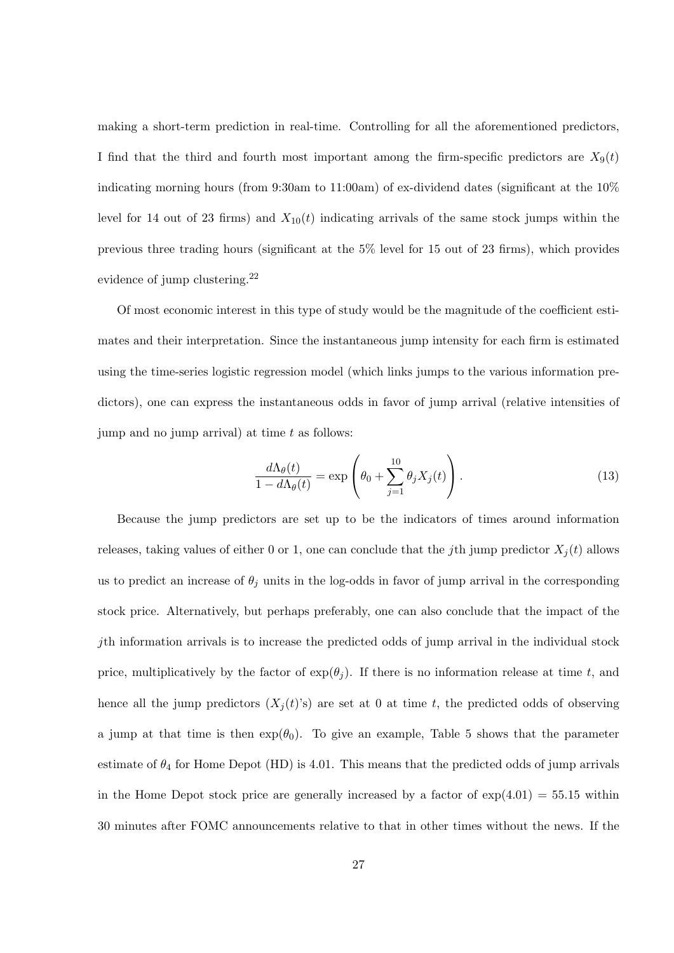making a short-term prediction in real-time. Controlling for all the aforementioned predictors, I find that the third and fourth most important among the firm-specific predictors are  $X_9(t)$ indicating morning hours (from 9:30am to 11:00am) of ex-dividend dates (significant at the 10% level for 14 out of 23 firms) and  $X_{10}(t)$  indicating arrivals of the same stock jumps within the previous three trading hours (significant at the 5% level for 15 out of 23 firms), which provides evidence of jump clustering.<sup>22</sup>

Of most economic interest in this type of study would be the magnitude of the coefficient estimates and their interpretation. Since the instantaneous jump intensity for each firm is estimated using the time-series logistic regression model (which links jumps to the various information predictors), one can express the instantaneous odds in favor of jump arrival (relative intensities of jump and no jump arrival) at time *t* as follows:

$$
\frac{d\Lambda_{\theta}(t)}{1 - d\Lambda_{\theta}(t)} = \exp\left(\theta_0 + \sum_{j=1}^{10} \theta_j X_j(t)\right). \tag{13}
$$

Because the jump predictors are set up to be the indicators of times around information releases, taking values of either 0 or 1, one can conclude that the *j*th jump predictor  $X_i(t)$  allows us to predict an increase of  $\theta_j$  units in the log-odds in favor of jump arrival in the corresponding stock price. Alternatively, but perhaps preferably, one can also conclude that the impact of the *j*th information arrivals is to increase the predicted odds of jump arrival in the individual stock price, multiplicatively by the factor of  $exp(\theta_i)$ . If there is no information release at time *t*, and hence all the jump predictors  $(X_i(t)$ 's) are set at 0 at time *t*, the predicted odds of observing a jump at that time is then  $\exp(\theta_0)$ . To give an example, Table 5 shows that the parameter estimate of  $\theta_4$  for Home Depot (HD) is 4.01. This means that the predicted odds of jump arrivals in the Home Depot stock price are generally increased by a factor of  $\exp(4.01) = 55.15$  within 30 minutes after FOMC announcements relative to that in other times without the news. If the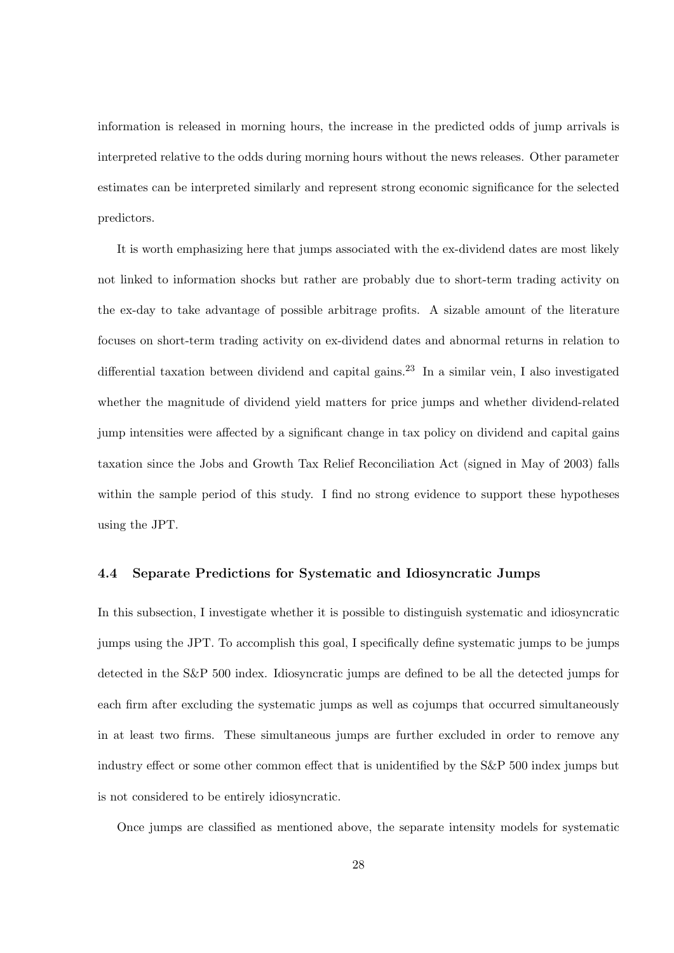information is released in morning hours, the increase in the predicted odds of jump arrivals is interpreted relative to the odds during morning hours without the news releases. Other parameter estimates can be interpreted similarly and represent strong economic significance for the selected predictors.

It is worth emphasizing here that jumps associated with the ex-dividend dates are most likely not linked to information shocks but rather are probably due to short-term trading activity on the ex-day to take advantage of possible arbitrage profits. A sizable amount of the literature focuses on short-term trading activity on ex-dividend dates and abnormal returns in relation to differential taxation between dividend and capital gains.<sup>23</sup> In a similar vein, I also investigated whether the magnitude of dividend yield matters for price jumps and whether dividend-related jump intensities were affected by a significant change in tax policy on dividend and capital gains taxation since the Jobs and Growth Tax Relief Reconciliation Act (signed in May of 2003) falls within the sample period of this study. I find no strong evidence to support these hypotheses using the JPT.

### **4.4 Separate Predictions for Systematic and Idiosyncratic Jumps**

In this subsection, I investigate whether it is possible to distinguish systematic and idiosyncratic jumps using the JPT. To accomplish this goal, I specifically define systematic jumps to be jumps detected in the S&P 500 index. Idiosyncratic jumps are defined to be all the detected jumps for each firm after excluding the systematic jumps as well as cojumps that occurred simultaneously in at least two firms. These simultaneous jumps are further excluded in order to remove any industry effect or some other common effect that is unidentified by the S&P 500 index jumps but is not considered to be entirely idiosyncratic.

Once jumps are classified as mentioned above, the separate intensity models for systematic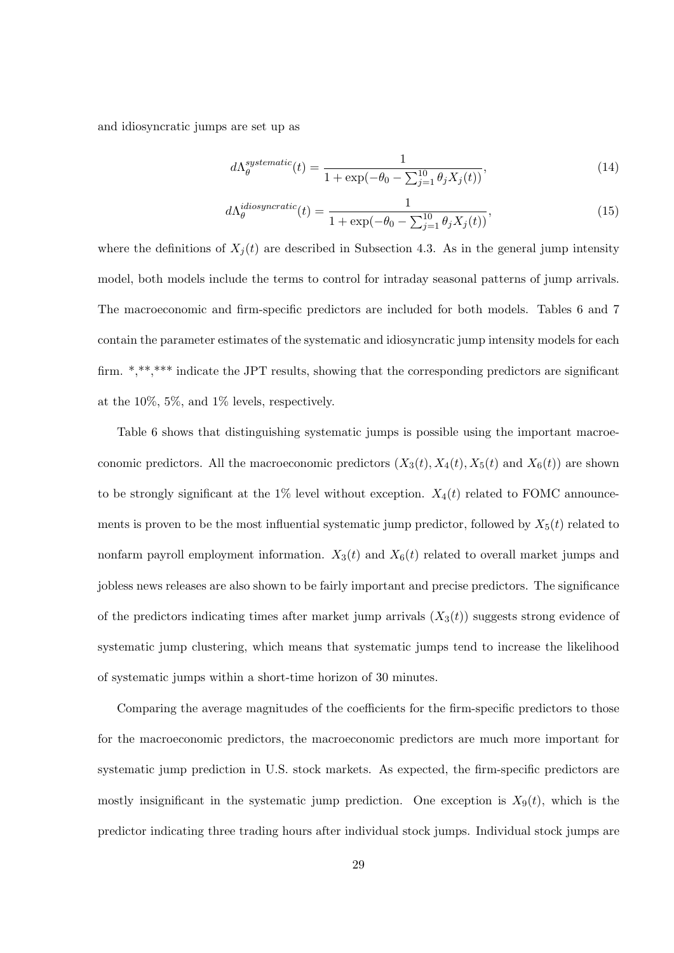and idiosyncratic jumps are set up as

$$
d\Lambda_{\theta}^{systematic}(t) = \frac{1}{1 + \exp(-\theta_0 - \sum_{j=1}^{10} \theta_j X_j(t))},\tag{14}
$$

$$
d\Lambda_{\theta}^{idiosyncratic}(t) = \frac{1}{1 + \exp(-\theta_0 - \sum_{j=1}^{10} \theta_j X_j(t))},\tag{15}
$$

where the definitions of  $X_j(t)$  are described in Subsection 4.3. As in the general jump intensity model, both models include the terms to control for intraday seasonal patterns of jump arrivals. The macroeconomic and firm-specific predictors are included for both models. Tables 6 and 7 contain the parameter estimates of the systematic and idiosyncratic jump intensity models for each firm. \*,\*\*,\*\*\* indicate the JPT results, showing that the corresponding predictors are significant at the 10%, 5%, and 1% levels, respectively.

Table 6 shows that distinguishing systematic jumps is possible using the important macroeconomic predictors. All the macroeconomic predictors  $(X_3(t), X_4(t), X_5(t)$  and  $X_6(t)$  are shown to be strongly significant at the 1% level without exception.  $X_4(t)$  related to FOMC announcements is proven to be the most influential systematic jump predictor, followed by  $X_5(t)$  related to nonfarm payroll employment information.  $X_3(t)$  and  $X_6(t)$  related to overall market jumps and jobless news releases are also shown to be fairly important and precise predictors. The significance of the predictors indicating times after market jump arrivals  $(X_3(t))$  suggests strong evidence of systematic jump clustering, which means that systematic jumps tend to increase the likelihood of systematic jumps within a short-time horizon of 30 minutes.

Comparing the average magnitudes of the coefficients for the firm-specific predictors to those for the macroeconomic predictors, the macroeconomic predictors are much more important for systematic jump prediction in U.S. stock markets. As expected, the firm-specific predictors are mostly insignificant in the systematic jump prediction. One exception is  $X_9(t)$ , which is the predictor indicating three trading hours after individual stock jumps. Individual stock jumps are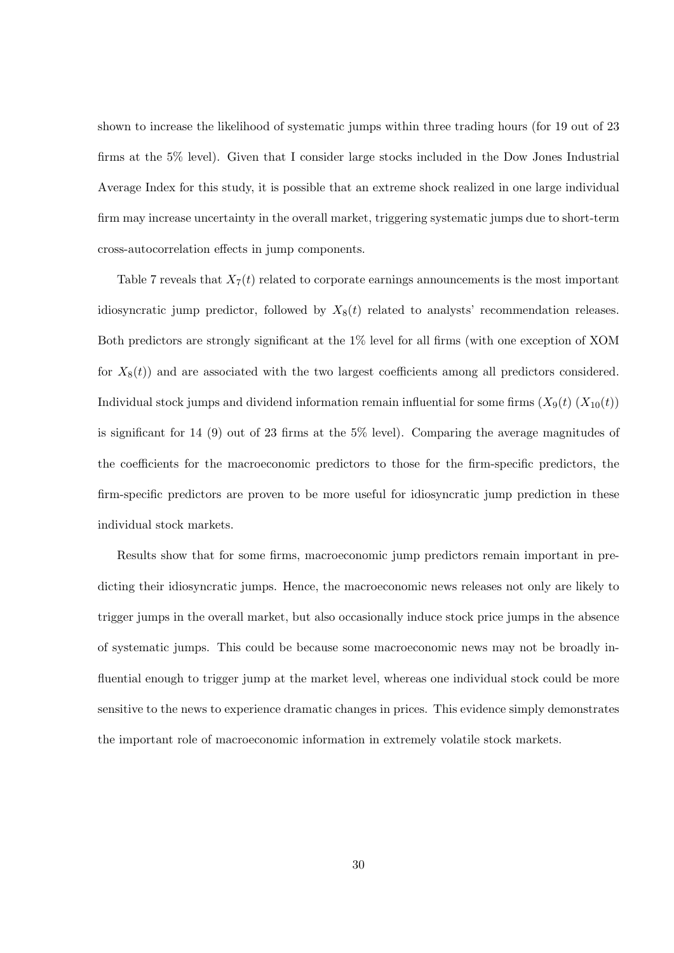shown to increase the likelihood of systematic jumps within three trading hours (for 19 out of 23 firms at the 5% level). Given that I consider large stocks included in the Dow Jones Industrial Average Index for this study, it is possible that an extreme shock realized in one large individual firm may increase uncertainty in the overall market, triggering systematic jumps due to short-term cross-autocorrelation effects in jump components.

Table 7 reveals that  $X_7(t)$  related to corporate earnings announcements is the most important idiosyncratic jump predictor, followed by  $X_8(t)$  related to analysts' recommendation releases. Both predictors are strongly significant at the 1% level for all firms (with one exception of XOM for  $X_8(t)$  and are associated with the two largest coefficients among all predictors considered. Individual stock jumps and dividend information remain influential for some firms  $(X_9(t) (X_{10}(t)))$ is significant for 14 (9) out of 23 firms at the 5% level). Comparing the average magnitudes of the coefficients for the macroeconomic predictors to those for the firm-specific predictors, the firm-specific predictors are proven to be more useful for idiosyncratic jump prediction in these individual stock markets.

Results show that for some firms, macroeconomic jump predictors remain important in predicting their idiosyncratic jumps. Hence, the macroeconomic news releases not only are likely to trigger jumps in the overall market, but also occasionally induce stock price jumps in the absence of systematic jumps. This could be because some macroeconomic news may not be broadly influential enough to trigger jump at the market level, whereas one individual stock could be more sensitive to the news to experience dramatic changes in prices. This evidence simply demonstrates the important role of macroeconomic information in extremely volatile stock markets.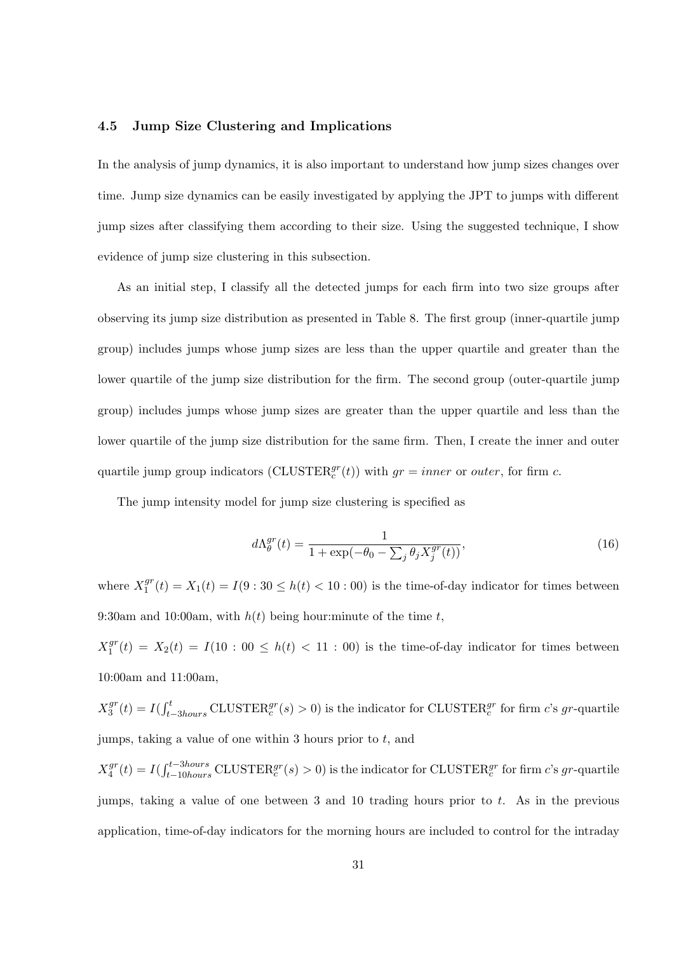#### **4.5 Jump Size Clustering and Implications**

In the analysis of jump dynamics, it is also important to understand how jump sizes changes over time. Jump size dynamics can be easily investigated by applying the JPT to jumps with different jump sizes after classifying them according to their size. Using the suggested technique, I show evidence of jump size clustering in this subsection.

As an initial step, I classify all the detected jumps for each firm into two size groups after observing its jump size distribution as presented in Table 8. The first group (inner-quartile jump group) includes jumps whose jump sizes are less than the upper quartile and greater than the lower quartile of the jump size distribution for the firm. The second group (outer-quartile jump group) includes jumps whose jump sizes are greater than the upper quartile and less than the lower quartile of the jump size distribution for the same firm. Then, I create the inner and outer quartile jump group indicators (CLUSTER<sup> $gr$ </sup>(*t*)) with  $gr = inner$  or *outer*, for firm *c*.

The jump intensity model for jump size clustering is specified as

$$
d\Lambda_{\theta}^{gr}(t) = \frac{1}{1 + \exp(-\theta_0 - \sum_{j} \theta_j X_j^{gr}(t))},\tag{16}
$$

where  $X_1^{gr}$  $\mathcal{L}_1^{gr}(t) = X_1(t) = I(9:30 \leq h(t) < 10:00)$  is the time-of-day indicator for times between 9:30am and 10:00am, with  $h(t)$  being hour:minute of the time  $t$ ,

 $X_1^{gr}$  $\int_1^{gr}(t) = X_2(t) = I(10:00 \le h(t) < 11:00)$  is the time-of-day indicator for times between 10:00am and 11:00am,

 $X_3^{gr}$  $J_3^{gr}(t) = I(\int_{t-3hours}^t CLUSTER_c^{gr}(s) > 0)$  is the indicator for CLUSTER<sub>c</sub><sup>*gr*</sup> for firm *c*'s *gr*-quartile jumps, taking a value of one within 3 hours prior to *t*, and

 $X_4^{gr}$  $\int_{4}^{gr}(t) = I(\int_{t-10 hours}^{t-3 hours} \text{CLUSTER}_{c}^{gr}(s) > 0)$  is the indicator for CLUSTER $_{c}^{gr}$  for firm *c*'s *gr*-quartile jumps, taking a value of one between 3 and 10 trading hours prior to *t*. As in the previous application, time-of-day indicators for the morning hours are included to control for the intraday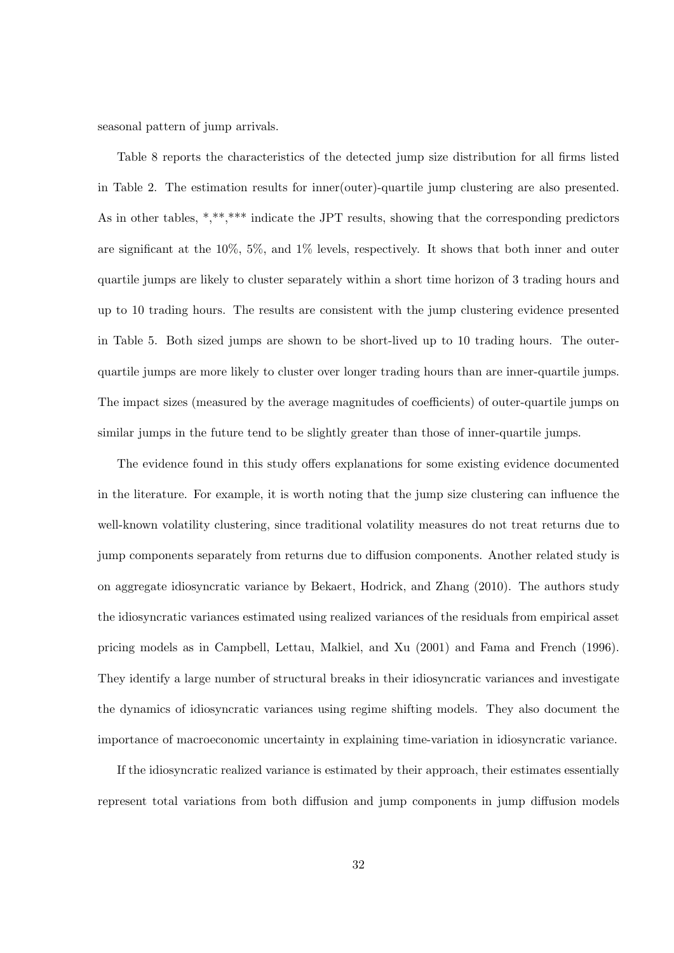seasonal pattern of jump arrivals.

Table 8 reports the characteristics of the detected jump size distribution for all firms listed in Table 2. The estimation results for inner(outer)-quartile jump clustering are also presented. As in other tables, \*,\*\*,\*\*\* indicate the JPT results, showing that the corresponding predictors are significant at the 10%, 5%, and 1% levels, respectively. It shows that both inner and outer quartile jumps are likely to cluster separately within a short time horizon of 3 trading hours and up to 10 trading hours. The results are consistent with the jump clustering evidence presented in Table 5. Both sized jumps are shown to be short-lived up to 10 trading hours. The outerquartile jumps are more likely to cluster over longer trading hours than are inner-quartile jumps. The impact sizes (measured by the average magnitudes of coefficients) of outer-quartile jumps on similar jumps in the future tend to be slightly greater than those of inner-quartile jumps.

The evidence found in this study offers explanations for some existing evidence documented in the literature. For example, it is worth noting that the jump size clustering can influence the well-known volatility clustering, since traditional volatility measures do not treat returns due to jump components separately from returns due to diffusion components. Another related study is on aggregate idiosyncratic variance by Bekaert, Hodrick, and Zhang (2010). The authors study the idiosyncratic variances estimated using realized variances of the residuals from empirical asset pricing models as in Campbell, Lettau, Malkiel, and Xu (2001) and Fama and French (1996). They identify a large number of structural breaks in their idiosyncratic variances and investigate the dynamics of idiosyncratic variances using regime shifting models. They also document the importance of macroeconomic uncertainty in explaining time-variation in idiosyncratic variance.

If the idiosyncratic realized variance is estimated by their approach, their estimates essentially represent total variations from both diffusion and jump components in jump diffusion models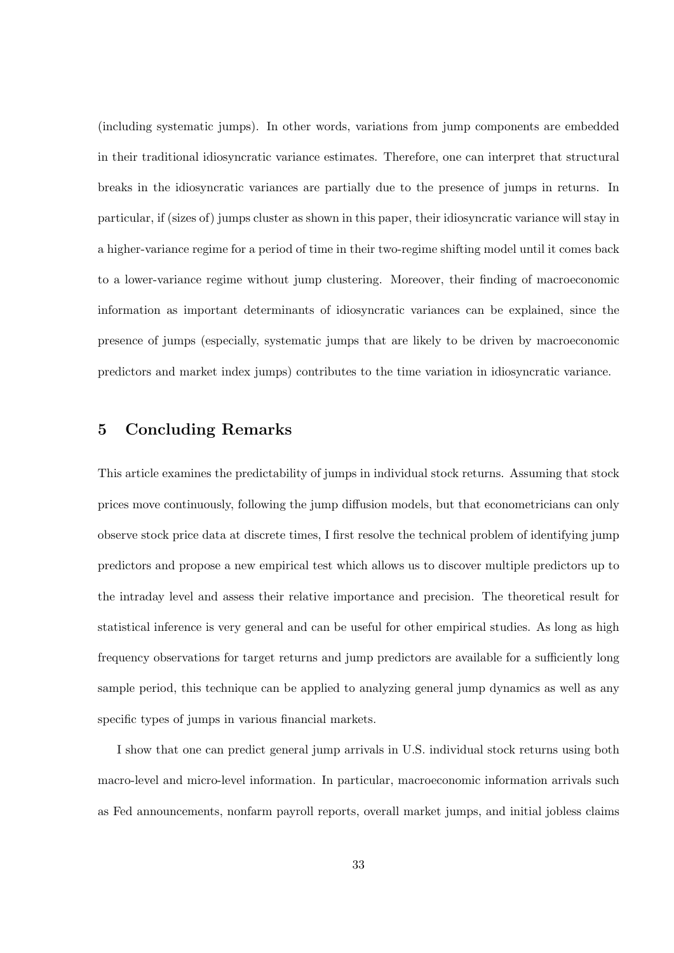(including systematic jumps). In other words, variations from jump components are embedded in their traditional idiosyncratic variance estimates. Therefore, one can interpret that structural breaks in the idiosyncratic variances are partially due to the presence of jumps in returns. In particular, if (sizes of) jumps cluster as shown in this paper, their idiosyncratic variance will stay in a higher-variance regime for a period of time in their two-regime shifting model until it comes back to a lower-variance regime without jump clustering. Moreover, their finding of macroeconomic information as important determinants of idiosyncratic variances can be explained, since the presence of jumps (especially, systematic jumps that are likely to be driven by macroeconomic predictors and market index jumps) contributes to the time variation in idiosyncratic variance.

### **5 Concluding Remarks**

This article examines the predictability of jumps in individual stock returns. Assuming that stock prices move continuously, following the jump diffusion models, but that econometricians can only observe stock price data at discrete times, I first resolve the technical problem of identifying jump predictors and propose a new empirical test which allows us to discover multiple predictors up to the intraday level and assess their relative importance and precision. The theoretical result for statistical inference is very general and can be useful for other empirical studies. As long as high frequency observations for target returns and jump predictors are available for a sufficiently long sample period, this technique can be applied to analyzing general jump dynamics as well as any specific types of jumps in various financial markets.

I show that one can predict general jump arrivals in U.S. individual stock returns using both macro-level and micro-level information. In particular, macroeconomic information arrivals such as Fed announcements, nonfarm payroll reports, overall market jumps, and initial jobless claims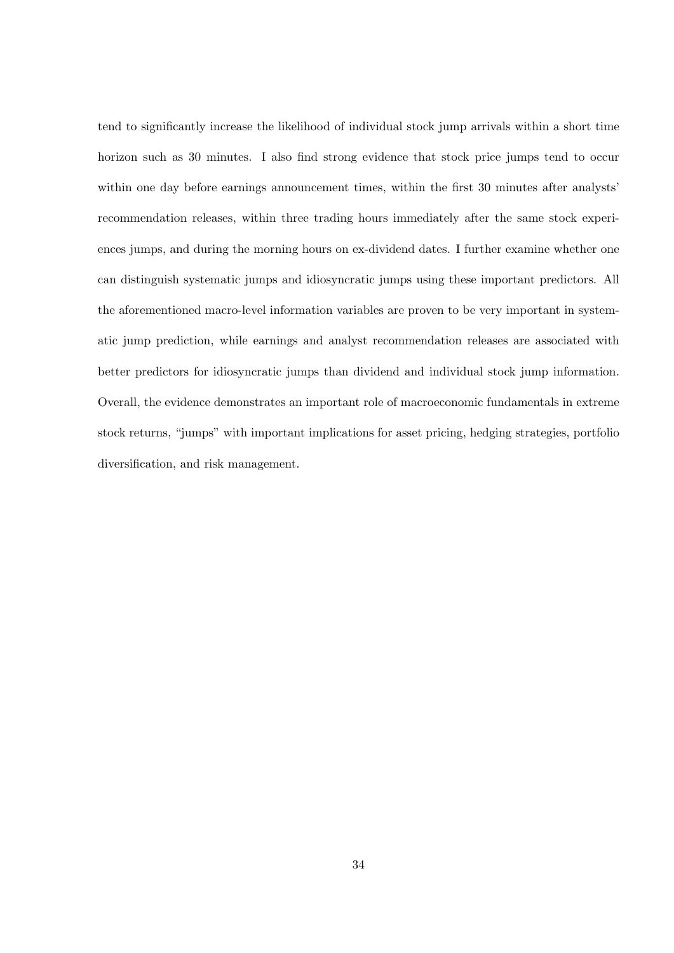tend to significantly increase the likelihood of individual stock jump arrivals within a short time horizon such as 30 minutes. I also find strong evidence that stock price jumps tend to occur within one day before earnings announcement times, within the first 30 minutes after analysts' recommendation releases, within three trading hours immediately after the same stock experiences jumps, and during the morning hours on ex-dividend dates. I further examine whether one can distinguish systematic jumps and idiosyncratic jumps using these important predictors. All the aforementioned macro-level information variables are proven to be very important in systematic jump prediction, while earnings and analyst recommendation releases are associated with better predictors for idiosyncratic jumps than dividend and individual stock jump information. Overall, the evidence demonstrates an important role of macroeconomic fundamentals in extreme stock returns, "jumps" with important implications for asset pricing, hedging strategies, portfolio diversification, and risk management.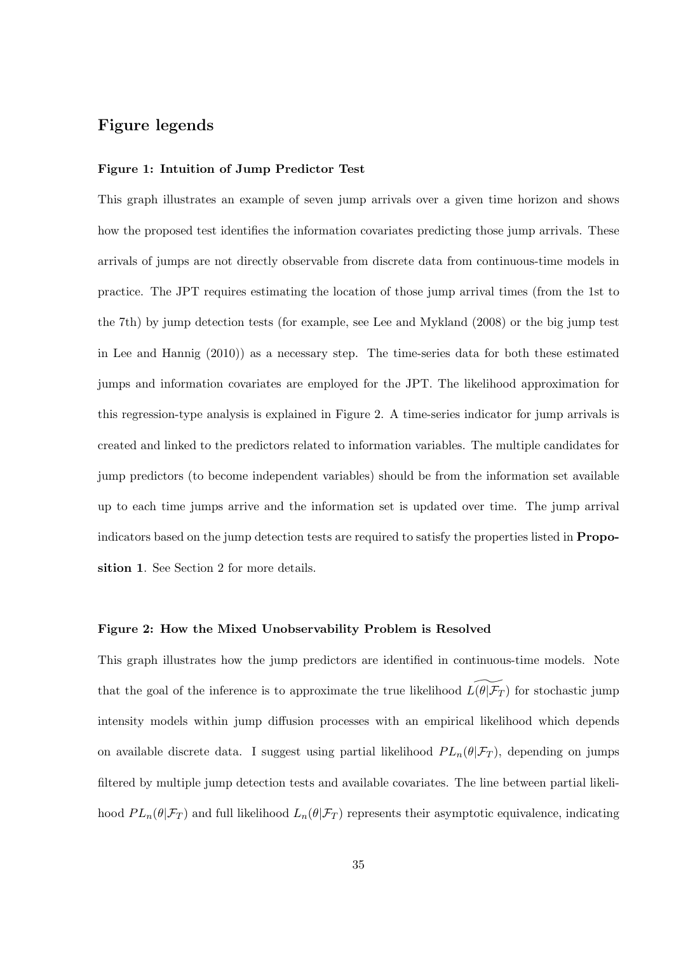# **Figure legends**

#### **Figure 1: Intuition of Jump Predictor Test**

This graph illustrates an example of seven jump arrivals over a given time horizon and shows how the proposed test identifies the information covariates predicting those jump arrivals. These arrivals of jumps are not directly observable from discrete data from continuous-time models in practice. The JPT requires estimating the location of those jump arrival times (from the 1st to the 7th) by jump detection tests (for example, see Lee and Mykland (2008) or the big jump test in Lee and Hannig (2010)) as a necessary step. The time-series data for both these estimated jumps and information covariates are employed for the JPT. The likelihood approximation for this regression-type analysis is explained in Figure 2. A time-series indicator for jump arrivals is created and linked to the predictors related to information variables. The multiple candidates for jump predictors (to become independent variables) should be from the information set available up to each time jumps arrive and the information set is updated over time. The jump arrival indicators based on the jump detection tests are required to satisfy the properties listed in **Proposition 1**. See Section 2 for more details.

#### **Figure 2: How the Mixed Unobservability Problem is Resolved**

This graph illustrates how the jump predictors are identified in continuous-time models. Note that the goal of the inference is to approximate the true likelihood  $\widetilde{L(\theta|\mathcal{F}_T)}$  for stochastic jump intensity models within jump diffusion processes with an empirical likelihood which depends on available discrete data. I suggest using partial likelihood  $PL_n(\theta|\mathcal{F}_T)$ , depending on jumps filtered by multiple jump detection tests and available covariates. The line between partial likelihood  $PL_n(\theta|\mathcal{F}_T)$  and full likelihood  $L_n(\theta|\mathcal{F}_T)$  represents their asymptotic equivalence, indicating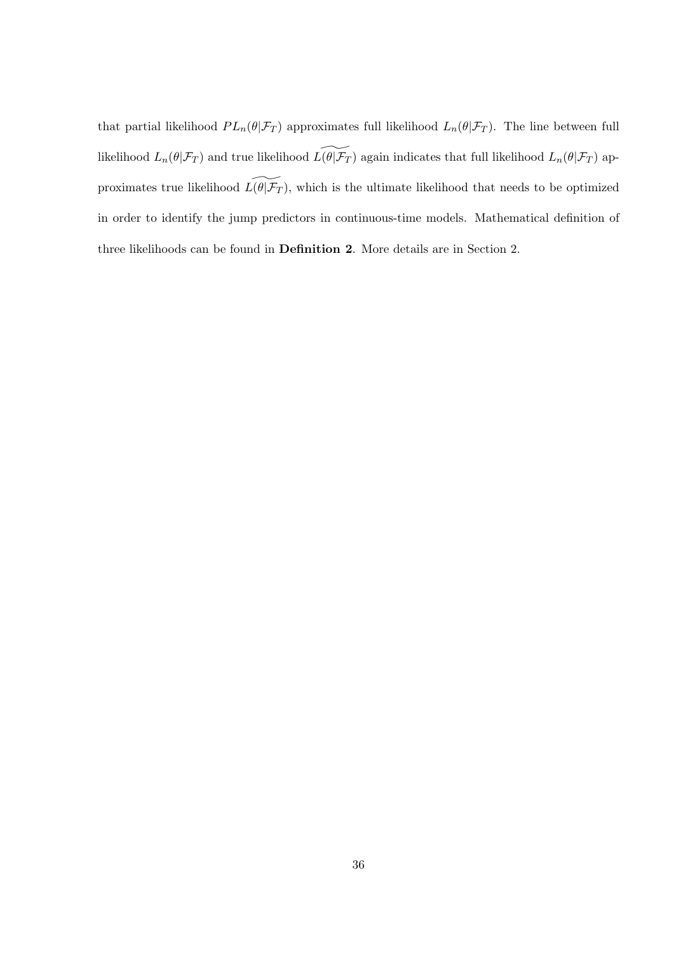that partial likelihood  $PL_n(\theta|\mathcal{F}_T)$  approximates full likelihood  $L_n(\theta|\mathcal{F}_T)$ . The line between full likelihood  $L_n(\theta | \mathcal{F}_T)$  and true likelihood  $L(\widetilde{\theta | \mathcal{F}_T})$  again indicates that full likelihood  $L_n(\theta | \mathcal{F}_T)$  approximates true likelihood  $\widetilde{L(\theta|\mathcal{F}_T)}$ , which is the ultimate likelihood that needs to be optimized in order to identify the jump predictors in continuous-time models. Mathematical definition of three likelihoods can be found in **Definition 2**. More details are in Section 2.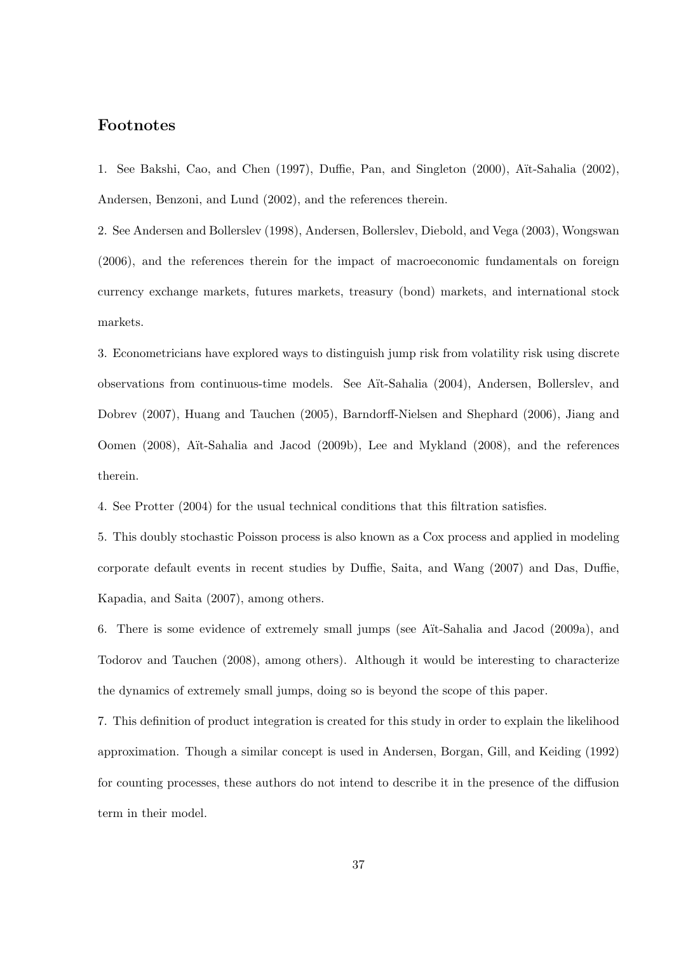# **Footnotes**

1. See Bakshi, Cao, and Chen (1997), Duffie, Pan, and Singleton (2000), Aït-Sahalia (2002), Andersen, Benzoni, and Lund (2002), and the references therein.

2. See Andersen and Bollerslev (1998), Andersen, Bollerslev, Diebold, and Vega (2003), Wongswan (2006), and the references therein for the impact of macroeconomic fundamentals on foreign currency exchange markets, futures markets, treasury (bond) markets, and international stock markets.

3. Econometricians have explored ways to distinguish jump risk from volatility risk using discrete observations from continuous-time models. See A¨ıt-Sahalia (2004), Andersen, Bollerslev, and Dobrev (2007), Huang and Tauchen (2005), Barndorff-Nielsen and Shephard (2006), Jiang and Oomen (2008), Aït-Sahalia and Jacod (2009b), Lee and Mykland (2008), and the references therein.

4. See Protter (2004) for the usual technical conditions that this filtration satisfies.

5. This doubly stochastic Poisson process is also known as a Cox process and applied in modeling corporate default events in recent studies by Duffie, Saita, and Wang (2007) and Das, Duffie, Kapadia, and Saita (2007), among others.

6. There is some evidence of extremely small jumps (see A¨ıt-Sahalia and Jacod (2009a), and Todorov and Tauchen (2008), among others). Although it would be interesting to characterize the dynamics of extremely small jumps, doing so is beyond the scope of this paper.

7. This definition of product integration is created for this study in order to explain the likelihood approximation. Though a similar concept is used in Andersen, Borgan, Gill, and Keiding (1992) for counting processes, these authors do not intend to describe it in the presence of the diffusion term in their model.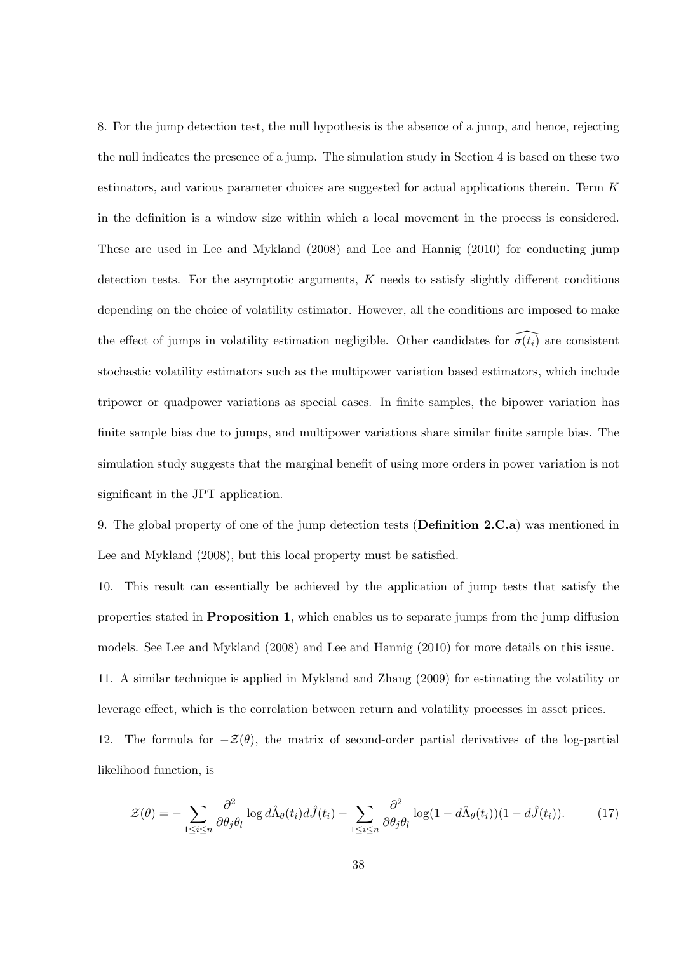8. For the jump detection test, the null hypothesis is the absence of a jump, and hence, rejecting the null indicates the presence of a jump. The simulation study in Section 4 is based on these two estimators, and various parameter choices are suggested for actual applications therein. Term *K* in the definition is a window size within which a local movement in the process is considered. These are used in Lee and Mykland (2008) and Lee and Hannig (2010) for conducting jump detection tests. For the asymptotic arguments, *K* needs to satisfy slightly different conditions depending on the choice of volatility estimator. However, all the conditions are imposed to make the effect of jumps in volatility estimation negligible. Other candidates for  $\widehat{\sigma(t_i)}$  are consistent stochastic volatility estimators such as the multipower variation based estimators, which include tripower or quadpower variations as special cases. In finite samples, the bipower variation has finite sample bias due to jumps, and multipower variations share similar finite sample bias. The simulation study suggests that the marginal benefit of using more orders in power variation is not significant in the JPT application.

9. The global property of one of the jump detection tests (**Definition 2.C.a**) was mentioned in Lee and Mykland (2008), but this local property must be satisfied.

10. This result can essentially be achieved by the application of jump tests that satisfy the properties stated in **Proposition 1**, which enables us to separate jumps from the jump diffusion models. See Lee and Mykland (2008) and Lee and Hannig (2010) for more details on this issue. 11. A similar technique is applied in Mykland and Zhang (2009) for estimating the volatility or leverage effect, which is the correlation between return and volatility processes in asset prices. 12. The formula for  $-\mathcal{Z}(\theta)$ , the matrix of second-order partial derivatives of the log-partial likelihood function, is

$$
\mathcal{Z}(\theta) = -\sum_{1 \le i \le n} \frac{\partial^2}{\partial \theta_j \theta_l} \log d\hat{\Lambda}_{\theta}(t_i) d\hat{J}(t_i) - \sum_{1 \le i \le n} \frac{\partial^2}{\partial \theta_j \theta_l} \log(1 - d\hat{\Lambda}_{\theta}(t_i)) (1 - d\hat{J}(t_i)). \tag{17}
$$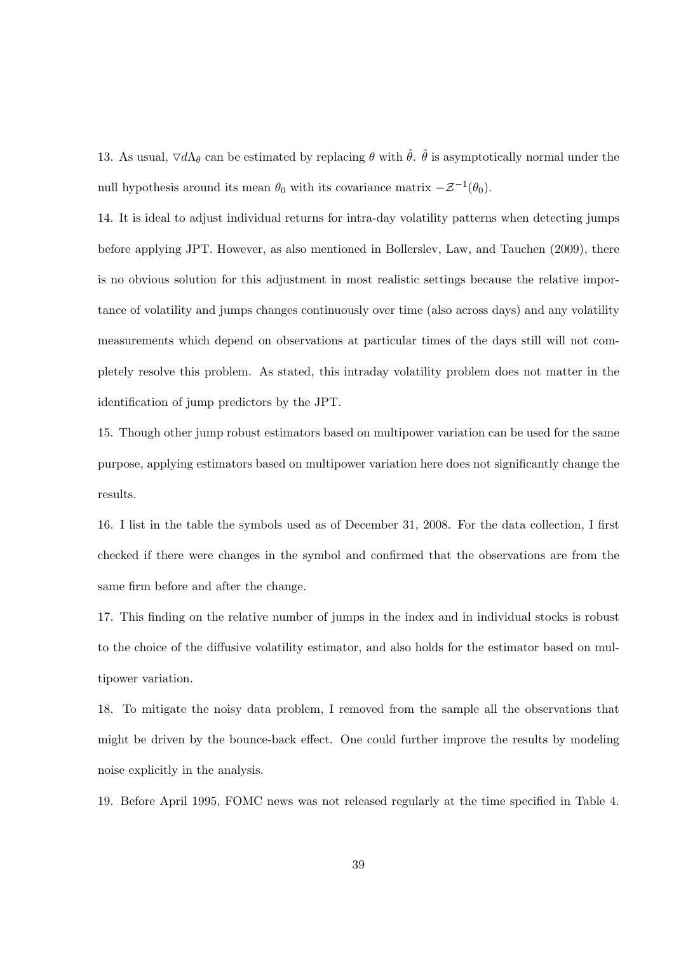13. As usual,  $\nabla d\Lambda_{\theta}$  can be estimated by replacing  $\theta$  with  $\hat{\theta}$ .  $\hat{\theta}$  is asymptotically normal under the null hypothesis around its mean  $\theta_0$  with its covariance matrix  $-\mathcal{Z}^{-1}(\theta_0)$ .

14. It is ideal to adjust individual returns for intra-day volatility patterns when detecting jumps before applying JPT. However, as also mentioned in Bollerslev, Law, and Tauchen (2009), there is no obvious solution for this adjustment in most realistic settings because the relative importance of volatility and jumps changes continuously over time (also across days) and any volatility measurements which depend on observations at particular times of the days still will not completely resolve this problem. As stated, this intraday volatility problem does not matter in the identification of jump predictors by the JPT.

15. Though other jump robust estimators based on multipower variation can be used for the same purpose, applying estimators based on multipower variation here does not significantly change the results.

16. I list in the table the symbols used as of December 31, 2008. For the data collection, I first checked if there were changes in the symbol and confirmed that the observations are from the same firm before and after the change.

17. This finding on the relative number of jumps in the index and in individual stocks is robust to the choice of the diffusive volatility estimator, and also holds for the estimator based on multipower variation.

18. To mitigate the noisy data problem, I removed from the sample all the observations that might be driven by the bounce-back effect. One could further improve the results by modeling noise explicitly in the analysis.

19. Before April 1995, FOMC news was not released regularly at the time specified in Table 4.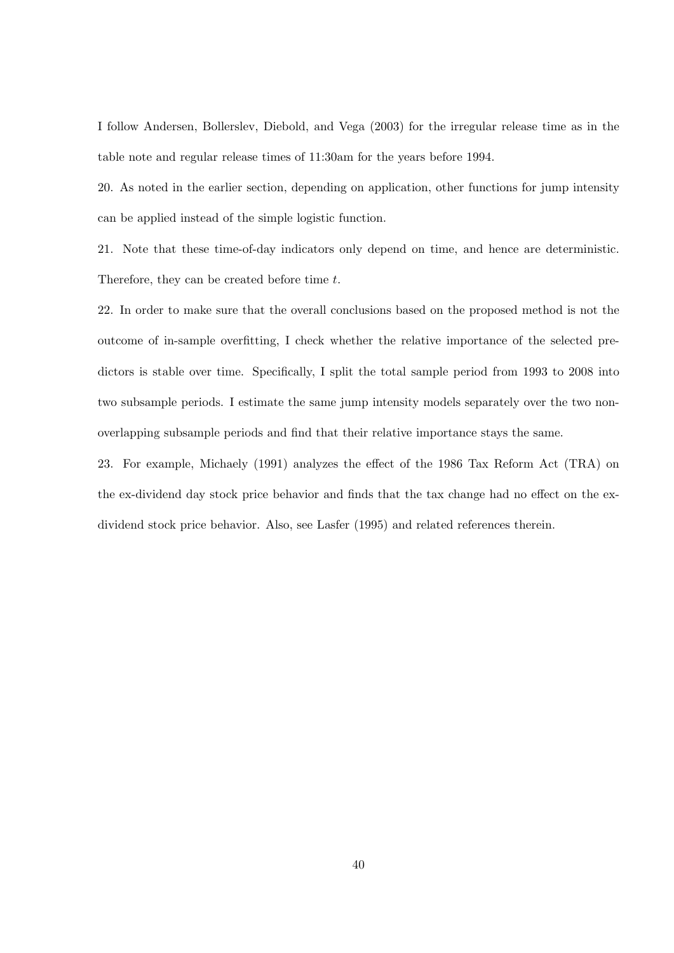I follow Andersen, Bollerslev, Diebold, and Vega (2003) for the irregular release time as in the table note and regular release times of 11:30am for the years before 1994.

20. As noted in the earlier section, depending on application, other functions for jump intensity can be applied instead of the simple logistic function.

21. Note that these time-of-day indicators only depend on time, and hence are deterministic. Therefore, they can be created before time *t*.

22. In order to make sure that the overall conclusions based on the proposed method is not the outcome of in-sample overfitting, I check whether the relative importance of the selected predictors is stable over time. Specifically, I split the total sample period from 1993 to 2008 into two subsample periods. I estimate the same jump intensity models separately over the two nonoverlapping subsample periods and find that their relative importance stays the same.

23. For example, Michaely (1991) analyzes the effect of the 1986 Tax Reform Act (TRA) on the ex-dividend day stock price behavior and finds that the tax change had no effect on the exdividend stock price behavior. Also, see Lasfer (1995) and related references therein.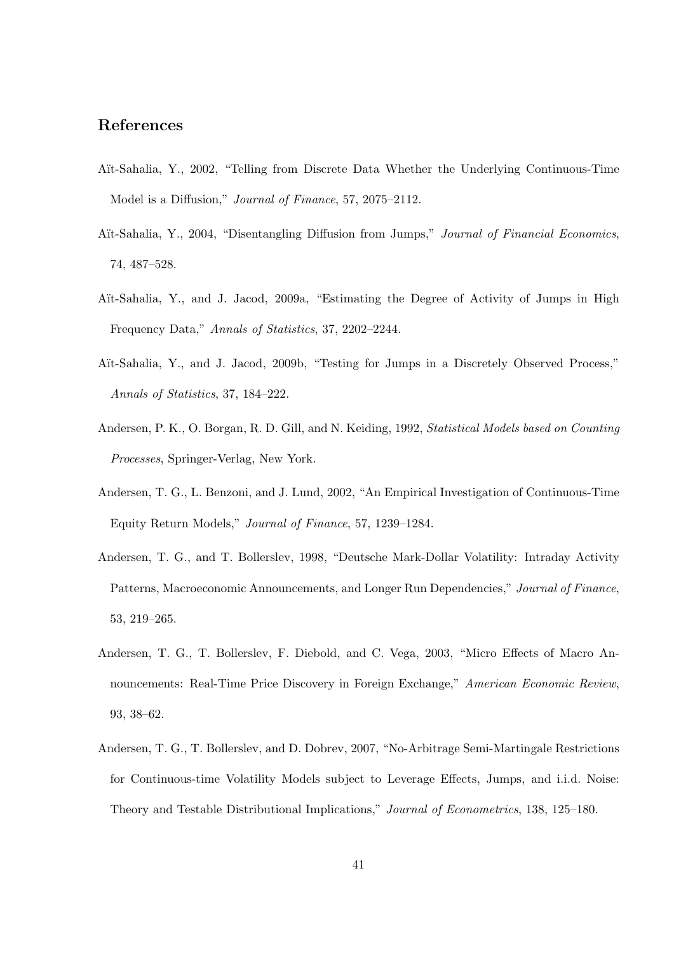# **References**

- Aït-Sahalia, Y., 2002, "Telling from Discrete Data Whether the Underlying Continuous-Time Model is a Diffusion," *Journal of Finance*, 57, 2075–2112.
- A¨ıt-Sahalia, Y., 2004, "Disentangling Diffusion from Jumps," *Journal of Financial Economics*, 74, 487–528.
- Aït-Sahalia, Y., and J. Jacod, 2009a, "Estimating the Degree of Activity of Jumps in High Frequency Data," *Annals of Statistics*, 37, 2202–2244.
- Aït-Sahalia, Y., and J. Jacod, 2009b, "Testing for Jumps in a Discretely Observed Process," *Annals of Statistics*, 37, 184–222.
- Andersen, P. K., O. Borgan, R. D. Gill, and N. Keiding, 1992, *Statistical Models based on Counting Processes*, Springer-Verlag, New York.
- Andersen, T. G., L. Benzoni, and J. Lund, 2002, "An Empirical Investigation of Continuous-Time Equity Return Models," *Journal of Finance*, 57, 1239–1284.
- Andersen, T. G., and T. Bollerslev, 1998, "Deutsche Mark-Dollar Volatility: Intraday Activity Patterns, Macroeconomic Announcements, and Longer Run Dependencies," *Journal of Finance*, 53, 219–265.
- Andersen, T. G., T. Bollerslev, F. Diebold, and C. Vega, 2003, "Micro Effects of Macro Announcements: Real-Time Price Discovery in Foreign Exchange," *American Economic Review*, 93, 38–62.
- Andersen, T. G., T. Bollerslev, and D. Dobrev, 2007, "No-Arbitrage Semi-Martingale Restrictions for Continuous-time Volatility Models subject to Leverage Effects, Jumps, and i.i.d. Noise: Theory and Testable Distributional Implications," *Journal of Econometrics*, 138, 125–180.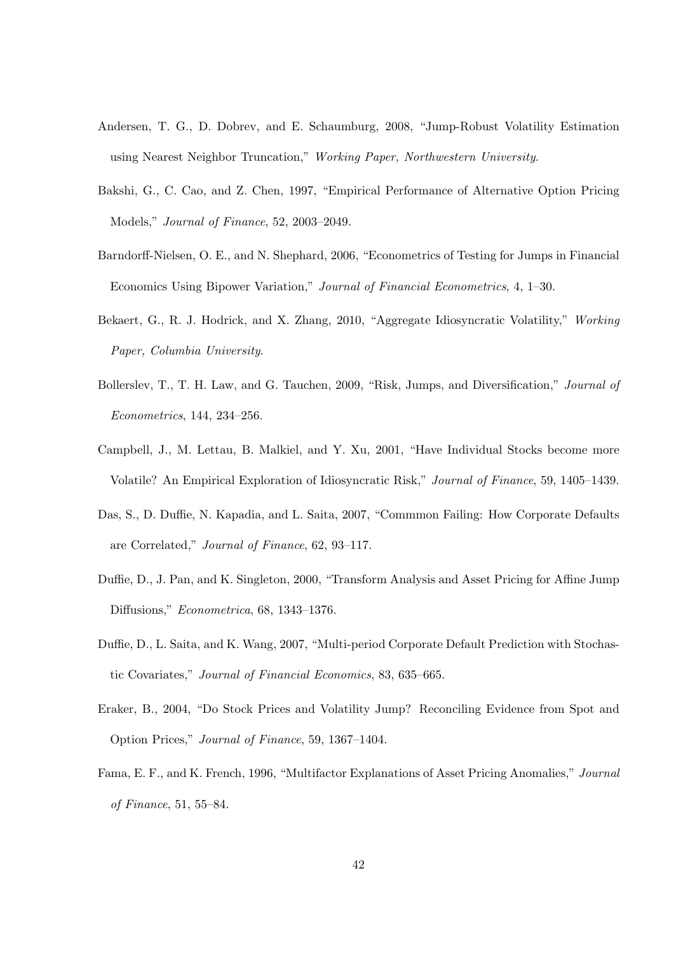- Andersen, T. G., D. Dobrev, and E. Schaumburg, 2008, "Jump-Robust Volatility Estimation using Nearest Neighbor Truncation," *Working Paper, Northwestern University*.
- Bakshi, G., C. Cao, and Z. Chen, 1997, "Empirical Performance of Alternative Option Pricing Models," *Journal of Finance*, 52, 2003–2049.
- Barndorff-Nielsen, O. E., and N. Shephard, 2006, "Econometrics of Testing for Jumps in Financial Economics Using Bipower Variation," *Journal of Financial Econometrics*, 4, 1–30.
- Bekaert, G., R. J. Hodrick, and X. Zhang, 2010, "Aggregate Idiosyncratic Volatility," *Working Paper, Columbia University*.
- Bollerslev, T., T. H. Law, and G. Tauchen, 2009, "Risk, Jumps, and Diversification," *Journal of Econometrics*, 144, 234–256.
- Campbell, J., M. Lettau, B. Malkiel, and Y. Xu, 2001, "Have Individual Stocks become more Volatile? An Empirical Exploration of Idiosyncratic Risk," *Journal of Finance*, 59, 1405–1439.
- Das, S., D. Duffie, N. Kapadia, and L. Saita, 2007, "Commmon Failing: How Corporate Defaults are Correlated," *Journal of Finance*, 62, 93–117.
- Duffie, D., J. Pan, and K. Singleton, 2000, "Transform Analysis and Asset Pricing for Affine Jump Diffusions," *Econometrica*, 68, 1343–1376.
- Duffie, D., L. Saita, and K. Wang, 2007, "Multi-period Corporate Default Prediction with Stochastic Covariates," *Journal of Financial Economics*, 83, 635–665.
- Eraker, B., 2004, "Do Stock Prices and Volatility Jump? Reconciling Evidence from Spot and Option Prices," *Journal of Finance*, 59, 1367–1404.
- Fama, E. F., and K. French, 1996, "Multifactor Explanations of Asset Pricing Anomalies," *Journal of Finance*, 51, 55–84.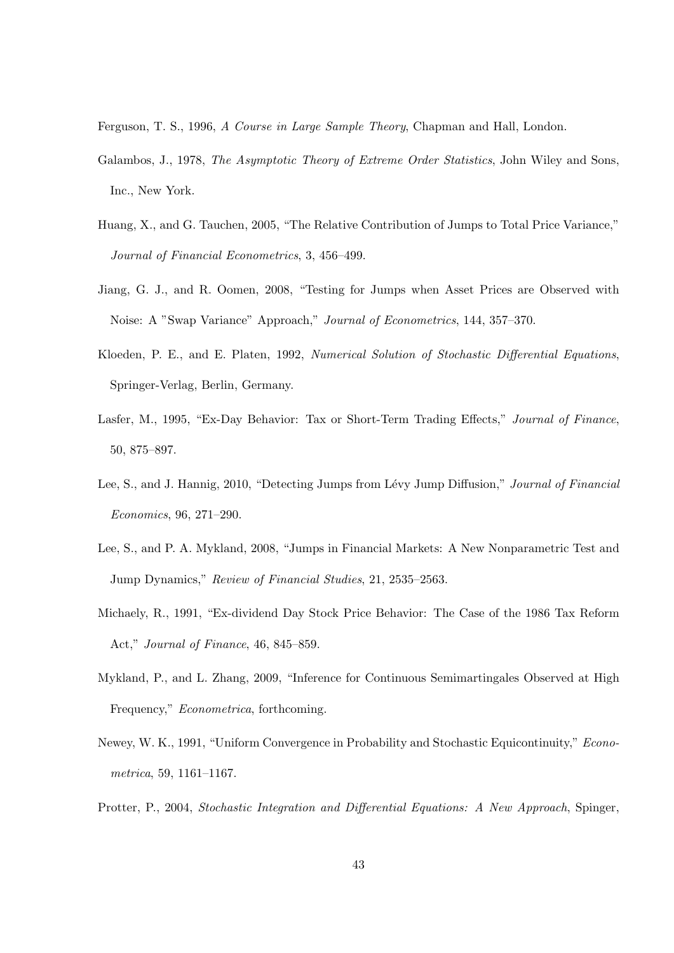Ferguson, T. S., 1996, *A Course in Large Sample Theory*, Chapman and Hall, London.

- Galambos, J., 1978, *The Asymptotic Theory of Extreme Order Statistics*, John Wiley and Sons, Inc., New York.
- Huang, X., and G. Tauchen, 2005, "The Relative Contribution of Jumps to Total Price Variance," *Journal of Financial Econometrics*, 3, 456–499.
- Jiang, G. J., and R. Oomen, 2008, "Testing for Jumps when Asset Prices are Observed with Noise: A "Swap Variance" Approach," *Journal of Econometrics*, 144, 357–370.
- Kloeden, P. E., and E. Platen, 1992, *Numerical Solution of Stochastic Differential Equations*, Springer-Verlag, Berlin, Germany.
- Lasfer, M., 1995, "Ex-Day Behavior: Tax or Short-Term Trading Effects," *Journal of Finance*, 50, 875–897.
- Lee, S., and J. Hannig, 2010, "Detecting Jumps from L´evy Jump Diffusion," *Journal of Financial Economics*, 96, 271–290.
- Lee, S., and P. A. Mykland, 2008, "Jumps in Financial Markets: A New Nonparametric Test and Jump Dynamics," *Review of Financial Studies*, 21, 2535–2563.
- Michaely, R., 1991, "Ex-dividend Day Stock Price Behavior: The Case of the 1986 Tax Reform Act," *Journal of Finance*, 46, 845–859.
- Mykland, P., and L. Zhang, 2009, "Inference for Continuous Semimartingales Observed at High Frequency," *Econometrica*, forthcoming.
- Newey, W. K., 1991, "Uniform Convergence in Probability and Stochastic Equicontinuity," *Econometrica*, 59, 1161–1167.
- Protter, P., 2004, *Stochastic Integration and Differential Equations: A New Approach*, Spinger,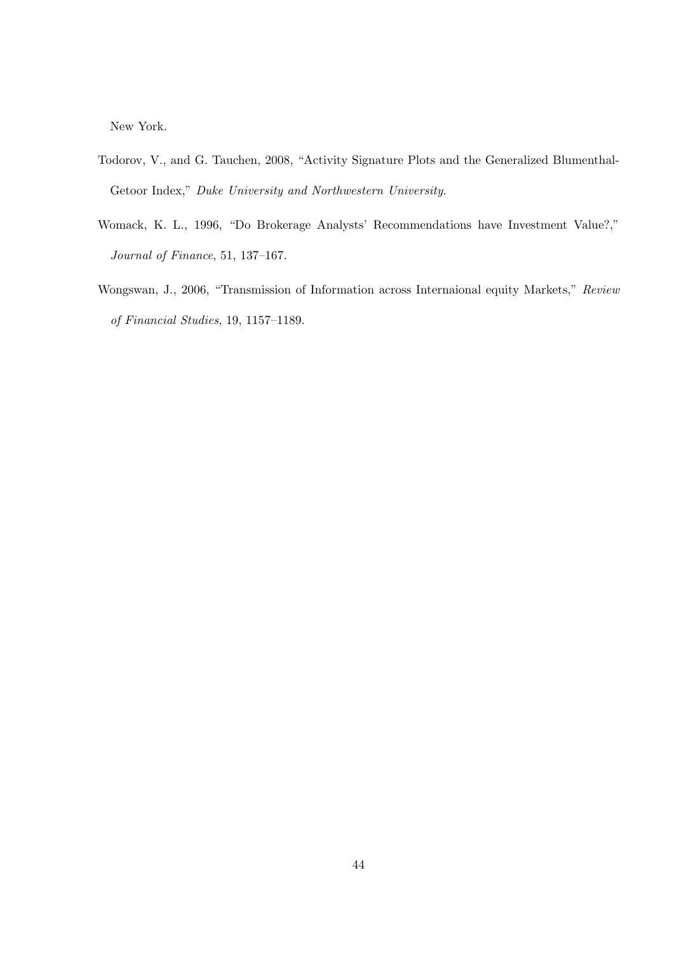New York.

- Todorov, V., and G. Tauchen, 2008, "Activity Signature Plots and the Generalized Blumenthal-Getoor Index," *Duke University and Northwestern University*.
- Womack, K. L., 1996, "Do Brokerage Analysts' Recommendations have Investment Value?," *Journal of Finance*, 51, 137–167.
- Wongswan, J., 2006, "Transmission of Information across Internaional equity Markets," *Review of Financial Studies*, 19, 1157–1189.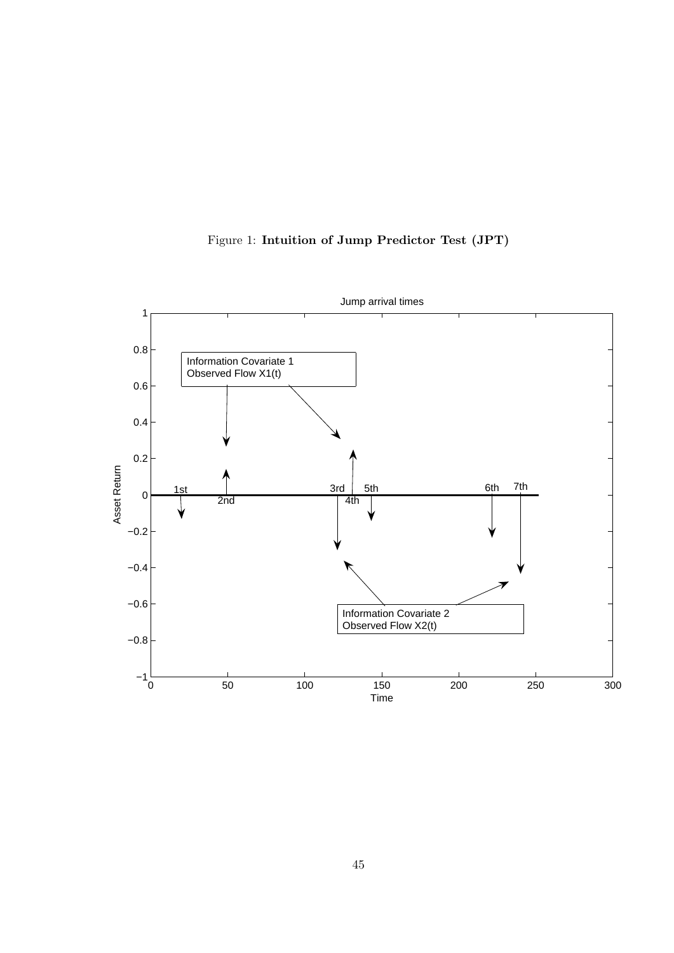

Figure 1: **Intuition of Jump Predictor Test (JPT)**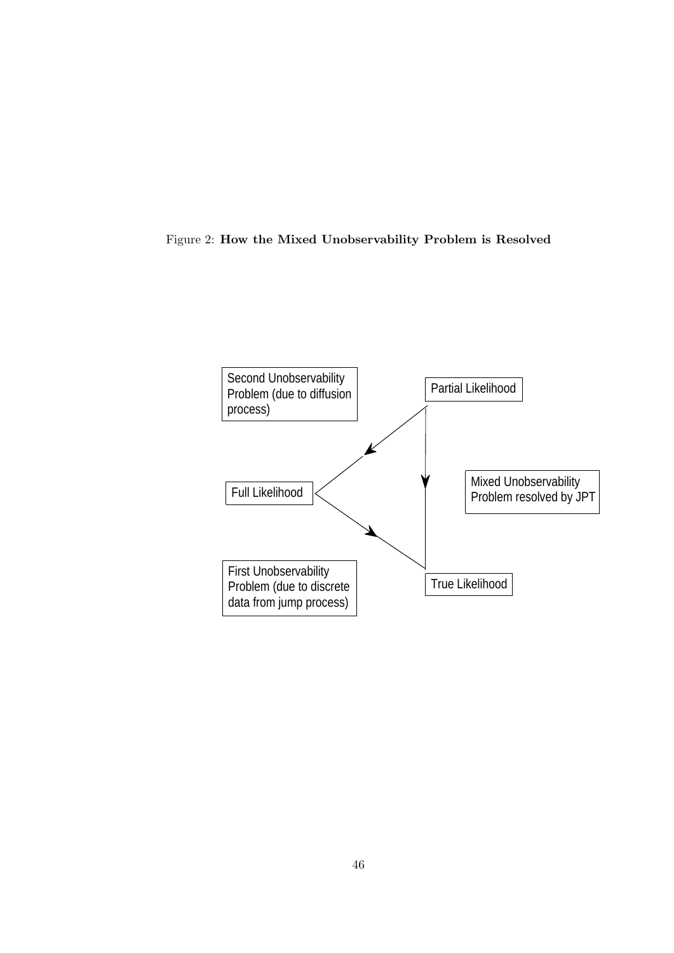

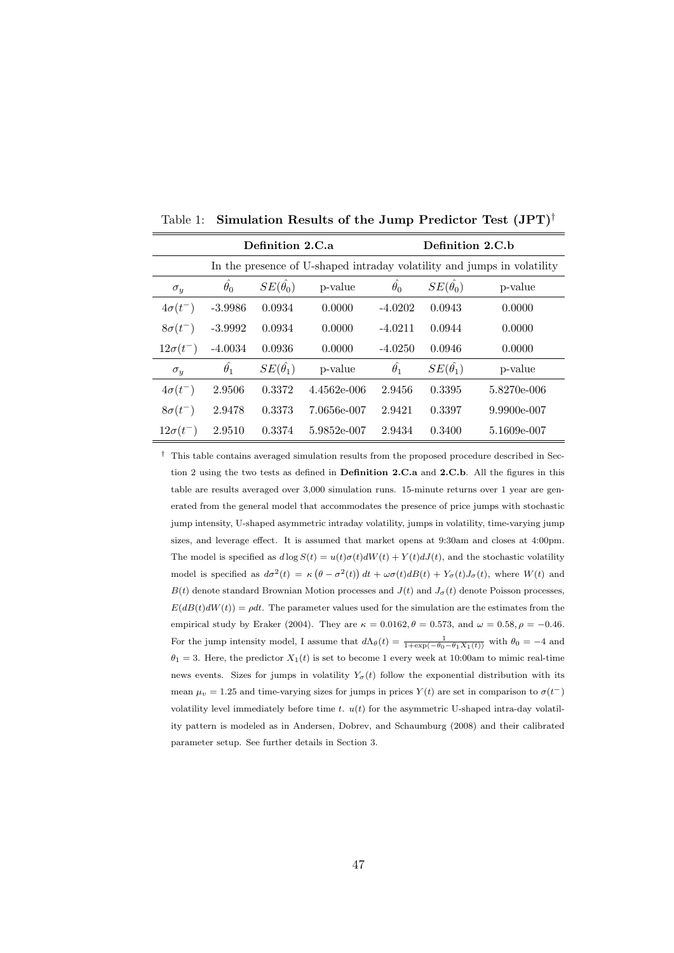|                   |                  | Definition 2.C.a     |               |                  | Definition 2.C.b     |                                                                         |
|-------------------|------------------|----------------------|---------------|------------------|----------------------|-------------------------------------------------------------------------|
|                   |                  |                      |               |                  |                      | In the presence of U-shaped intraday volatility and jumps in volatility |
| $\sigma_y$        | $\hat{\theta_0}$ | $SE(\hat{\theta_0})$ | p-value       | $\hat{\theta_0}$ | $SE(\hat{\theta_0})$ | p-value                                                                 |
| $4\sigma(t^{-})$  | $-3.9986$        | 0.0934               | 0.0000        | $-4.0202$        | 0.0943               | 0.0000                                                                  |
| $8\sigma(t^{-})$  | $-3.9992$        | 0.0934               | 0.0000        | $-4.0211$        | 0.0944               | 0.0000                                                                  |
| $12\sigma(t^{-})$ | $-4.0034$        | 0.0936               | 0.0000        | $-4.0250$        | 0.0946               | 0.0000                                                                  |
| $\sigma_y$        | $\hat{\theta_1}$ | $SE(\hat{\theta_1})$ | p-value       | $\hat{\theta_1}$ | $SE(\hat{\theta_1})$ | p-value                                                                 |
| $4\sigma(t^{-})$  | 2.9506           | 0.3372               | $4.4562e-006$ | 2.9456           | 0.3395               | 5.8270e-006                                                             |
| $8\sigma(t^{-})$  | 2.9478           | 0.3373               | 7.0656e-007   | 2.9421           | 0.3397               | $9.9900e-007$                                                           |
| $12\sigma(t^{-})$ | 2.9510           | 0.3374               | 5.9852e-007   | 2.9434           | 0.3400               | 5.1609e-007                                                             |

Table 1: **Simulation Results of the Jump Predictor Test (JPT)***†*

*†* This table contains averaged simulation results from the proposed procedure described in Section 2 using the two tests as defined in **Definition 2.C.a** and **2.C.b**. All the figures in this table are results averaged over 3,000 simulation runs. 15-minute returns over 1 year are generated from the general model that accommodates the presence of price jumps with stochastic jump intensity, U-shaped asymmetric intraday volatility, jumps in volatility, time-varying jump sizes, and leverage effect. It is assumed that market opens at 9:30am and closes at 4:00pm. The model is specified as  $d \log S(t) = u(t)\sigma(t)dW(t) + Y(t)dJ(t)$ , and the stochastic volatility model is specified as  $d\sigma^2(t) = \kappa (\theta - \sigma^2(t)) dt + \omega \sigma(t) dB(t) + Y_{\sigma}(t) J_{\sigma}(t)$ , where  $W(t)$  and *B*(*t*) denote standard Brownian Motion processes and  $J(t)$  and  $J_{\sigma}(t)$  denote Poisson processes,  $E(dB(t)dW(t)) = \rho dt$ . The parameter values used for the simulation are the estimates from the empirical study by Eraker (2004). They are  $\kappa = 0.0162$ ,  $\theta = 0.573$ , and  $\omega = 0.58$ ,  $\rho = -0.46$ . For the jump intensity model, I assume that  $d\Lambda_{\theta}(t) = \frac{1}{1+\exp(-\theta_0-\theta_1X_1(t))}$  with  $\theta_0 = -4$  and  $\theta_1 = 3$ . Here, the predictor  $X_1(t)$  is set to become 1 every week at 10:00am to mimic real-time news events. Sizes for jumps in volatility  $Y_{\sigma}(t)$  follow the exponential distribution with its mean  $\mu_v = 1.25$  and time-varying sizes for jumps in prices  $Y(t)$  are set in comparison to  $\sigma(t^-)$ volatility level immediately before time *t*. *u*(*t*) for the asymmetric U-shaped intra-day volatility pattern is modeled as in Andersen, Dobrev, and Schaumburg (2008) and their calibrated parameter setup. See further details in Section 3.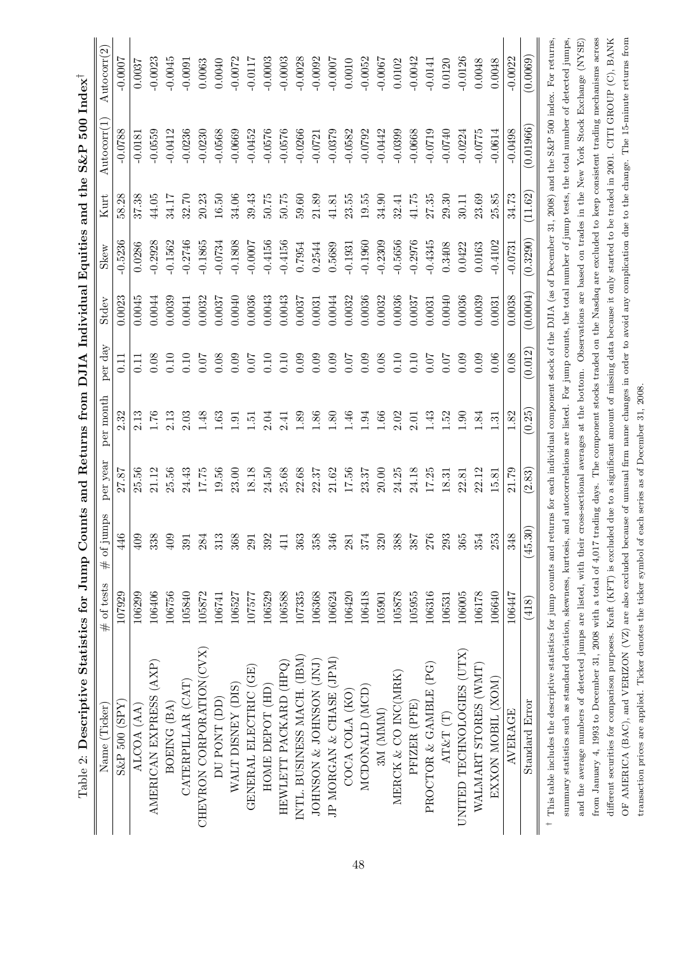| Table 2: Descriptive Statistics for Jump Counts and Returns from DJIA Individual Equities and the S&P 500 Index <sup>†</sup>                                                                          |              |              |          |           |                   |          |           |           |                         |                |
|-------------------------------------------------------------------------------------------------------------------------------------------------------------------------------------------------------|--------------|--------------|----------|-----------|-------------------|----------|-----------|-----------|-------------------------|----------------|
| Name (Ticker)                                                                                                                                                                                         | $#$ of tests | $#$ of jumps | per year | per month | per day           | Stdev    | Skew      | Kurt      | Autocorr <sup>(1)</sup> | Autocorr $(2)$ |
| $S\&P$ 500 $(SPY)$                                                                                                                                                                                    | 107929       | 446          | 27.87    | 2.32      | 0.11              | 0.0023   | $-0.5236$ | 58.28     | $-0.0788$               | $-0.0007$      |
| ALCOA (AA)                                                                                                                                                                                            | 106299       | 409          | 25.56    | 2.13      | $\overline{0.11}$ | 0.0045   | 0.0286    | 37.38     | $-0.0181$               | 0.0037         |
| AMERICAN EXPRESS (AXP)                                                                                                                                                                                | 106406       | 338          | 21.12    | 1.76      | 0.08              | 0.0044   | $-0.2928$ | 44.05     | $-0.0559$               | $-0.0023$      |
| BOEING (BA)                                                                                                                                                                                           | 106756       | $409$        | 25.56    | 2.13      | 0.10              | 0.0039   | $-0.1562$ | 34.17     | $-0.0412$               | $-0.0045$      |
| CATERPILLAR (CAT)                                                                                                                                                                                     | 105840       | 391          | 24.43    | 2.03      | 0.10              | 0.0041   | $-0.2746$ | 32.70     | $-0.0236$               | $-0.0091$      |
| CHEVRON CORPORATION(CVX)                                                                                                                                                                              | 105872       | 284          | 17.75    | 1.48      | 0.07              | 0.0032   | $-0.1865$ | 20.23     | $-0.0230$               | 0.0063         |
| DU PONT (DD)                                                                                                                                                                                          | 106741       | 313          | 19.56    | $1.63\,$  | 0.08              | 0.0037   | $-0.0734$ | $16.50\,$ | $-0.0568$               | 0.0040         |
| WALT DISNEY (DIS)                                                                                                                                                                                     | 106527       | 368          | 23.00    | 1.91      | 0.09              | 0.0040   | $-0.1808$ | 34.06     | $-0.0669$               | $-0.0072$      |
| (GE)<br>GENERAL ELECTRIC                                                                                                                                                                              | 107577       | 291          | 18.18    | 1.51      | 0.07              | 0.0036   | $-0.0007$ | 39.43     | $-0.0452$               | $-0.0117$      |
| HOME DEPOT (HD)                                                                                                                                                                                       | 106529       | 392          | 24.50    | 2.04      | 0.10              | 0.0043   | $-0.4156$ | 50.75     | $-0.0576$               | $-0.0003$      |
| HEWLETT PACKARD (HPQ)                                                                                                                                                                                 | 106588       | 411          | 25.68    | 2.41      | 0.10              | 0.0043   | $-0.4156$ | $50.75$   | $-0.0576$               | $-0.0003$      |
| INTL. BUSINESS MACH. (IBM)                                                                                                                                                                            | 107335       | 363          | 22.68    | 1.89      | 0.09              | 0.0037   | 0.7954    | $59.60\,$ | $-0.0266$               | $-0.0028$      |
| JOHNSON & JOHNSON (JNJ)                                                                                                                                                                               | 106368       | 358          | 22.37    | 1.86      | 0.09              | 0.0031   | 0.2544    | 21.89     | $-0.0721$               | $-0.0092$      |
| JP MORGAN & CHASE (JPM)                                                                                                                                                                               | 106624       | 346          | 21.62    | 1.80      | 0.09              | 0.0044   | 0.5689    | 41.81     | $-0.0379$               | $-0.0007$      |
| COCA COLA (KO)                                                                                                                                                                                        | 106420       | 281          | 17.56    | 1.46      | 0.07              | 0.0032   | $-0.1931$ | 23.55     | $-0.0582$               | 0.0010         |
| MCDONALD (MCD)                                                                                                                                                                                        | 106418       | 374          | 23.37    | 1.94      | 0.09              | 0.0036   | $-0.1960$ | 19.55     | $-0.0792$               | $-0.0052$      |
| 3M (MMM)                                                                                                                                                                                              | 105901       | 320          | 20.00    | 1.66      | 0.08              | 0.0032   | $-0.2309$ | 34.90     | $-0.0442$               | $-0.0007$      |
| MERCK $\&$ CO INC(MRK)                                                                                                                                                                                | 105878       | 388          | 24.25    | 2.02      | 0.10              | 0.0036   | $-0.5656$ | 32.41     | $-0.0399$               | 0.0102         |
| PFIZER (PFE)                                                                                                                                                                                          | 105955       | <b>788</b>   | 24.18    | 2.01      | 0.10              | 0.0037   | $-0.2976$ | 41.75     | $-0.0668$               | $-0.0042$      |
| PROCTOR & GAMBLE (PG)                                                                                                                                                                                 | 106316       | 276          | 17.25    | 1.43      | 0.07              | 0.0031   | $-0.4345$ | 27.35     | $-0.0719$               | $-0.0141$      |
| AT&T(T)                                                                                                                                                                                               | 106531       | 293          | 18.31    | 1.52      | 0.07              | 0.0040   | 0.3408    | 29.30     | $-0.0740$               | 0.0120         |
| UNITED TECHNOLOGIES (UTX)                                                                                                                                                                             | 106005       | 365          | 22.81    | 1.90      | 0.09              | 0.0036   | 0.0422    | 30.11     | $-0.0224$               | $-0.0126$      |
| WALMART STORES (WMT)                                                                                                                                                                                  | 106178       | 354          | 22.12    | 1.84      | 0.09              | 0.0039   | 0.0163    | 23.69     | $-0.0775$               | 0.0048         |
| EXXON MOBIL (XOM)                                                                                                                                                                                     | 106640       | 253          | 15.81    | 1.31      | 0.06              | 0.0031   | $-0.4102$ | 25.85     | $-0.0614$               | 0.0048         |
| AVERAGE                                                                                                                                                                                               | 106447       | 348          | 21.79    | 1.82      | 0.08              | 0.0038   | $-0.0731$ | 34.73     | $-0.0498$               | $-0.0022$      |
| Standard Error                                                                                                                                                                                        | (418)        | (45.30)      | (2.83)   | (0.25)    | (0.012)           | (0.0004) | (0.3290)  | (11.62)   | (0.01966)               | (0.0069)       |
| <sup>†</sup> This table includes the descriptive statistics for jump counts and returns for each individual component stock of the DJIA (as of December 31, 2008) and the S&P 500 index. For returns, |              |              |          |           |                   |          |           |           |                         |                |
| summary statistics such as standard deviation, skewness, kurtosis, and autocorrelations are listed. For jump counts, the total number of jump tests, the total number of detected jumps,              |              |              |          |           |                   |          |           |           |                         |                |
| and the average numbers of detected jumps are listed, with their cross-sectional averages at the bottom. Observations are based on trades in the New York Stock Exchange (NYSE)                       |              |              |          |           |                   |          |           |           |                         |                |
| from January 4, 1993 to December 31, 2008 with a total of 4,017 trading days. The component stocks traded on the Nasdaq are excluded to keep consistent trading mechanisms across                     |              |              |          |           |                   |          |           |           |                         |                |
| different securities for comparison purposes. Kraft (KFT) is excluded due to a significant amount of missing data because it only started to be traded in 2001. CITI GROUP (C), BANK                  |              |              |          |           |                   |          |           |           |                         |                |
| OF AMERICA (BAC), and VERIZON (VZ) are also excluded because of unusual firm name changes in order to avoid any complication due to the change. The 15-minute returns from                            |              |              |          |           |                   |          |           |           |                         |                |

transaction prices are applied. Ticker denotes the ticker symbol of each series as of December 31, 2008.

transaction prices are applied. Ticker denotes the ticker symbol of each series as of December 31, 2008.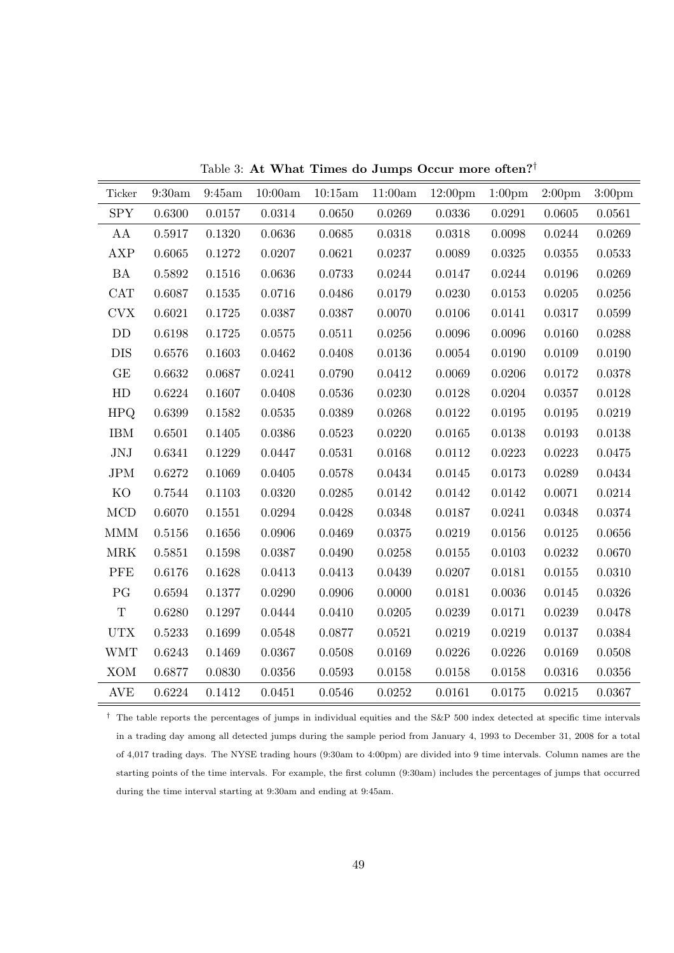| Ticker      | $9:30\mathrm{am}$ | 9:45am | 10:00am | 10:15am      | 11:00am      | 12:00 <sub>pm</sub> | 1:00 <sub>pm</sub> | 2:00 <sub>pm</sub> | 3:00 <sub>pm</sub> |
|-------------|-------------------|--------|---------|--------------|--------------|---------------------|--------------------|--------------------|--------------------|
| <b>SPY</b>  | 0.6300            | 0.0157 | 0.0314  | $0.0650\,$   | 0.0269       | 0.0336              | 0.0291             | 0.0605             | 0.0561             |
| AA          | 0.5917            | 0.1320 | 0.0636  | $\,0.0685\,$ | 0.0318       | 0.0318              | 0.0098             | 0.0244             | 0.0269             |
| <b>AXP</b>  | 0.6065            | 0.1272 | 0.0207  | $\,0.0621\,$ | $0.0237\,$   | 0.0089              | $\,0.0325\,$       | 0.0355             | 0.0533             |
| <b>BA</b>   | 0.5892            | 0.1516 | 0.0636  | 0.0733       | 0.0244       | 0.0147              | 0.0244             | 0.0196             | 0.0269             |
| <b>CAT</b>  | 0.6087            | 0.1535 | 0.0716  | 0.0486       | 0.0179       | 0.0230              | 0.0153             | 0.0205             | 0.0256             |
| <b>CVX</b>  | 0.6021            | 0.1725 | 0.0387  | 0.0387       | 0.0070       | 0.0106              | 0.0141             | 0.0317             | 0.0599             |
| DD          | 0.6198            | 0.1725 | 0.0575  | 0.0511       | 0.0256       | 0.0096              | 0.0096             | 0.0160             | 0.0288             |
| <b>DIS</b>  | 0.6576            | 0.1603 | 0.0462  | 0.0408       | 0.0136       | 0.0054              | 0.0190             | 0.0109             | 0.0190             |
| GE          | 0.6632            | 0.0687 | 0.0241  | 0.0790       | 0.0412       | 0.0069              | 0.0206             | 0.0172             | 0.0378             |
| HD          | 0.6224            | 0.1607 | 0.0408  | 0.0536       | 0.0230       | 0.0128              | 0.0204             | 0.0357             | 0.0128             |
| <b>HPQ</b>  | 0.6399            | 0.1582 | 0.0535  | 0.0389       | 0.0268       | 0.0122              | 0.0195             | 0.0195             | 0.0219             |
| <b>IBM</b>  | 0.6501            | 0.1405 | 0.0386  | 0.0523       | 0.0220       | 0.0165              | 0.0138             | 0.0193             | 0.0138             |
| $\rm JNJ$   | 0.6341            | 0.1229 | 0.0447  | 0.0531       | $\,0.0168\,$ | $0.0112\,$          | 0.0223             | 0.0223             | 0.0475             |
| <b>JPM</b>  | 0.6272            | 0.1069 | 0.0405  | 0.0578       | 0.0434       | 0.0145              | 0.0173             | 0.0289             | 0.0434             |
| KO          | 0.7544            | 0.1103 | 0.0320  | 0.0285       | 0.0142       | 0.0142              | 0.0142             | 0.0071             | 0.0214             |
| <b>MCD</b>  | 0.6070            | 0.1551 | 0.0294  | 0.0428       | 0.0348       | 0.0187              | 0.0241             | 0.0348             | 0.0374             |
| <b>MMM</b>  | 0.5156            | 0.1656 | 0.0906  | 0.0469       | 0.0375       | 0.0219              | 0.0156             | 0.0125             | $0.0656\,$         |
| <b>MRK</b>  | 0.5851            | 0.1598 | 0.0387  | 0.0490       | 0.0258       | 0.0155              | 0.0103             | 0.0232             | 0.0670             |
| <b>PFE</b>  | 0.6176            | 0.1628 | 0.0413  | 0.0413       | 0.0439       | 0.0207              | 0.0181             | 0.0155             | 0.0310             |
| PG          | 0.6594            | 0.1377 | 0.0290  | 0.0906       | 0.0000       | 0.0181              | 0.0036             | 0.0145             | 0.0326             |
| $\mathbf T$ | 0.6280            | 0.1297 | 0.0444  | 0.0410       | 0.0205       | 0.0239              | 0.0171             | 0.0239             | 0.0478             |
| <b>UTX</b>  | 0.5233            | 0.1699 | 0.0548  | 0.0877       | 0.0521       | 0.0219              | 0.0219             | 0.0137             | 0.0384             |
| <b>WMT</b>  | 0.6243            | 0.1469 | 0.0367  | 0.0508       | 0.0169       | 0.0226              | 0.0226             | 0.0169             | 0.0508             |
| XOM         | 0.6877            | 0.0830 | 0.0356  | 0.0593       | 0.0158       | 0.0158              | 0.0158             | 0.0316             | 0.0356             |
| <b>AVE</b>  | 0.6224            | 0.1412 | 0.0451  | 0.0546       | 0.0252       | 0.0161              | 0.0175             | 0.0215             | 0.0367             |

Table 3: **At What Times do Jumps Occur more often?***†*

*†* The table reports the percentages of jumps in individual equities and the S&P 500 index detected at specific time intervals in a trading day among all detected jumps during the sample period from January 4, 1993 to December 31, 2008 for a total of 4,017 trading days. The NYSE trading hours (9:30am to 4:00pm) are divided into 9 time intervals. Column names are the starting points of the time intervals. For example, the first column (9:30am) includes the percentages of jumps that occurred during the time interval starting at 9:30am and ending at 9:45am.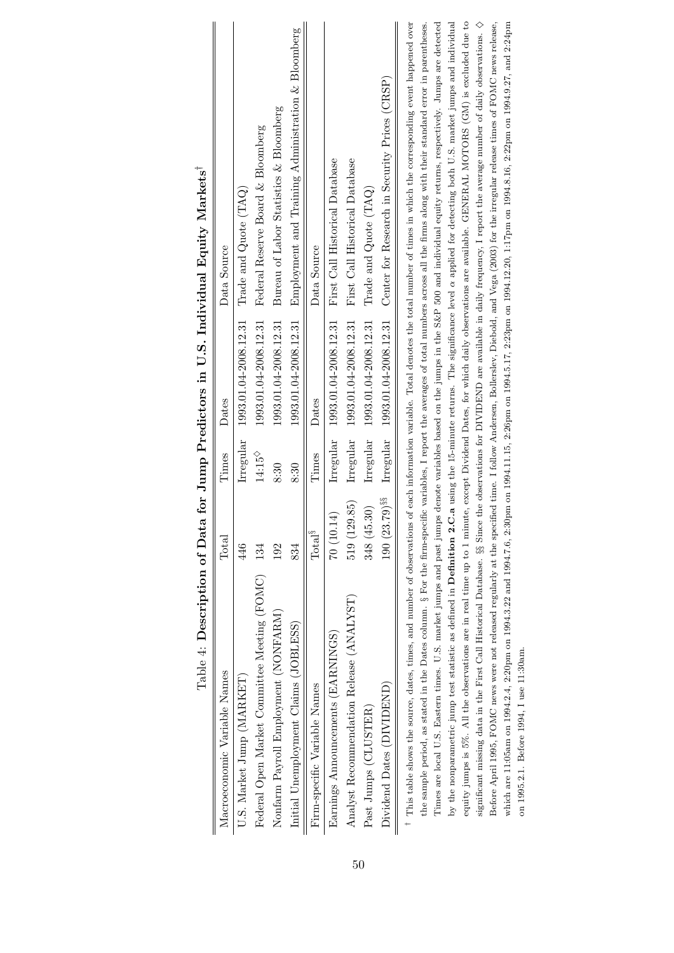|                                                  |                  |                    |                       | Table 4: Description of Data for Jump Predictors in U.S. Individual Equity Markets <sup>1</sup>                                                                                                         |
|--------------------------------------------------|------------------|--------------------|-----------------------|---------------------------------------------------------------------------------------------------------------------------------------------------------------------------------------------------------|
| Macroeconomic Variable Names                     | Total            | Times              | Dates                 | Data Source                                                                                                                                                                                             |
| U.S. Market Jump (MARKET)                        | 446              | Irregular          | 1993.01.04-2008.12.31 | Trade and $Quote$ $(TAQ)$                                                                                                                                                                               |
| Federal Open Market Committee Meeting (FOMC) 134 |                  | $14:15^{\diamond}$ | 1993.01.04-2008.12.31 | Federal Reserve Board & Bloomberg                                                                                                                                                                       |
| Nonfarm Payroll Employment (NONFARM)             | 192              | 8:30               | 1993.01.04-2008.12.31 | Bureau of Labor Statistics & Bloomberg                                                                                                                                                                  |
| Initial Unemployment Claims (JOBLESS)            | 834              | 8:30               | 1993.01.04-2008.12.31 | Employment and Training Administration & Bloomberg                                                                                                                                                      |
| Firm-specific Variable Names                     | $\rm Total^{\S}$ | Times              | Dates                 | Data Source                                                                                                                                                                                             |
| Earnings Announcements (EARNINGS)                | 70(10.14)        | Irregular          | 1993.01.04-2008.12.31 | First Call Historical Database                                                                                                                                                                          |
| Analyst Recommendation Release (ANALYST)         | 519 (129.85)     | Irregular          | 1993.01.04-2008.12.31 | First Call Historical Database                                                                                                                                                                          |
| Past Jumps (CLUSTER)                             | 348 (45.30)      | Irregular          | 1993.01.04-2008.12.31 | Trade and $Quote$ $(TAQ)$                                                                                                                                                                               |
| Dividend Dates (DIVIDEND)                        | 190 (23.79) $88$ | Irregular          | 1993.01.04-2008.12.31 | Center for Research in Security Prices (CRSP)                                                                                                                                                           |
|                                                  |                  |                    |                       | <sup>†</sup> This table shows the source, dates, times, and number of observations of each information variable. Total denotes the total number of times in which the corresponding event happened over |
|                                                  |                  |                    |                       | the sample period, as stated in the Dates column. § For the firm-specific variables, I report the averages of total numbers across all the firms along with their standard error in parentheses.        |
|                                                  |                  |                    |                       | Times are local U.S. Eastern times. U.S. market jumps and past jumps denote variables based on the jumps in the S&P 500 and individual equity returns, respectively. Jumps are detected                 |
|                                                  |                  |                    |                       | by the nonparametric jump test statistic as defined in Definition 2.C.a using the 15-minute returns. The significance level $\alpha$ applied for detecting both U.S. market jumps and individual        |
|                                                  |                  |                    |                       | equity jumps is 5%. All the observations are in real time up to 1 minute, except Dividend Dates, for which daily observations are available. GENERAL MOTORS (GM) is excluded due to                     |
|                                                  |                  |                    |                       | significant missing data in the First Call Historical Database. §§ Since the observations for DIVIDEND are available in daily frequency, I report the average number of daily observations. $\diamond$  |
|                                                  |                  |                    |                       | Before April 1995, FOMC news were not released regularly at the specified time. I follow Andersen, Bollerslev, Diebold, and Vega (2003) for the irregular release times of FOMC news release,           |

which are 11:05am on 1994.2.4, 2:20pm on 1994.3.22 and 1994.7.6, 2:30pm on 1994.11.15, 2:26pm on 1994.5.17, 2:23pm on 1994.12.20, 1:17pm on 1994.8.16, 2:22pm on 1994.9.27, and 2:24pm

which are 11:05am on 1994.2.4, 2:20pm on 1994.3.22 and 1994.7.6, 2:30pm on 1994.11.15, 2:26pm on 1994.5.17, 2:23pm on 1994.12.20, 1:17pm on 1994.8.16, 2:22pm on 1994.9.27, and 2:24pm

on 1995.2.1. Before 1994, I use 11:30am.

on 1995.2.1. Before 1994, I use 11:30am.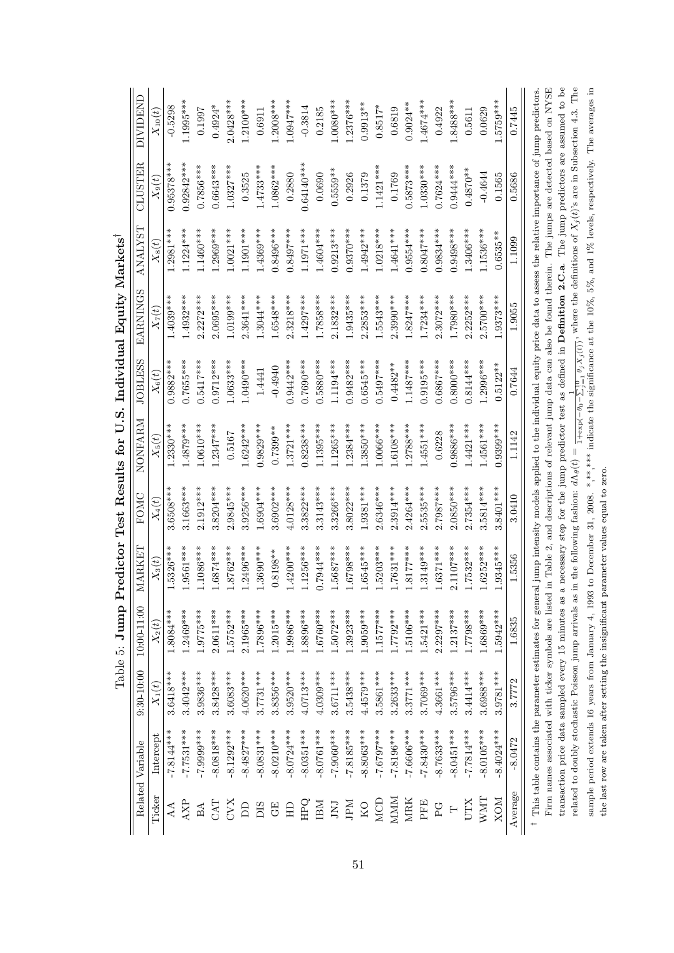|            | Related Variable | $9:30 - 10:00$ | $10:00-11:00$                                        | MARKET      | FOMC        | NONFARM                                                                                                            | <b>JOBLESS</b> | EARNINGS                                                                                                                                                                        | <b>TSALNANA</b> | CLUSTER      | <b>DIVIDEND</b> |
|------------|------------------|----------------|------------------------------------------------------|-------------|-------------|--------------------------------------------------------------------------------------------------------------------|----------------|---------------------------------------------------------------------------------------------------------------------------------------------------------------------------------|-----------------|--------------|-----------------|
| Ticker     | Intercept        | $X_1(t)$       | $X_2(t)$                                             | $X_3(t)$    | $X_4(t)$    | $X_5(t)$                                                                                                           | $X_6(t)$       | $X_7(t)$                                                                                                                                                                        | $X_8(t)$        | $X_9(t)$     | $X_{10}(t)$     |
| AA         | $-7.8144***$     | $3.6418***$    | $1.8084***$                                          | 1.5326***   | 3.6508***   | $1.2330***$                                                                                                        | 0.9882***      | $.4039***$                                                                                                                                                                      | $1.2981***$     | $0.95378***$ | $-0.5298$       |
| AXP        | $-7.7531***$     | $3.4042***$    | $1.2469***$                                          | 1.9561***   | 3.1663****  | 1.4879***                                                                                                          | $0.7655***$    | $1.4932***$                                                                                                                                                                     | $1.1224***$     | $0.92842***$ | $1.1995***$     |
| BA         | -7.9999***       | $3.9836***$    | $1.9775***$                                          | $1.1086***$ | 2.1912***   | $1.0610***$                                                                                                        | $0.5417***$    | $2.2272***$                                                                                                                                                                     | $0460***$       | $0.7856***$  | 0.1997          |
| CAT        | $-8.0818***$     | $3.8428***$    | $2.0611***$                                          | $1.6874***$ | 3.8204 ***  | $1.2347***$                                                                                                        | $0.9712***$    | $2.0695***$                                                                                                                                                                     | $1.2969***$     | $0.6643***$  | $0.4924*$       |
| CVX        | $-8.1292***$     | $3.6083***$    | $1.5752***$                                          | $1.8762***$ | 2.9845****  | 0.5167                                                                                                             | $0.0633***$    | $1.0199***$                                                                                                                                                                     | $1.0021***$     | $1.0327***$  | $2.0428***$     |
| <b>A</b>   | $-8.4827***$     | 4.0620***      | $2.1965***$                                          | $1.2496***$ | 3.9256***   | $.6242***$                                                                                                         | $1.0490***$    | 2.3641 ***                                                                                                                                                                      | $1.1901***$     | 0.3525       | $1.2100***$     |
| DIS        | $-8.0831***$     | $3.7731***$    | 1.7896***                                            | $1.3690***$ | $1.6904***$ | $0.9829***$                                                                                                        | 1.4441         | $1.3044***$                                                                                                                                                                     | $1.4369***$     | $1.4733***$  | 0.6911          |
| $\rm{GE}$  | $-8.0210***$     | $3.8356***$    | $1.2015***$                                          | $0.8198**$  | 3.6902***   | $0.7399**$                                                                                                         | $-0.4940$      | $.6548***$                                                                                                                                                                      | 1.8496***       | 1.0862***    | 1.2008***       |
| $\Xi$      | $-8.0724***$     | 3.9520***      | 1.9986***                                            | $1.4200***$ | $4.0128***$ | $1.3721***$                                                                                                        | $0.9442***$    | $2.3218***$                                                                                                                                                                     | $0.8497***$     | 0.2880       | $1.0947***$     |
| <b>POH</b> | $-8.0351***$     | $4.0713***$    | 1.8896***                                            | 1.1256***   | 3.3822***   | $0.8238***$                                                                                                        | $0.7690***$    | $1.4297***$                                                                                                                                                                     | $1.1971***$     | $0.64140***$ | $-0.3814$       |
| IBM        | $-8.0761***$     | $4.0309***$    | $1.6760***$                                          | $0.7944***$ | $.3143***$  | $1.1395***$                                                                                                        | $0.5880***$    | $***858*$                                                                                                                                                                       | 1.4604****      | 0.0690       | 0.2185          |
| LNI        | $-7.9060***$     | $3.6711***$    | $1.5072***$                                          | $1.5687***$ | 3.3266***   | $1.1265***$                                                                                                        | 1.1194***      | $2.1832***$                                                                                                                                                                     | $0.9213***$     | $0.5559**$   | $1.0080***$     |
| NH         | $-7.8185***$     | 3.5438***      | $1.3923***$                                          | $1.6798***$ | 3.8022****  | $.2384***$                                                                                                         | $0.9482***$    | $1.9435***$                                                                                                                                                                     | $0.9370***$     | 0.2926       | $1.2376***$     |
| KO         | $-8.8063***$     | $4.4579***$    | 1.9059***                                            | $1.6545***$ | $1.9381***$ | $.3850***$                                                                                                         | $0.6545***$    | $2.2853***$                                                                                                                                                                     | 1.4942***       | 0.1379       | $0.9913**$      |
| <b>NCD</b> | ****7679.7       | 3.5861***      | $1.1577***$                                          | $1.5203***$ | $.6346***$  | $1.0066***$                                                                                                        | $0.5497***$    | 1.5543***                                                                                                                                                                       | $1.0218***$     | $1.1421***$  | $0.8517*$       |
| MMM        | $-7.8196***$     | $3.2633***$    | $1.7792***$                                          | 1.7631 ***  | $.3914***$  | $.6108***$                                                                                                         | $0.4482**$     | $.3990***$                                                                                                                                                                      | 1.4641 ***      | 0.1769       | 0.6819          |
| <b>MRK</b> | $-7.6606***$     | $3.3771***$    | $1.5106***$                                          | $1.8177***$ | $4264***$   | $.2788***$                                                                                                         | $1.1487***$    | $1.8247***$                                                                                                                                                                     | $0.9554***$     | $0.5873***$  | $0.9024**$      |
| PFE        | $-7.8430***$     | 3.7069***      | $1.5421***$                                          | $1.3149***$ | .5535***    | 1.4551 ***                                                                                                         | $0.9195***$    | $1.7234***$                                                                                                                                                                     | $0.8047***$     | $1.0330***$  | 1.4674****      |
| <b>C</b>   | $-8.7633***$     | $4.3661***$    | $2.2297***$                                          | $1.6371***$ | $2.7987***$ | 0.6228                                                                                                             | $0.6867***$    | $2.3072***$                                                                                                                                                                     | $0.9834***$     | $0.7624***$  | 0.4922          |
|            | $-8.0451***$     | 3.5796***      | $1.2137***$                                          | $2.1107***$ | $2.0850***$ | $0.9886***$                                                                                                        | $0.8000***$    | 1.7980***                                                                                                                                                                       | $0.9498***$     | $0.9444***$  | $1.8488***$     |
| UTX        | $-7.7814***$     | 3.4414***      | ***8622                                              | $1.7532***$ | 2.7354 ***  | $.4421***$                                                                                                         | $0.8144***$    | $.2252***$                                                                                                                                                                      | $0.3406***$     | $0.4870**$   | 0.5611          |
| WMT        | $-8.0105***$     | 3.6988***      | $1.6869***$                                          | $1.6252***$ | 3.5814***   | $1.4561***$                                                                                                        | .2996 ***      | $5700***$                                                                                                                                                                       | $1.1536***$     | $-0.4644$    | 0.0629          |
| <b>NOX</b> | $8.4024***$      | 3.9781***      | $1.5942***$                                          | $1.9345***$ | 3.8401 ***  | $0.9399***$                                                                                                        | $0.5122**$     | 1.9373***                                                                                                                                                                       | $0.6535***$     | 0.1565       | .5759***        |
| Average    | $-8.0472$        | 3.7772         | 1.6835                                               | 1.5356      | 3.0410      | 1.1142                                                                                                             | 0.7644         | 1.9055                                                                                                                                                                          | 1.1099          | 0.5686       | 0.7445          |
|            |                  |                | Firm names associated with ticker symbols are listed |             |             | in Table 2, and descriptions of relevant jump data can also be found therein. The jumps are detected based on NYSE |                | This table contains the parameter estimates for general jump intensity models applied to the individual equity price data to assess the relative importance of jump predictors. |                 |              |                 |

Firm names associated with ticker symbols are listed in Table 2, and descriptions of relevant jump data can also be found therein. The jumps are detected based on NYSE transaction price data sampled every 15 minutes as a necessary step for the jump predictor test as defined in **Definition 2.C.a**. The jump predictors are assumed to be related to doubly stochastic Poisson jump arrivals as in the following fashion:  $d\Lambda_{\theta}(t) = \frac{1}{1+\exp(-\theta_0-\sum_{j=1}^{10}\theta_jX_j(t))}$ , where the definitions of  $X_j(t)$ 's are in Subsection 4.3. The sample period extends 16 years from January 4, 1993 to December 31, 2008. \*,\*\*\*\* indicate the significance at the 10%, 5%, and 1% levels, respectively. The averages in

related to doubly stochastic Poisson jump arrivals as in the following fashion:  $d\Lambda_{\theta}(t) = \frac{1}{1+\exp(-\theta_0-\sum_{j=1}^{10} \theta_j X_j(t))}$ , where the definitions of  $X_j(t)$ 's are in Subsection 4.3. The sample period extends 16 years fro transaction price data sampled every 15 minutes as a necessary step for the jump predictor test as defined in **Definition 2.C.a.** The jump predictors are assumed to be

the last row are taken after setting the insignificant parameter values equal to zero.

the last row are taken after setting the insignificant parameter values equal to zero.

Table 5: Jump Predictor Test Results for U.S. Individual Bquity Markets<sup>†</sup> Table 5: **Jump Predictor Test Results for U.S. Individual Equity Markets***†*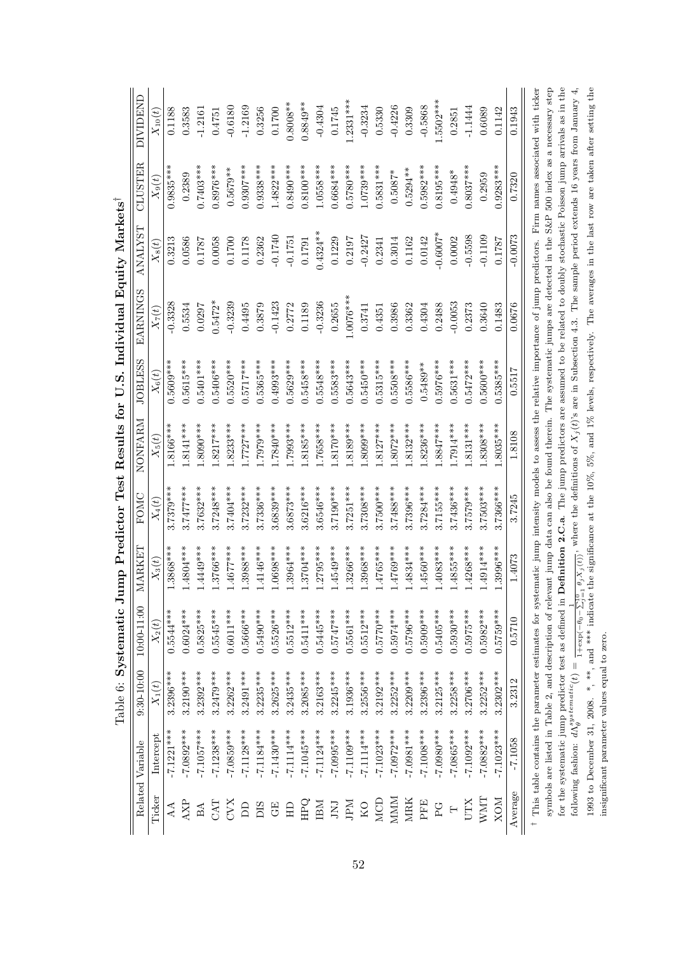|            |                                                         |                |                                                        |             |             |             |                | content of the content of the content of the content of the content of the content of the content of the content of the content of the content of the content of the content of the content of the content of the content of t |                 |             |                 |
|------------|---------------------------------------------------------|----------------|--------------------------------------------------------|-------------|-------------|-------------|----------------|--------------------------------------------------------------------------------------------------------------------------------------------------------------------------------------------------------------------------------|-----------------|-------------|-----------------|
|            | Related Variable                                        | $9:30 - 10:00$ | $10:00 - 11:00$                                        | MARKET      | FOMC        | NONFARM     | <b>JOBLESS</b> | <b>EARNINGS</b>                                                                                                                                                                                                                | <b>TSZLIVNA</b> | CLUSTER     | <b>DIVIDEND</b> |
| Ticker     | Intercept                                               | $X_1(t)$       | $X_2(t)$                                               | $X_3(t)$    | $X_4(t)$    | $X_5(t)$    | $X_6(t)$       | $X_7(t)$                                                                                                                                                                                                                       | $X_8(t)$        | $X_9(t)$    | $X_{10}(t)$     |
| AA         | $-7.1221***$                                            | $3.2396***$    | 0.5544***                                              | 1.3868***   | 3.7379***   | 1.8166***   | $0.5609***$    | $-0.3328$                                                                                                                                                                                                                      | 0.3213          | $0.9835***$ | 0.1188          |
| AXP        | -7.0892***                                              | $3.2190***$    | $0.6024***$                                            | $1.4804***$ | $3.7477***$ | $1.8141***$ | 0.5615***      | 0.5534                                                                                                                                                                                                                         | 0.0586          | 0.2389      | 0.3583          |
| BA         | $-7.1057***$                                            | $3.2392***$    | $0.5825***$                                            | $1.4449***$ | 3.7632***   | 1.8090***   | $0.5401***$    | 0.0297                                                                                                                                                                                                                         | 1787            | $0.7403***$ | $-1.2161$       |
| <b>EXC</b> | $-7.1238***$                                            | $3.2479***$    | $0.5545***$                                            | $1.3766***$ | $3.7248***$ | $1.8217***$ | $0.5406***$    | $0.5472*$                                                                                                                                                                                                                      | 0.0058          | $0.8976***$ | 0.4751          |
| XAC        | -7.0859***                                              | $3.2262***$    | $0.6011***$                                            | $1.4677***$ | 3.7404***   | $1.8233***$ | $0.5520***$    | $-0.3239$                                                                                                                                                                                                                      | 0.1700          | $0.5679**$  | $-0.6180$       |
| BD         | $-7.1128***$                                            | $3.2491***$    | 0.5666***                                              | 1.3988***   | $3.7232***$ | $1.7727***$ | $0.5717***$    | 0.4495                                                                                                                                                                                                                         | 0.1178          | $0.9307***$ | $-1.2169$       |
| DIS        | $-7.1184***$                                            | $3.2235***$    | $0.5490***$                                            | $1.4146***$ | $3.7336***$ | 1.7979***   | $0.5365***$    | 0.3879                                                                                                                                                                                                                         | 0.2362          | $0.938***$  | 0.3256          |
| GE         | $-7.1430***$                                            | $3.2625***$    | $0.5526***$                                            | 1.0698***   | 3.6839***   | 1.7840***   | $0.4993***$    | $-0.1423$                                                                                                                                                                                                                      | $-0.1740$       | $1.4822***$ | 0.1700          |
| $\Xi$      | $-7.1114***$                                            | $3.2435***$    | $0.5512***$                                            | $1.3964***$ | $3.6873***$ | 1.7993***   | $0.5629***$    | 0.2772                                                                                                                                                                                                                         | $-0.1751$       | $0.8490***$ | $0.8008**$      |
| <b>EHR</b> | $-7.1045***$                                            | $3.2085***$    | $0.5411***$                                            | $1.3704***$ | 3.6216***   | $1.8185***$ | $0.5458***$    | 0.1189                                                                                                                                                                                                                         | 0.1791          | $0.8100***$ | $0.8849**$      |
| IBM        | $-7.1124***$                                            | $3.2163***$    | $0.5445***$                                            | $1.2795***$ | 3.6546***   | 1.7658***   | 0.5548***      | $-0.3236$                                                                                                                                                                                                                      | $0.4324***$     | 1.0558***   | $-0.4304$       |
| LNI        | -7.0995***                                              | $3.2245***$    | $0.5747***$                                            | $1.4549***$ | 3.7190***   | $1.8170***$ | $0.5583***$    | 0.2655                                                                                                                                                                                                                         | 0.1229          | $0.6684***$ | 0.1745          |
| Mdr        | $-7.109***$                                             | 3.1936 ***     | $0.5561***$                                            | 1.3266***   | $3.7251***$ | $1.8189***$ | $0.5643***$    | $1.0076***$                                                                                                                                                                                                                    | 0.2197          | $0.5780***$ | $1.2331***$     |
| KO         | $-7.1114***$                                            | $3.2556***$    | $0.5512***$                                            | $1.3968***$ | 3.7308***   | 1.8099***   | $0.5450***$    | 0.3741                                                                                                                                                                                                                         | $-0.2427$       | 1.0739***   | $-0.3234$       |
| <b>MCD</b> | $-7.1023***$                                            | $3.2192***$    | $0.570***$                                             | $1.4765***$ | 3.7500***   | $1.8127***$ | 0.5315***      | 0.4351                                                                                                                                                                                                                         | 0.2341          | $0.5831***$ | 0.5330          |
| MMM        | $-7.0972***$                                            | $3.2252***$    | $0.5974***$                                            | $1.4769***$ | 3.7488***   | $1.8072***$ | 0.5508****     | 0.3986                                                                                                                                                                                                                         | 0.3014          | $0.5087*$   | $-0.4226$       |
| <b>MRK</b> | $-7.0981***$                                            | $3.2209***$    | $0.5796***$                                            | $1.4834***$ | 3.7396***   | $1.8132***$ | 0.5586***      | 0.3362                                                                                                                                                                                                                         | 0.1162          | $0.5294**$  | 0.3309          |
| PFE        | $-7.1008***$                                            | 3.2396***      | $0.5009***$                                            | $1.4560***$ | $3.7284***$ | $1.8236***$ | $0.5489**$     | 0.4304                                                                                                                                                                                                                         | 0.0142          | $0.5982***$ | $-0.5868$       |
| PG         | ***0800.7-                                              | $3.2125***$    | $0.5405***$                                            | $1.4083***$ | $3.7155***$ | $1.8847***$ | $0.5976***$    | 0.2488                                                                                                                                                                                                                         | $-0.6007*$      | $0.8195***$ | 1.5502***       |
| $\vdash$   | $-7.0865***$                                            | $3.2258***$    | $0.5930***$                                            | $1.4855***$ | 3.7436***   | $1.7914***$ | $0.5631***$    | $-0.0053$                                                                                                                                                                                                                      | 0.0002          | $0.4948*$   | 0.2851          |
| UTX        | $-7.1092***$                                            | $3.2706***$    | $0.5975***$                                            | $1.4268***$ | 3.7579***   | $1.8131***$ | $0.5472***$    | 0.2373                                                                                                                                                                                                                         | $-0.5598$       | $0.8037***$ | $-1.1444$       |
| WMT        | -7.0882***                                              | $3.2252***$    | $0.5982***$                                            | $1.4914***$ | 3.7503***   | $1.8308***$ | $0.5600***$    | 0.3640                                                                                                                                                                                                                         | $-0.1109$       | 0.2959      | 0.6089          |
| NOX        | $-7.1023***$                                            | $3.2302***$    | $0.5759***$                                            | 1.3996***   | .7366***    | $1.8035***$ | $.5385***$     | 0.1483                                                                                                                                                                                                                         | 0.1787          | $0.9283***$ | 0.1142          |
| Average    | $-7.1058$                                               | 3.2312         | 0.5710                                                 | 1.4073      | 3.7245      | 1.8108      | 0.5517         | 0.0676                                                                                                                                                                                                                         | $-0.0073$       | 0.7320      | 0.1943          |
|            |                                                         |                |                                                        |             |             |             |                | This table contains the parameter estimates for systematic jump intensity models to assess the relative importance of jump predictors. Firm names associated with ticker                                                       |                 |             |                 |
|            |                                                         |                |                                                        |             |             |             |                | symbols are listed in Table 2, and description of relevant jump data can also be found therein. The systematic jumps are detected in the S&P 500 index as a necessary step                                                     |                 |             |                 |
|            |                                                         |                | for the systematic jump predictor test as defined in I |             |             |             |                | <b>Definition 2.C.a.</b> The jump predictors are assumed to be related to doubly stochastic Poisson jump arrivals as in the                                                                                                    |                 |             |                 |
|            | following fashion: $d\Lambda_{\theta}^{systematic}(t)=$ |                |                                                        |             |             |             |                | $\frac{1}{1+\exp(-\theta_0-\sum_{j=1}^1\theta_jX_j(t))}$ , where the definitions of $X_j(t)$ 's are in Subsection 4.3. The sample period extends 16 years from January 4,                                                      |                 |             |                 |
|            |                                                         |                |                                                        |             |             |             |                | 1993 to December 31, 2008. *, **, and *** indicate the significance at the 10%, 5%, and 1% levels, respectively. The averages in the last row are taken after setting the                                                      |                 |             |                 |

insignificant parameter values equal to zero.

insignificant parameter values equal to zero.

Table 6: Systematic Jump Predictor Test Results for II S. Individual Routty Market Table 6: **Systematic Jump Predictor Test Results for U.S. Individual Equity Markets***†*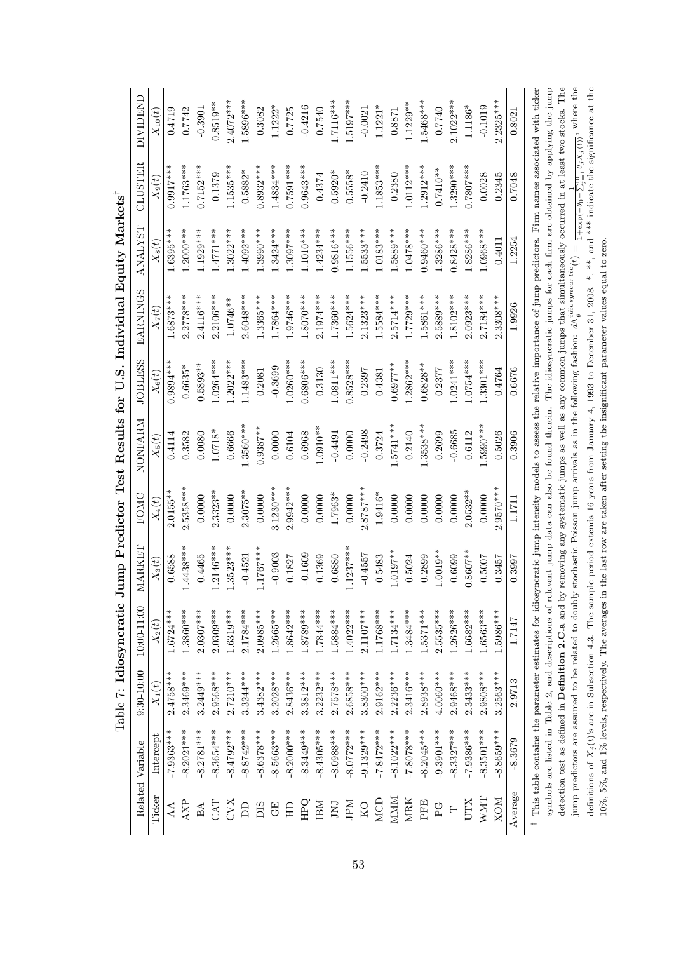|            |                  |                | Tanne I + Trins Americann                              | milh 1 remove<br>¢ |             | TEP TREPATING TOT |                | C:S: Thurs Killman Toplan Washington                                                                                                                                        |              |             |                                                                          |
|------------|------------------|----------------|--------------------------------------------------------|--------------------|-------------|-------------------|----------------|-----------------------------------------------------------------------------------------------------------------------------------------------------------------------------|--------------|-------------|--------------------------------------------------------------------------|
|            | Related Variable | $9:30 - 10:00$ | $10:00-11:00$                                          | MARKET             | FOMC        | NONFARM           | <b>JOBLESS</b> | EARNINGS                                                                                                                                                                    | TSXTVNY      | CLUSTER     | <b>DIVIDEND</b>                                                          |
| Ticker     | Intercept        | $X_1(t)$       | $X_2(t)$                                               | $X_3(t)$           | $X_4(t)$    | $X_5(t)$          | $X_6(t)$       | $X_7(t)$                                                                                                                                                                    | $X_8(t)$     | $X_9(t)$    | $X_{10}(t)$                                                              |
| AA         | $-7.9363***$     | $2.4758***$    | $1.6724***$                                            | 0.6588             | $2.0155***$ | 0.4114            | $0.9894***$    | $1.6873***$                                                                                                                                                                 | $1.6395***$  | $0.9917***$ | 0.4719                                                                   |
| AXP        | $-8.2021***$     | 2.3469***      | $1.3860***$                                            | $1.4438***$        | 2.5358***   | 0.3582            | $0.6635*$      | $2.2778***$                                                                                                                                                                 | $1.2000$ *** | $1.1763***$ | 0.7742                                                                   |
| BA         | $-8.2781***$     | $3.2449***$    | $2.0307***$                                            | 0.4465             | 0.0000      | 0.0080            | $0.5893**$     | $2.4116***$                                                                                                                                                                 | 1.1929***    | $0.7152***$ | $-0.3901$                                                                |
| CAT        | 8.3654 ***       | 2.9568***      | $2.0309***$                                            | $1.2146***$        | $2.3323**$  | $1.0718*$         | $1.0264***$    | $2.2106***$                                                                                                                                                                 | $1.4771***$  | 0.1379      | $0.8519**$                                                               |
| KAD        | $-8.4792***$     | $2.7210***$    | 1.6319***                                              | $1.3523***$        | 0.0000      | 0.6666            | $.2022***$     | $1.0746**$                                                                                                                                                                  | $1.3022***$  | 1.1535***   | $2.4072***$                                                              |
| <b>A</b>   | $-8.8742***$     | 3.3244***      | $2.1784***$                                            | $-0.4521$          | $2.3075**$  | .3560***          | $1.1483***$    | 2.6048***                                                                                                                                                                   | .4092***     | $0.5882*$   | 1.5896***                                                                |
| DIS        | $-8.6378***$     | $3.4382***$    | $2.0985***$                                            | $1.1767***$        | 0.0000      | $0.9387**$        | 0.2081         | 1.3365***                                                                                                                                                                   | $1.3990***$  | 0.8932***   | 0.3082                                                                   |
| $\rm{GE}$  | $-8.5663***$     | $3.2028***$    | 1.2665***                                              | $-0.9003$          | $3.1230***$ | 0.0000            | $-0.3699$      | 1.7864***                                                                                                                                                                   | $1.3424***$  | $1.4834***$ | $1.1222*$                                                                |
| $\Xi$      | $-8.2000***$     | $2.8436***$    | $1.8642***$                                            | 0.1827             | $2.9942***$ | 0.6104            | $1.0260***$    | 1.9746***                                                                                                                                                                   | $1.3097***$  | $0.7591***$ | 0.7725                                                                   |
| <b>HPQ</b> | $-8.3449***$     | $3.3812***$    | 1.8789***                                              | $-0.1609$          | 0.0000      | 0.6968            | $0.6806***$    | $1.8070***$                                                                                                                                                                 | $1.1010***$  | $0.9643***$ | $-0.4216$                                                                |
| IBM        | $-8.4305***$     | $3.2232***$    | 1.7844***                                              | 0.1369             | 0.0000      | $1.0910**$        | 0.3130         | $2.1974***$                                                                                                                                                                 | $1.4234***$  | 0.4374      | 0.7540                                                                   |
| LNI        | -8.0988***       | $2.7578***$    | 1.5884***                                              | 0.6880             | 1.7963*     | $-0.4491$         | $1.0811***$    | $1.7360***$                                                                                                                                                                 | $0.9816***$  | $0.5920*$   | 1.7116***                                                                |
| INE        | $-8.0772***$     | $2.6858***$    | $1.4022***$                                            | $1.1237***$        | 0.0000      | 0.0000            | $0.8528***$    | 1.5624***                                                                                                                                                                   | 1.1556***    | $0.5558*$   | 1.5197***                                                                |
| KO         | $-9.1329***$     | $3.8300***$    | $2.1107***$                                            | $-0.4557$          | $2.8787***$ | $-0.2498$         | 0.2397         | $2.1323***$                                                                                                                                                                 | 1.5533***    | $-0.2410$   | $-0.0021$                                                                |
| MCD        | $-7.8472***$     | 2.9162***      | $1.1768***$                                            | 0.5483             | 1.9416*     | 0.3724            | 0.4381         | 1.5584***                                                                                                                                                                   | $1.0183***$  | 1.1853***   | $1.1221*$                                                                |
| MMM        | $-8.1022***$     | $2.2236***$    | $1.7134***$                                            | $1.0197**$         | 0.0000      | $.5741***$        | $0.6977**$     | $2.5714***$                                                                                                                                                                 | 1.5889***    | 0.2380      | 0.8871                                                                   |
| <b>MRK</b> | ***8708.7-       | 2.3416***      | 1.3484***                                              | 0.5024             | 0.0000      | 0.2140            | $1.2862***$    | $1.7729***$                                                                                                                                                                 | $1.0478***$  | $1.0112***$ | 1.1229**                                                                 |
| PFE        | $-8.2045***$     | 2.8938***      | 1.5371***                                              | 0.2899             | 0.0000      | $1.3538***$       | $0.6828**$     | 1.5861***                                                                                                                                                                   | $0.9460***$  | $1.2912***$ | 1.5468***                                                                |
| PG         | $-9.3901***$     | $4.0060***$    | $2.5535***$                                            | $1.0019**$         | 0.0000      | 0.2699            | 0.2377         | .5889***                                                                                                                                                                    | $1.3286***$  | $0.7410**$  | 0.7740                                                                   |
| $\vdash$   | $-8.3327***$     | $2.9468***$    | $1.2626***$                                            | 0.6099             | 0.0000      | $-0.6685$         | $.0241***$     | $1.8102***$                                                                                                                                                                 | $0.8428***$  | $1.3290***$ | $2.1022***$                                                              |
| <b>NID</b> | -7.9386***       | 2.3433***      | 1.6682***                                              | $0.8607**$         | $2.0532**$  | 0.6112            | $1.0754***$    | $2.0923***$                                                                                                                                                                 | $1.8286***$  | $0.7807***$ | 1.1186*                                                                  |
| <b>WMT</b> | $-8.3501***$     | $2.9808***$    | 1.6563***                                              | 0.5007             | 0.0000      | .5990***          | $.3301***$     | 2.7184***                                                                                                                                                                   | 1.0968***    | 0.0028      | $-0.1019$                                                                |
| <b>NOX</b> | $-8.8659***$     | 3.2563***      | 1.5986***                                              | 0.3457             | $2.9570***$ | 0.5026            | 0.4764         | $.3308***$                                                                                                                                                                  | 0.4011       | 0.2345      | $2.2325***$                                                              |
| Average    | $-8.3679$        | 2.9713         | 1.7147                                                 | 0.3997             | 1.1711      | 0.3906            | 0.6676         | 1.9926                                                                                                                                                                      | 1.2254       | 0.7048      | 0.8021                                                                   |
|            |                  |                |                                                        |                    |             |                   |                | This table contains the parameter estimates for idiosyncratic jump intensity models to assess the relative importance of jump predictors. Firm names associated with ticker |              |             |                                                                          |
|            |                  |                |                                                        |                    |             |                   |                | symbols are listed in Table 2, and descriptions of relevant jump data can also be found therein. The idiosyncratic jumps for each firm are obtained by applying the jump    |              |             |                                                                          |
|            |                  |                | detection test as defined in Definition $2.C.a$ and by |                    |             |                   |                | removing any systematic jumps as well as any common jumps that simultaneously occurred in at least two stocks. The                                                          |              |             |                                                                          |
|            |                  |                | jump predictors are assumed to be related to doubly    |                    |             |                   |                | stochastic Poisson jump arrivals as in the following fashion: $d\Lambda_A^{idiosynccartic}(t)$ =                                                                            |              |             | $1+\exp\left(-\theta_0-\sum_{j=1}^{10}\theta_jX_j(t)\right)$ , where the |
|            |                  |                |                                                        |                    |             |                   |                | definitions of $X_i(t)$ 's are in Subsection 4.3. The sample period extends 16 years from January 4, 1993 to December 31, 2008. $^*$ ,                                      |              |             | **, and *** indicate the significance at the                             |
|            |                  |                | 10%, 5%, and 1% levels, respectively. The averages in  |                    |             |                   |                | the last row are taken after setting the insignificant parameter values equal to zero.                                                                                      |              |             |                                                                          |

Table 7: Idiosyncratic Jump Predictor Test Results for U.S. Individual Equity Markets<sup>†</sup> Table 7: Idiosyncratic Jump Predictor Test Results for U.S. Individual Equity Markets<sup>†</sup>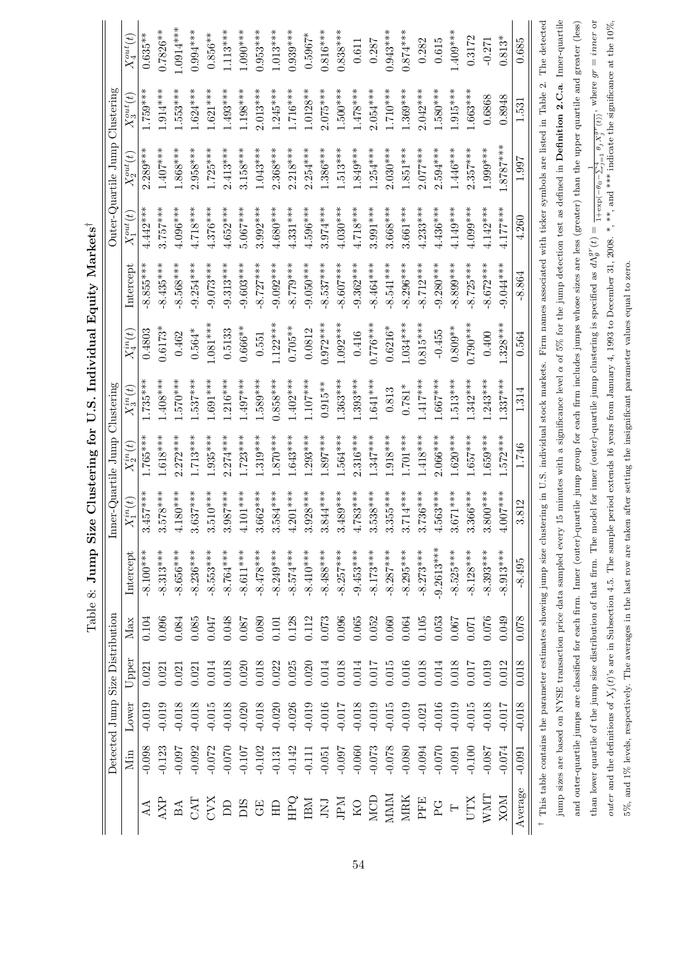|                |          |          | Detected Jump Size Distribution |           |                                                                                                                                                                                                    | Inner-Quartile Jump       |               | Clustering    |               |                                                                                                                |                | Outer-Quartile Jump                                              | Clustering     |                |
|----------------|----------|----------|---------------------------------|-----------|----------------------------------------------------------------------------------------------------------------------------------------------------------------------------------------------------|---------------------------|---------------|---------------|---------------|----------------------------------------------------------------------------------------------------------------|----------------|------------------------------------------------------------------|----------------|----------------|
|                | Min      | Lower    | Upper                           | Max       | Intercept                                                                                                                                                                                          | $C_1^{in}(t)$<br>$\times$ | $X_2^{in}(t)$ | $X_3^{in}(t)$ | $X_4^{in}(t)$ | Intercept                                                                                                      | $X_1^{out}(t)$ | $X_2^{out}(t)$                                                   | $X_3^{out}(t)$ | $X_4^{out}(t)$ |
|                | $-0.098$ | $-0.019$ | 0.021                           | 0.104     | $-8.100***$                                                                                                                                                                                        | $157***$<br>3.4           | $1.765***$    | $.735***$     | 0.4803        | $-8.855***$                                                                                                    | $4.442***$     | $2.289***$                                                       | $1.759***$     | $0.635***$     |
| <b>AXP</b>     | $-0.123$ | $-0.019$ | 0.021                           | 0.096     | $-8.313***$                                                                                                                                                                                        | $3.578***$                | $1.618***$    | $-408***$     | $0.6173*$     | $-8.435***$                                                                                                    | $3.757***$     | $1.407***$                                                       | $1.914***$     | $0.7826**$     |
| $_{\rm BA}$    | -0.097   | $-0.018$ | 0.021                           | 0.084     | $8.656***$                                                                                                                                                                                         | $180***$<br>$\frac{1}{4}$ | $.272***$     | $****0$       | 0.462         | 8.568***                                                                                                       | $4.096***$     | $1.868***$                                                       | $.553***$      | $1.0914***$    |
| CAT            | $-0.092$ | $-0.018$ | 0.021                           | 0.085     | $-8.236***$                                                                                                                                                                                        | $3.637***$                | $1.713***$    | $.537***$     | $0.564*$      | $-9.254***$                                                                                                    | $4.718***$     | $2.958***$                                                       | $1.624***$     | $0.994***$     |
| CVX            | $-0.072$ | $-0.015$ | 0.014                           | 0.047     | $-8.553***$                                                                                                                                                                                        | $3.510***$                | $1.935***$    | $-691***$     | $1.081***$    | $-9.073***$                                                                                                    | $4.376***$     | $1.725***$                                                       | $1.621***$     | $0.856**$      |
| $\Box$         | $-0.070$ | $-0.018$ | 0.018                           | 0.048     | $-8.764***$                                                                                                                                                                                        | $****28$<br>3.9           | $.274***$     | $.216***$     | 0.5133        | $-9.313***$                                                                                                    | $4.652***$     | $2.413***$                                                       | $1.493***$     | $1.113***$     |
| DIS            | $-0.107$ | $-0.020$ | 0.020                           | 0.087     | $-8.611***$                                                                                                                                                                                        | $101***$<br>ے<br>+        | $1.723***$    | $497***$      | $0.666**$     | $-9.603***$                                                                                                    | $5.067***$     | $3.158***$                                                       | $1.198***$     | $1.090***$     |
| $\rm{G}E$      | $-0.102$ | $-0.018$ | 0.018                           | 0.080     | $-8.478***$                                                                                                                                                                                        | 662****<br>$\ddot{s}$ .   | $1.319***$    | $.589***$     | 0.551         | $-8.727***$                                                                                                    | $3.992***$     | $1.043***$                                                       | $2.013***$     | $0.953***$     |
| H <sub>D</sub> | $-0.131$ | $-0.020$ | 0.022                           | $0.101\,$ | $-8.249***$                                                                                                                                                                                        | $3.584***$                | $870***$      | $0.858***$    | $1.122***$    | $-9.092***$                                                                                                    | $4.680***$     | $2.368***$                                                       | $1.245***$     | $1.013***$     |
| HРQ            | $-0.142$ | $-0.026$ | 0.025                           | 0.128     | $-8.574***$                                                                                                                                                                                        | $4.201***$                | $1.643***$    | $.402***$     | $0.705**$     | $-8.779***$                                                                                                    | $4.331***$     | $2.218***$                                                       | $1.716***$     | $0.939***$     |
| IBM            | $-0.111$ | $-0.019$ | 0.020                           | 0.112     | $-8.410***$                                                                                                                                                                                        | $3.928***$                | $1.293***$    | $-107***$     | 0.0812        | $-9.050***$                                                                                                    | $4.596***$     | $2.254***$                                                       | $1.0128**$     | $0.5967*$      |
| LNI            | $-0.051$ | $-0.016$ | 0.014                           | 0.073     | $-8.488***$                                                                                                                                                                                        | $3.844***$                | $.897***$     | $0.915**$     | $0.972***$    | $-8.537***$                                                                                                    | $3.974***$     | $.386***$                                                        | $2.075***$     | $0.816***$     |
| ЛЧ             | -0.097   | $-0.017$ | 0.018                           | 0.096     | $-8.257***$                                                                                                                                                                                        | $3.489***$                | $1.564***$    | $1.363***$    | $1.092***$    | $-8.607***$                                                                                                    | $4.030***$     | $1.513***$                                                       | $1.500***$     | $0.838***$     |
| $\rm KO$       | $-0.060$ | $-0.018$ | 0.014                           | 0.065     | $-9.453***$                                                                                                                                                                                        | 783***                    | $2.316***$    | $.393***$     | 0.416         | $-9.362***$                                                                                                    | $4.718***$     | $1.849***$                                                       | $1.478***$     | 0.611          |
| MCD            | $-0.073$ | $-0.019$ | 0.017                           | 0.052     | $-8.173***$                                                                                                                                                                                        | $3.538***$                | $1.347***$    | $1.641***$    | $0.776***$    | $-8.464***$                                                                                                    | $3.991***$     | $1.254***$                                                       | $2.054***$     | 0.287          |
| MMM            | $-0.078$ | $-0.015$ | $0.015\,$                       | 0.060     | $-8.287***$                                                                                                                                                                                        | $3.355***$                | $1.918***$    | 0.813         | $0.6216*$     | $-8.541***$                                                                                                    | $3.668***$     | $2.030***$                                                       | $1.710***$     | $0.943***$     |
| <b>MRK</b>     | $-0.080$ | $-0.019$ | 0.016                           | 0.064     | $-8.295***$                                                                                                                                                                                        | 714****<br>3.7            | $1.701***$    | $0.781*$      | $1.034***$    | $-8.296***$                                                                                                    | 3.661 ***      | $1.851***$                                                       | $1.369***$     | $0.874***$     |
| PFE            | $-0.094$ | $-0.021$ | $0.018\,$                       | $0.105\,$ | $-8.273***$                                                                                                                                                                                        | 736***<br>್ಲ              | $1.418***$    | $.417***$     | $0.815***$    | $-8.712***$                                                                                                    | $4.233***$     | $2.077***$                                                       | $2.042***$     | 0.282          |
| $_{\rm PG}$    | $-0.070$ | $-0.016$ | 0.014                           | 0.053     | $-9.2613***$                                                                                                                                                                                       | $4.563***$                | $2.066***$    | $.667***$     | $-0.455$      | $-9.280***$                                                                                                    | $4.436***$     | $2.594***$                                                       | $1.580***$     | 0.615          |
| $\vdash$       | $-0.091$ | $-0.019$ | 0.018                           | 0.067     | $-8.525***$                                                                                                                                                                                        | $371***$<br>$\ddot{s}$    | $1.620***$    | $.513***$     | $0.809**$     | $8.899***$                                                                                                     | $4.149***$     | $1.446***$                                                       | $1.915***$     | $1.409***$     |
| <b>NILD</b>    | $-0.100$ | $-0.015$ | 0.017                           | $0.071\,$ | $-8.128***$                                                                                                                                                                                        | $3.366***$                | $.657***$     | $.342***$     | $0.790***$    | $-8.725***$                                                                                                    | 4.099***       | $2.357***$                                                       | $1.663***$     | 0.3172         |
| WMT            | $-0.087$ | $-0.018$ | 0.019                           | 0.076     | $-8.393***$                                                                                                                                                                                        | $3.800***$                | $.659***$     | $.243***$     | 0.400         | $-8.672***$                                                                                                    | $4.142***$     | 1.999***                                                         | 0.6868         | $-0.271$       |
| <b>NOX</b>     | $-0.074$ | $-0.017$ | 0.012                           | 0.049     | $8.913***$                                                                                                                                                                                         | $007***$<br>$\tilde{f}$   | $572***$      | $1.337***$    | $.328***$     | $-9.044***$                                                                                                    | $4.177***$     | $***2878.$                                                       | 0.8948         | $0.813*$       |
| Average        | $-0.091$ | $-0.018$ | 0.018                           | 0.078     | $-8.495$                                                                                                                                                                                           | .812<br>ణ                 | 1.746         | 1.314         | 0.564         | $-8.864$                                                                                                       | 4.260          | 1.997                                                            | 1.531          | 0.685          |
|                |          |          |                                 |           | <sup>†</sup> This table contains the parameter estimates showing jump size clustering in U.S. individual stock markets. Firm names associated with ticker symbols are listed in Table              |                           |               |               |               |                                                                                                                |                |                                                                  | $\sim$         | The detected   |
|                |          |          |                                 |           | jump sizes are based on NYSE transaction price data sampled every                                                                                                                                  |                           |               |               |               | 5 minutes with a significance level $\alpha$ of 5% for the jump detection test as defined in Definition 2.C.a. |                |                                                                  |                | Inner-quartile |
|                |          |          |                                 |           | and outer-quartile jumps are classified for each firm. Inner (outer)-quartile jump group for each firm includes jumps whose sizes are less (greater) than the upper quartile and greater (less)    |                           |               |               |               |                                                                                                                |                |                                                                  |                |                |
|                |          |          |                                 |           | than lower quartile of the jump size distribution of that firm. The model for inner (outer)-quartile jump clustering is specified as $d\Lambda_g^{\sigma\tau}(t)$                                  |                           |               |               |               |                                                                                                                |                | $1+\exp(-\theta_0-\sum_{j=1}^4\theta_jX_j^{gr}(t))$ , where $gr$ |                | $= inner or$   |
|                |          |          |                                 |           | outer and the definitions of $X_j(t)$ 's are in Subsection 4.5. The sample period extends 16 years from January 4, 1993 to December 31, 2008. *, **, and *** indicate the significance at the 10%, |                           |               |               |               |                                                                                                                |                |                                                                  |                |                |

5%, and 1% levels, respectively. The averages in the last row are taken after setting the insignificant parameter values equal to zero.

5%, and 1% levels, respectively. The averages in the last row are taken after setting the insignificant parameter values equal to zero.

Table 8: Jump Size Clustering for U.S. Individual Equity Markets<sup>†</sup> Table 8: **Jump Size Clustering for U.S. Individual Equity Markets***†*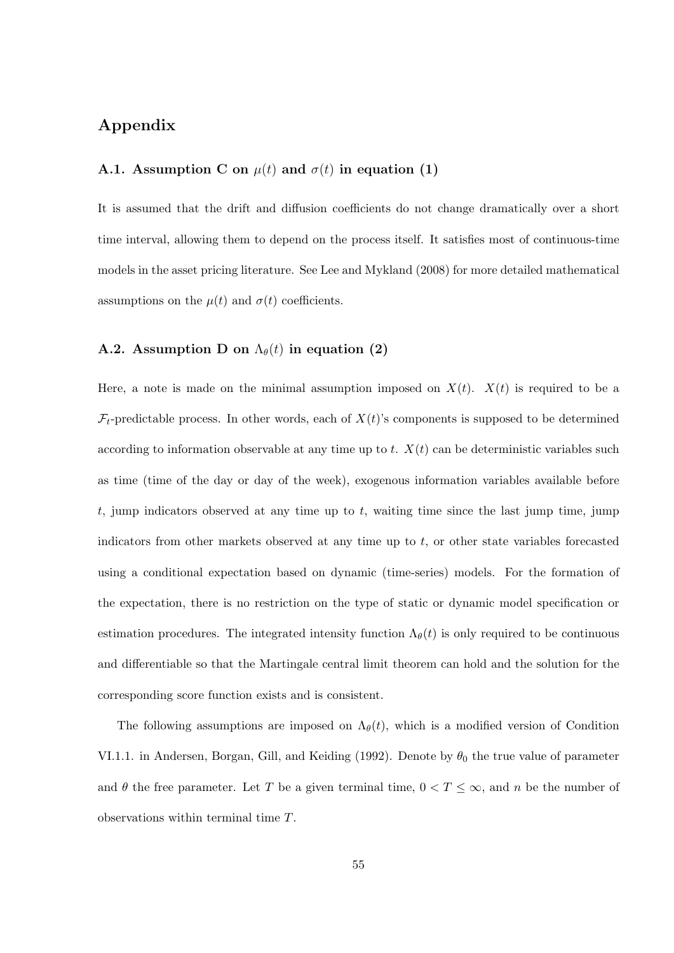# **Appendix**

### **A.1.** Assumption C on  $\mu(t)$  and  $\sigma(t)$  in equation (1)

It is assumed that the drift and diffusion coefficients do not change dramatically over a short time interval, allowing them to depend on the process itself. It satisfies most of continuous-time models in the asset pricing literature. See Lee and Mykland (2008) for more detailed mathematical assumptions on the  $\mu(t)$  and  $\sigma(t)$  coefficients.

#### **A.2.** Assumption D on  $\Lambda_{\theta}(t)$  in equation (2)

Here, a note is made on the minimal assumption imposed on  $X(t)$ .  $X(t)$  is required to be a  $\mathcal{F}_t$ -predictable process. In other words, each of  $X(t)$ 's components is supposed to be determined according to information observable at any time up to *t*.  $X(t)$  can be deterministic variables such as time (time of the day or day of the week), exogenous information variables available before *t*, jump indicators observed at any time up to *t*, waiting time since the last jump time, jump indicators from other markets observed at any time up to *t*, or other state variables forecasted using a conditional expectation based on dynamic (time-series) models. For the formation of the expectation, there is no restriction on the type of static or dynamic model specification or estimation procedures. The integrated intensity function  $\Lambda_{\theta}(t)$  is only required to be continuous and differentiable so that the Martingale central limit theorem can hold and the solution for the corresponding score function exists and is consistent.

The following assumptions are imposed on  $\Lambda_{\theta}(t)$ , which is a modified version of Condition VI.1.1. in Andersen, Borgan, Gill, and Keiding (1992). Denote by  $\theta_0$  the true value of parameter and  $\theta$  the free parameter. Let *T* be a given terminal time,  $0 < T \leq \infty$ , and *n* be the number of observations within terminal time *T*.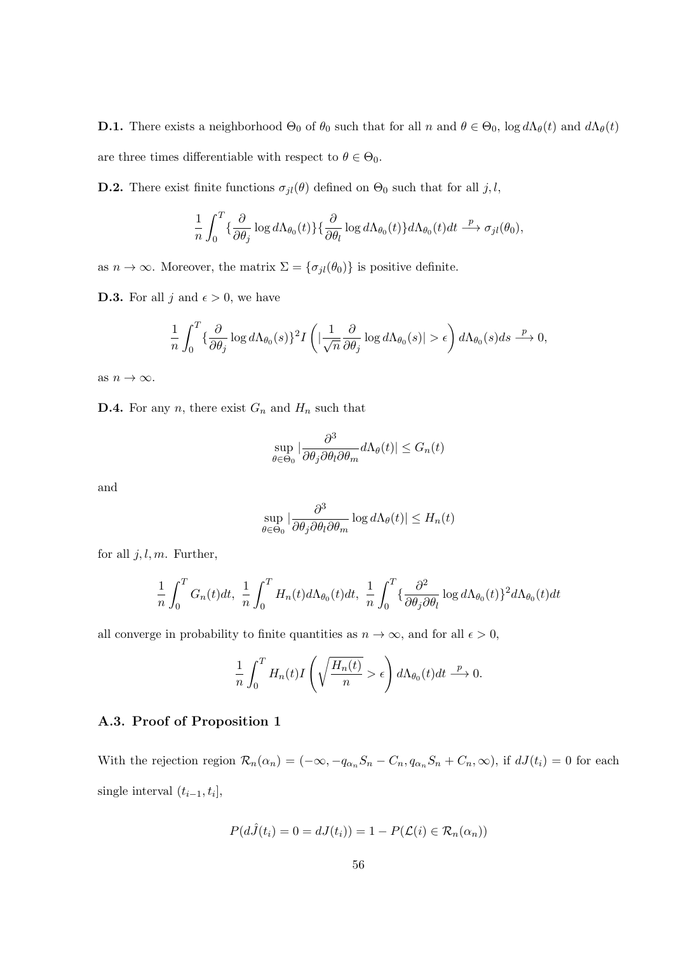**D.1.** There exists a neighborhood  $\Theta_0$  of  $\theta_0$  such that for all *n* and  $\theta \in \Theta_0$ , log  $d\Lambda_{\theta}(t)$  and  $d\Lambda_{\theta}(t)$ are three times differentiable with respect to  $\theta \in \Theta_0$ .

**D.2.** There exist finite functions  $\sigma_{jl}(\theta)$  defined on  $\Theta_0$  such that for all *j, l,* 

$$
\frac{1}{n} \int_0^T \{\frac{\partial}{\partial \theta_j} \log d\Lambda_{\theta_0}(t)\} \{\frac{\partial}{\partial \theta_l} \log d\Lambda_{\theta_0}(t)\} d\Lambda_{\theta_0}(t) dt \xrightarrow{p} \sigma_{jl}(\theta_0),
$$

as  $n \to \infty$ . Moreover, the matrix  $\Sigma = {\sigma_{jl}(\theta_0)}$  is positive definite.

**D.3.** For all *j* and  $\epsilon > 0$ , we have

$$
\frac{1}{n} \int_0^T \left\{ \frac{\partial}{\partial \theta_j} \log d\Lambda_{\theta_0}(s) \right\}^2 I\left( \left| \frac{1}{\sqrt{n}} \frac{\partial}{\partial \theta_j} \log d\Lambda_{\theta_0}(s) \right| > \epsilon \right) d\Lambda_{\theta_0}(s) ds \xrightarrow{p} 0,
$$

as  $n \to \infty$ .

**D.4.** For any *n*, there exist  $G_n$  and  $H_n$  such that

$$
\sup_{\theta \in \Theta_0} |\frac{\partial^3}{\partial \theta_j \partial \theta_l \partial \theta_m} d\Lambda_{\theta}(t)| \le G_n(t)
$$

and

$$
\sup_{\theta \in \Theta_0} |\frac{\partial^3}{\partial \theta_j \partial \theta_l \partial \theta_m} \log d\Lambda_{\theta}(t)| \le H_n(t)
$$

for all *j, l, m*. Further,

$$
\frac{1}{n} \int_0^T G_n(t) dt, \frac{1}{n} \int_0^T H_n(t) d\Lambda_{\theta_0}(t) dt, \frac{1}{n} \int_0^T \{\frac{\partial^2}{\partial \theta_j \partial \theta_l} \log d\Lambda_{\theta_0}(t)\}^2 d\Lambda_{\theta_0}(t) dt
$$

all converge in probability to finite quantities as  $n \to \infty$ , and for all  $\epsilon > 0$ ,

$$
\frac{1}{n} \int_0^T H_n(t) I\left(\sqrt{\frac{H_n(t)}{n}} > \epsilon\right) d\Lambda_{\theta_0}(t) dt \stackrel{p}{\longrightarrow} 0.
$$

#### **A.3. Proof of Proposition 1**

With the rejection region  $\mathcal{R}_n(\alpha_n) = (-\infty, -q_{\alpha_n}S_n - C_n, q_{\alpha_n}S_n + C_n, \infty)$ , if  $dJ(t_i) = 0$  for each single interval  $(t_{i-1}, t_i]$ ,

$$
P(d\hat{J}(t_i) = 0 = dJ(t_i)) = 1 - P(\mathcal{L}(i) \in \mathcal{R}_n(\alpha_n))
$$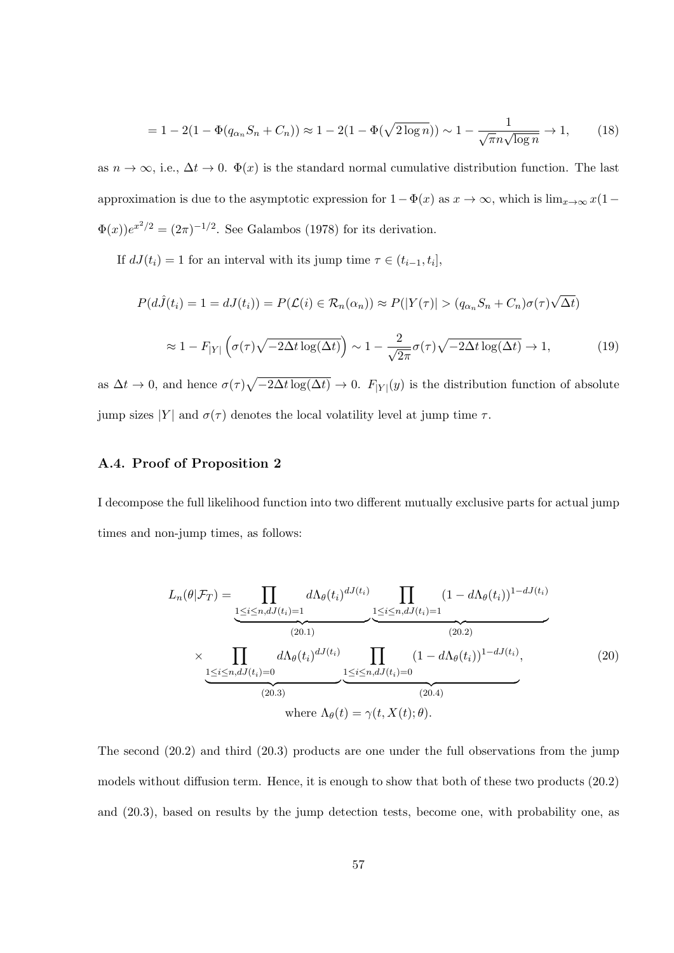$$
= 1 - 2(1 - \Phi(q_{\alpha_n} S_n + C_n)) \approx 1 - 2(1 - \Phi(\sqrt{2 \log n})) \sim 1 - \frac{1}{\sqrt{\pi} n \sqrt{\log n}} \to 1,
$$
 (18)

as  $n \to \infty$ , i.e.,  $\Delta t \to 0$ .  $\Phi(x)$  is the standard normal cumulative distribution function. The last approximation is due to the asymptotic expression for  $1 - \Phi(x)$  as  $x \to \infty$ , which is lim<sub>*x*→∞</sub>  $x(1 - \Phi(x))$  $\Phi(x)$ ) $e^{x^2/2} = (2\pi)^{-1/2}$ . See Galambos (1978) for its derivation.

If  $dJ(t_i) = 1$  for an interval with its jump time  $\tau \in (t_{i-1}, t_i]$ ,

$$
P(d\hat{J}(t_i) = 1 = dJ(t_i)) = P(\mathcal{L}(i) \in \mathcal{R}_n(\alpha_n)) \approx P(|Y(\tau)| > (q_{\alpha_n} S_n + C_n)\sigma(\tau)\sqrt{\Delta t})
$$

$$
\approx 1 - F_{|Y|} \left( \sigma(\tau)\sqrt{-2\Delta t \log(\Delta t)} \right) \sim 1 - \frac{2}{\sqrt{2\pi}} \sigma(\tau)\sqrt{-2\Delta t \log(\Delta t)} \to 1,
$$
(19)

as  $\Delta t \to 0$ , and hence  $\sigma(\tau)\sqrt{-2\Delta t \log(\Delta t)} \to 0$ .  $F_{|Y|}(y)$  is the distribution function of absolute *jump* sizes *|Y|* and  $\sigma(\tau)$  denotes the local volatility level at jump time *τ*.

### **A.4. Proof of Proposition 2**

I decompose the full likelihood function into two different mutually exclusive parts for actual jump times and non-jump times, as follows:

$$
L_n(\theta|\mathcal{F}_T) = \prod_{\substack{1 \le i \le n, dJ(t_i) = 1}} d\Lambda_{\theta}(t_i)^{dJ(t_i)} \prod_{\substack{1 \le i \le n, dJ(t_i) = 1}} (1 - d\Lambda_{\theta}(t_i))^{1 - dJ(t_i)}
$$
\n
$$
\times \prod_{\substack{1 \le i \le n, dJ(t_i) = 0}} d\Lambda_{\theta}(t_i)^{dJ(t_i)} \prod_{\substack{1 \le i \le n, dJ(t_i) = 0}} (1 - d\Lambda_{\theta}(t_i))^{1 - dJ(t_i)},
$$
\n(20.)\nwhere  $\Lambda_{\theta}(t) = \gamma(t, X(t); \theta)$ . (20.4)

The second (20*.*2) and third (20*.*3) products are one under the full observations from the jump models without diffusion term. Hence, it is enough to show that both of these two products (20*.*2) and (20*.*3), based on results by the jump detection tests, become one, with probability one, as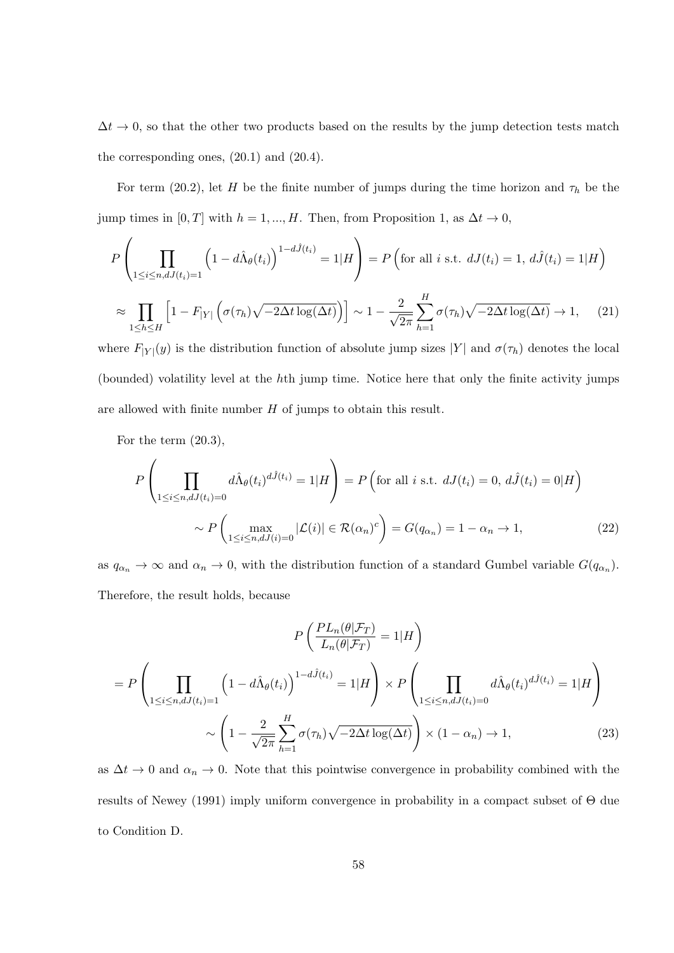$\Delta t \rightarrow 0$ , so that the other two products based on the results by the jump detection tests match the corresponding ones, (20*.*1) and (20*.*4).

For term (20*.*2), let *H* be the finite number of jumps during the time horizon and *τ<sup>h</sup>* be the jump times in  $[0, T]$  with  $h = 1, ..., H$ . Then, from Proposition 1, as  $\Delta t \to 0$ ,

$$
P\left(\prod_{1\leq i\leq n,dJ(t_i)=1}\left(1-d\hat{\Lambda}_{\theta}(t_i)\right)^{1-d\hat{J}(t_i)}=1|H\right)=P\left(\text{for all }i\text{ s.t. }dJ(t_i)=1,d\hat{J}(t_i)=1|H\right)
$$

$$
\approx\prod_{1\leq h\leq H}\left[1-F_{|Y|}\left(\sigma(\tau_h)\sqrt{-2\Delta t\log(\Delta t)}\right)\right]\sim 1-\frac{2}{\sqrt{2\pi}}\sum_{h=1}^H\sigma(\tau_h)\sqrt{-2\Delta t\log(\Delta t)}\to 1,\qquad(21)
$$

where  $F_{|Y|}(y)$  is the distribution function of absolute jump sizes  $|Y|$  and  $\sigma(\tau_h)$  denotes the local (bounded) volatility level at the *h*th jump time. Notice here that only the finite activity jumps are allowed with finite number *H* of jumps to obtain this result.

For the term (20.3),

$$
P\left(\prod_{1\leq i\leq n,dJ(t_i)=0}d\hat{\Lambda}_{\theta}(t_i)^{d\hat{J}(t_i)}=1|H\right)=P\left(\text{for all }i\text{ s.t. }dJ(t_i)=0,d\hat{J}(t_i)=0|H\right)
$$

$$
\sim P\left(\max_{1\leq i\leq n,dJ(i)=0}|\mathcal{L}(i)|\in\mathcal{R}(\alpha_n)^c\right)=G(q_{\alpha_n})=1-\alpha_n\to 1,
$$
(22)

as  $q_{\alpha_n} \to \infty$  and  $\alpha_n \to 0$ , with the distribution function of a standard Gumbel variable  $G(q_{\alpha_n})$ . Therefore, the result holds, because

$$
P\left(\frac{PL_n(\theta|\mathcal{F}_T)}{L_n(\theta|\mathcal{F}_T)} = 1|H\right)
$$
  
=  $P\left(\prod_{1 \le i \le n, dJ(t_i)=1} \left(1 - d\hat{\Lambda}_{\theta}(t_i)\right)^{1-d\hat{J}(t_i)} = 1|H\right) \times P\left(\prod_{1 \le i \le n, dJ(t_i)=0} d\hat{\Lambda}_{\theta}(t_i)^{d\hat{J}(t_i)} = 1|H\right)$   
 $\sim \left(1 - \frac{2}{\sqrt{2\pi}} \sum_{h=1}^H \sigma(\tau_h) \sqrt{-2\Delta t \log(\Delta t)}\right) \times (1 - \alpha_n) \to 1,$  (23)

as  $\Delta t \to 0$  and  $\alpha_n \to 0$ . Note that this pointwise convergence in probability combined with the results of Newey (1991) imply uniform convergence in probability in a compact subset of Θ due to Condition D.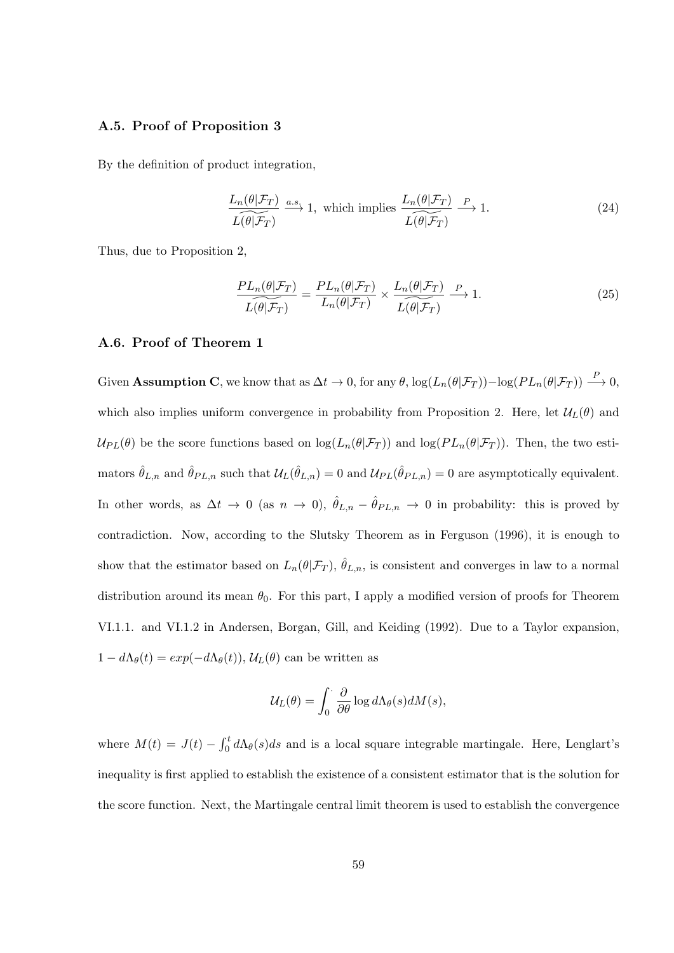#### **A.5. Proof of Proposition 3**

By the definition of product integration,

$$
\frac{L_n(\theta|\mathcal{F}_T)}{L(\theta|\mathcal{F}_T)} \xrightarrow{a.s.} 1, \text{ which implies } \frac{L_n(\theta|\mathcal{F}_T)}{L(\theta|\mathcal{F}_T)} \xrightarrow{P} 1.
$$
\n(24)

Thus, due to Proposition 2,

$$
\frac{PL_n(\theta|\mathcal{F}_T)}{L(\theta|\mathcal{F}_T)} = \frac{PL_n(\theta|\mathcal{F}_T)}{L_n(\theta|\mathcal{F}_T)} \times \frac{L_n(\theta|\mathcal{F}_T)}{L(\theta|\mathcal{F}_T)} \xrightarrow{P} 1.
$$
\n(25)

#### **A.6. Proof of Theorem 1**

Given **Assumption C**, we know that as  $\Delta t \to 0$ , for any  $\theta$ ,  $\log(L_n(\theta|\mathcal{F}_T)) - \log(PL_n(\theta|\mathcal{F}_T)) \stackrel{P}{\longrightarrow} 0$ , which also implies uniform convergence in probability from Proposition 2. Here, let  $\mathcal{U}_L(\theta)$  and  $U_{PL}(\theta)$  be the score functions based on  $\log(L_n(\theta|\mathcal{F}_T))$  and  $\log(PL_n(\theta|\mathcal{F}_T))$ . Then, the two esti- $\hat{\theta}_{L,n}$  and  $\hat{\theta}_{PL,n}$  such that  $\mathcal{U}_L(\hat{\theta}_{L,n}) = 0$  and  $\mathcal{U}_{PL}(\hat{\theta}_{PL,n}) = 0$  are asymptotically equivalent. In other words, as  $\Delta t \to 0$  (as  $n \to 0$ ),  $\hat{\theta}_{L,n} - \hat{\theta}_{PL,n} \to 0$  in probability: this is proved by contradiction. Now, according to the Slutsky Theorem as in Ferguson (1996), it is enough to show that the estimator based on  $L_n(\theta|\mathcal{F}_T)$ ,  $\hat{\theta}_{L,n}$ , is consistent and converges in law to a normal distribution around its mean  $\theta_0$ . For this part, I apply a modified version of proofs for Theorem VI.1.1. and VI.1.2 in Andersen, Borgan, Gill, and Keiding (1992). Due to a Taylor expansion,  $1 - d\Lambda_{\theta}(t) = exp(-d\Lambda_{\theta}(t)), \mathcal{U}_{L}(\theta)$  can be written as

$$
\mathcal{U}_L(\theta) = \int_0^{\cdot} \frac{\partial}{\partial \theta} \log d\Lambda_{\theta}(s) dM(s),
$$

where  $M(t) = J(t) - \int_0^t d\Lambda_\theta(s)ds$  and is a local square integrable martingale. Here, Lenglart's inequality is first applied to establish the existence of a consistent estimator that is the solution for the score function. Next, the Martingale central limit theorem is used to establish the convergence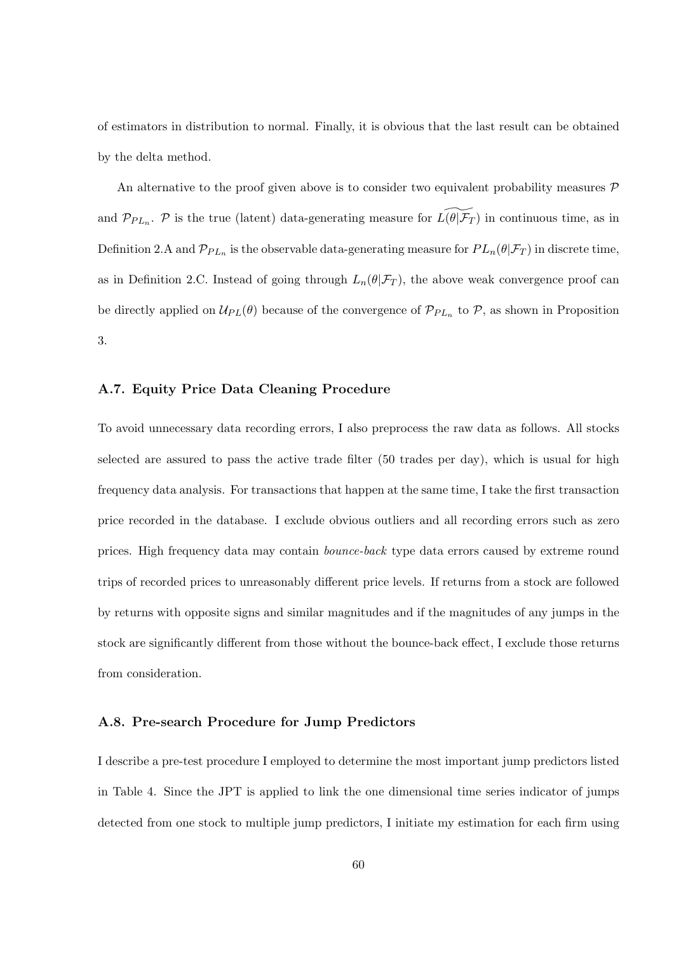of estimators in distribution to normal. Finally, it is obvious that the last result can be obtained by the delta method.

An alternative to the proof given above is to consider two equivalent probability measures *P* and  $\mathcal{P}_{PL_n}$ .  $\mathcal{P}$  is the true (latent) data-generating measure for  $L(\theta|\mathcal{F}_T)$  in continuous time, as in Definition 2.A and  $\mathcal{P}_{PL_n}$  is the observable data-generating measure for  $PL_n(\theta|\mathcal{F}_T)$  in discrete time, as in Definition 2.C. Instead of going through  $L_n(\theta|\mathcal{F}_T)$ , the above weak convergence proof can be directly applied on  $U_{PL}(\theta)$  because of the convergence of  $\mathcal{P}_{PL_n}$  to  $\mathcal{P}$ , as shown in Proposition 3.

### **A.7. Equity Price Data Cleaning Procedure**

To avoid unnecessary data recording errors, I also preprocess the raw data as follows. All stocks selected are assured to pass the active trade filter (50 trades per day), which is usual for high frequency data analysis. For transactions that happen at the same time, I take the first transaction price recorded in the database. I exclude obvious outliers and all recording errors such as zero prices. High frequency data may contain *bounce-back* type data errors caused by extreme round trips of recorded prices to unreasonably different price levels. If returns from a stock are followed by returns with opposite signs and similar magnitudes and if the magnitudes of any jumps in the stock are significantly different from those without the bounce-back effect, I exclude those returns from consideration.

#### **A.8. Pre-search Procedure for Jump Predictors**

I describe a pre-test procedure I employed to determine the most important jump predictors listed in Table 4. Since the JPT is applied to link the one dimensional time series indicator of jumps detected from one stock to multiple jump predictors, I initiate my estimation for each firm using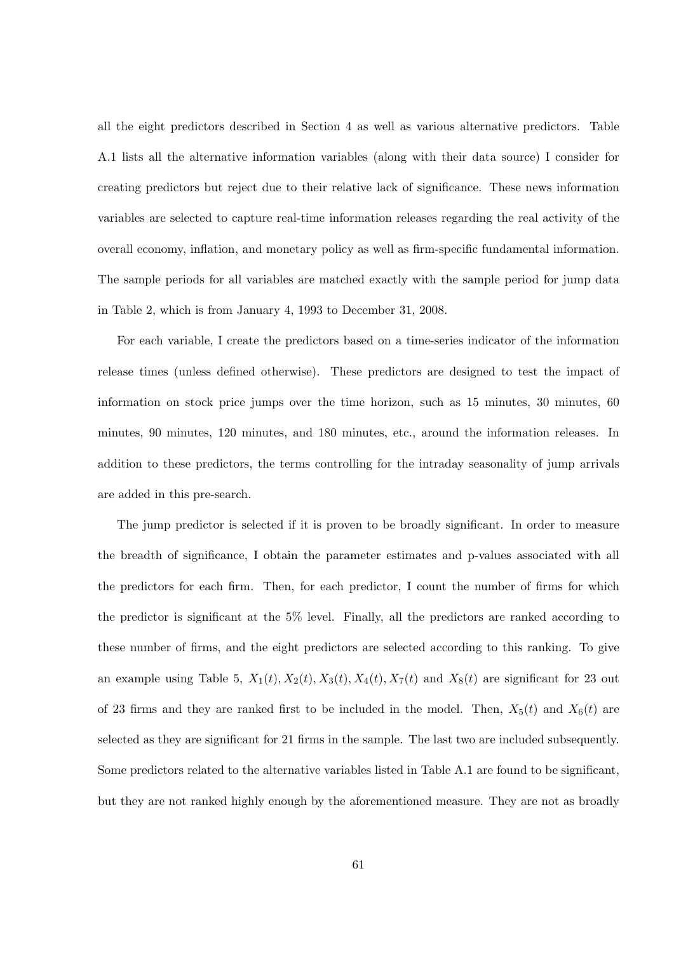all the eight predictors described in Section 4 as well as various alternative predictors. Table A.1 lists all the alternative information variables (along with their data source) I consider for creating predictors but reject due to their relative lack of significance. These news information variables are selected to capture real-time information releases regarding the real activity of the overall economy, inflation, and monetary policy as well as firm-specific fundamental information. The sample periods for all variables are matched exactly with the sample period for jump data in Table 2, which is from January 4, 1993 to December 31, 2008.

For each variable, I create the predictors based on a time-series indicator of the information release times (unless defined otherwise). These predictors are designed to test the impact of information on stock price jumps over the time horizon, such as 15 minutes, 30 minutes, 60 minutes, 90 minutes, 120 minutes, and 180 minutes, etc., around the information releases. In addition to these predictors, the terms controlling for the intraday seasonality of jump arrivals are added in this pre-search.

The jump predictor is selected if it is proven to be broadly significant. In order to measure the breadth of significance, I obtain the parameter estimates and p-values associated with all the predictors for each firm. Then, for each predictor, I count the number of firms for which the predictor is significant at the 5% level. Finally, all the predictors are ranked according to these number of firms, and the eight predictors are selected according to this ranking. To give an example using Table 5,  $X_1(t)$ ,  $X_2(t)$ ,  $X_3(t)$ ,  $X_4(t)$ ,  $X_7(t)$  and  $X_8(t)$  are significant for 23 out of 23 firms and they are ranked first to be included in the model. Then,  $X_5(t)$  and  $X_6(t)$  are selected as they are significant for 21 firms in the sample. The last two are included subsequently. Some predictors related to the alternative variables listed in Table A.1 are found to be significant, but they are not ranked highly enough by the aforementioned measure. They are not as broadly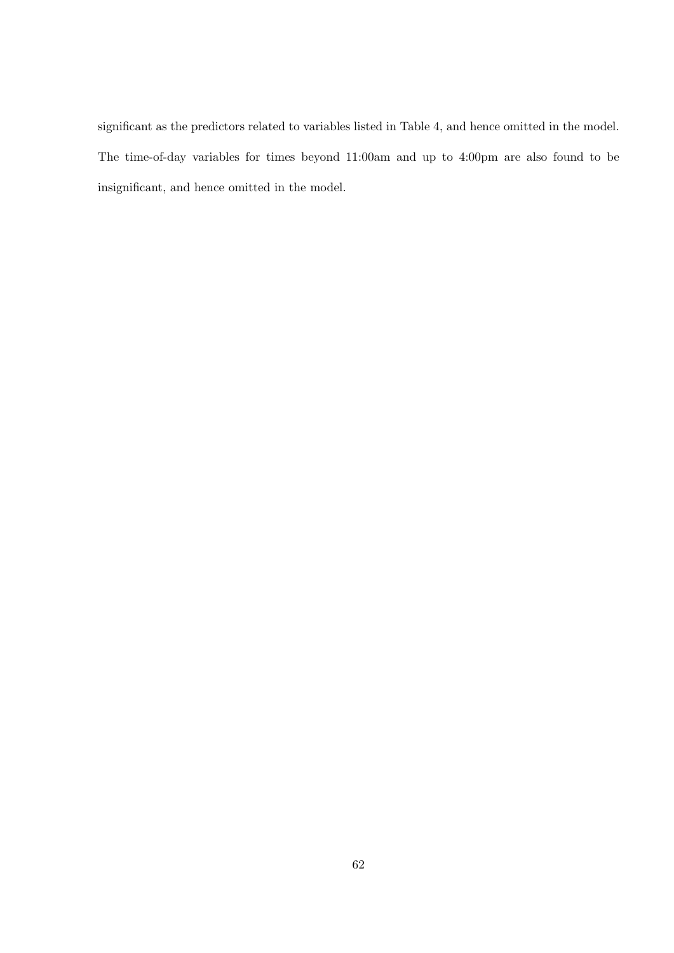significant as the predictors related to variables listed in Table 4, and hence omitted in the model. The time-of-day variables for times beyond 11:00am and up to 4:00pm are also found to be insignificant, and hence omitted in the model.